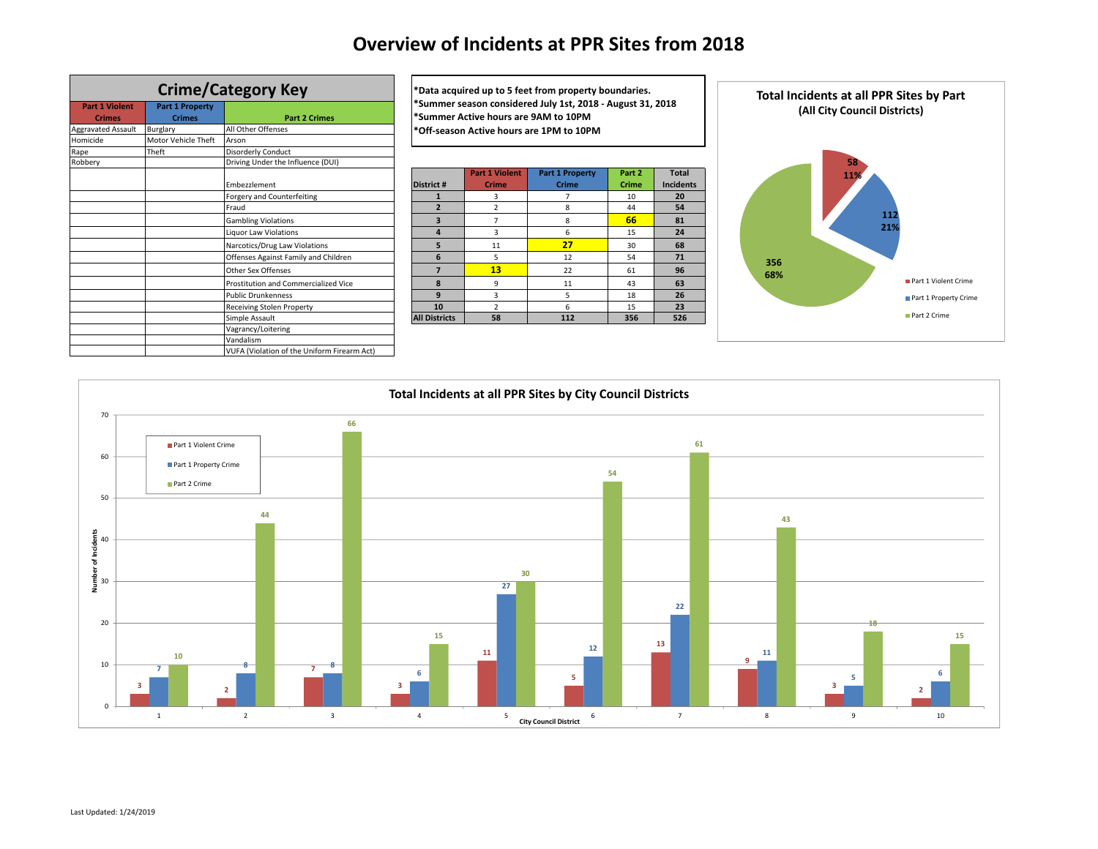# **Overview of Incidents at PPR Sites from 2018**

|                           |                        | <b>Crime/Category Key</b>                   | *Data a           |
|---------------------------|------------------------|---------------------------------------------|-------------------|
| <b>Part 1 Violent</b>     | <b>Part 1 Property</b> |                                             | *Summ             |
| <b>Crimes</b>             | <b>Crimes</b>          | <b>Part 2 Crimes</b>                        | *Summ             |
| <b>Aggravated Assault</b> | Burglary               | All Other Offenses                          | *Off-se           |
| Homicide                  | Motor Vehicle Theft    | Arson                                       |                   |
| Rape                      | Theft                  | <b>Disorderly Conduct</b>                   |                   |
| Robberv                   |                        | Driving Under the Influence (DUI)           |                   |
|                           |                        | Embezzlement                                | <b>District #</b> |
|                           |                        | Forgery and Counterfeiting                  | $\mathbf{1}$      |
|                           |                        | Fraud                                       | $\overline{2}$    |
|                           |                        | <b>Gambling Violations</b>                  | 3                 |
|                           |                        | Liquor Law Violations                       | 4                 |
|                           |                        | Narcotics/Drug Law Violations               | 5                 |
|                           |                        | Offenses Against Family and Children        | 6                 |
|                           |                        | Other Sex Offenses                          | $\overline{7}$    |
|                           |                        | Prostitution and Commercialized Vice        | 8                 |
|                           |                        | <b>Public Drunkenness</b>                   | 9                 |
|                           |                        | Receiving Stolen Property                   | 10                |
|                           |                        | Simple Assault                              | <b>All Distri</b> |
|                           |                        | Vagrancy/Loitering                          |                   |
|                           |                        | Vandalism                                   |                   |
|                           |                        | VUFA (Violation of the Uniform Firearm Act) |                   |

**Crime/Category Key \*Data acquired up to <sup>5</sup> feet from property boundaries. \*Summer season considered July 1st, 2018 ‐ August 31, 2018 \*Summer Active hours are 9AM to 10PM \*Off‐season Active hours are 1PM to 10PM**

| Driving Under the Influence (DUI)           |                      |                       |                        |        |                  |
|---------------------------------------------|----------------------|-----------------------|------------------------|--------|------------------|
|                                             |                      | <b>Part 1 Violent</b> | <b>Part 1 Property</b> | Part 2 | <b>Total</b>     |
| Embezzlement                                | <b>District #</b>    | <b>Crime</b>          | <b>Crime</b>           | Crime  | <b>Incidents</b> |
| Forgery and Counterfeiting                  |                      | 3                     |                        | 10     | 20               |
| Fraud                                       |                      | 2                     | 8                      | 44     | 54               |
| <b>Gambling Violations</b>                  | з                    |                       | 8                      | 66     | 81               |
| <b>Liquor Law Violations</b>                | 4                    | 3                     | 6                      | 15     | 24               |
| Narcotics/Drug Law Violations               | 5                    | 11                    | 27                     | 30     | 68               |
| Offenses Against Family and Children        | 6                    | 5                     | 12                     | 54     | 71               |
| Other Sex Offenses                          |                      | 13                    | 22                     | 61     | 96               |
| <b>Prostitution and Commercialized Vice</b> | $\mathbf{R}$         | 9                     | 11                     | 43     | 63               |
| <b>Public Drunkenness</b>                   | 9                    | 3                     | 5                      | 18     | 26               |
| Receiving Stolen Property                   | 10                   |                       | 6                      | 15     | 23               |
| Simple Assault                              | <b>All Districts</b> | 58                    | 112                    | 356    | 526              |
| Vaarancull oitoring                         |                      |                       |                        |        |                  |



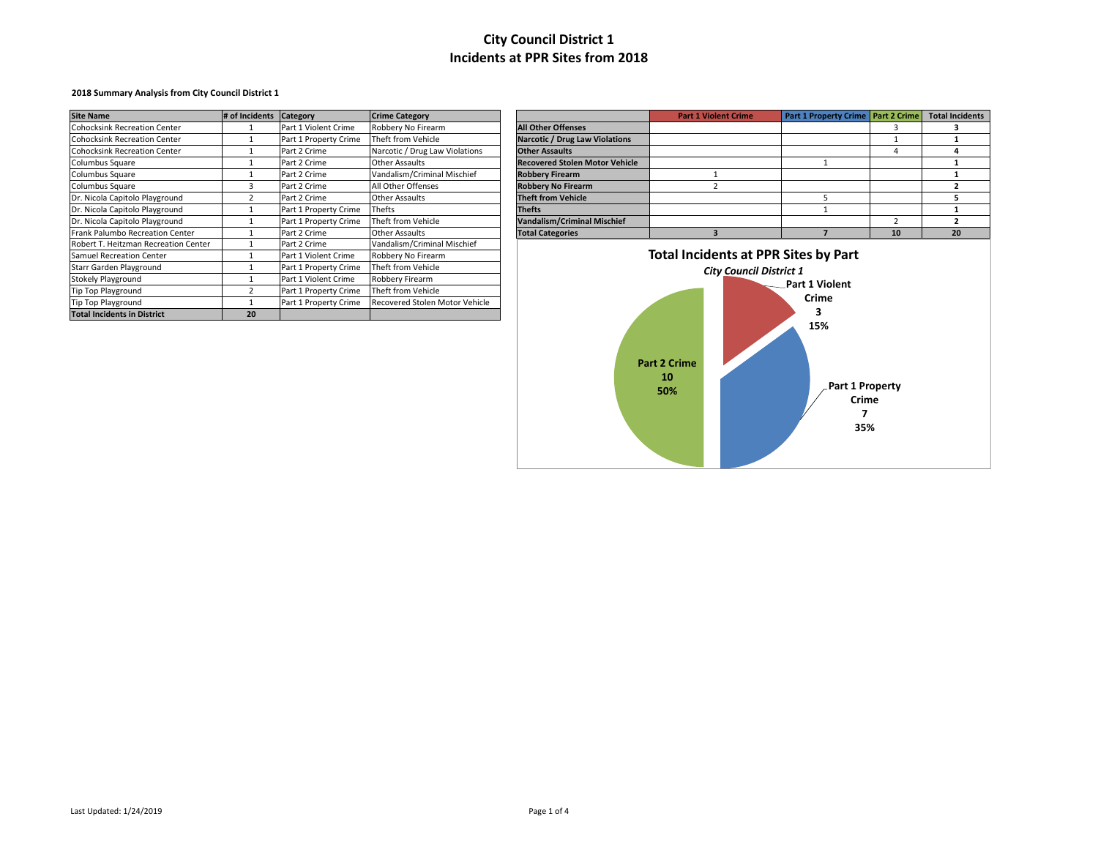### **2018 Summary Analysis from City Council District 1**

| <b>Site Name</b>                     | # of Incidents | Category              | <b>Crime Category</b>          |                                       | <b>Part 1 Violent Crime</b>                 | Part 1 Property Crime   Part 2 Crime |    | <b>Total Inc</b> |
|--------------------------------------|----------------|-----------------------|--------------------------------|---------------------------------------|---------------------------------------------|--------------------------------------|----|------------------|
| <b>Cohocksink Recreation Center</b>  |                | Part 1 Violent Crime  | Robbery No Firearm             | <b>All Other Offenses</b>             |                                             |                                      |    |                  |
| <b>Cohocksink Recreation Center</b>  |                | Part 1 Property Crime | Theft from Vehicle             | <b>Narcotic / Drug Law Violations</b> |                                             |                                      |    |                  |
| <b>Cohocksink Recreation Center</b>  |                | Part 2 Crime          | Narcotic / Drug Law Violations | <b>Other Assaults</b>                 |                                             |                                      |    |                  |
| Columbus Square                      |                | Part 2 Crime          | Other Assaults                 | <b>Recovered Stolen Motor Vehicle</b> |                                             |                                      |    |                  |
| Columbus Square                      |                | Part 2 Crime          | Vandalism/Criminal Mischief    | <b>Robbery Firearm</b>                |                                             |                                      |    |                  |
| Columbus Square                      |                | Part 2 Crime          | All Other Offenses             | <b>Robbery No Firearm</b>             |                                             |                                      |    |                  |
| Dr. Nicola Capitolo Playground       |                | Part 2 Crime          | <b>Other Assaults</b>          | <b>Theft from Vehicle</b>             |                                             |                                      |    |                  |
| Dr. Nicola Capitolo Playground       |                | Part 1 Property Crime | Thefts                         | <b>Thefts</b>                         |                                             |                                      |    |                  |
| Dr. Nicola Capitolo Playground       |                | Part 1 Property Crime | Theft from Vehicle             | <b>Vandalism/Criminal Mischief</b>    |                                             |                                      |    |                  |
| Frank Palumbo Recreation Center      |                | Part 2 Crime          | Other Assaults                 | <b>Total Categories</b>               |                                             |                                      | 10 | 20               |
| Robert T. Heitzman Recreation Center |                | Part 2 Crime          | Vandalism/Criminal Mischief    |                                       |                                             |                                      |    |                  |
| Samuel Recreation Center             |                | Part 1 Violent Crime  | Robbery No Firearm             |                                       | <b>Total Incidents at PPR Sites by Part</b> |                                      |    |                  |
| Starr Garden Playground              |                | Part 1 Property Crime | Theft from Vehicle             |                                       | <b>City Council District 1</b>              |                                      |    |                  |
| <b>Stokely Playground</b>            |                | Part 1 Violent Crime  | Robbery Firearm                |                                       |                                             | Part 1 Violent                       |    |                  |
| Tip Top Playground                   |                | Part 1 Property Crime | Theft from Vehicle             |                                       |                                             |                                      |    |                  |
| <b>Tip Top Playground</b>            |                | Part 1 Property Crime | Recovered Stolen Motor Vehicle |                                       |                                             | Crime                                |    |                  |
| <b>Total Incidents in District</b>   | 20             |                       |                                |                                       |                                             |                                      |    |                  |

| <b>Site Name</b>                       | # of Incidents Category |                       | <b>Crime Category</b>          |                                       | <b>Part 1 Violent Crime</b> | Part 1 Property Crime   Part 2 Crime   Total Incidents |  |
|----------------------------------------|-------------------------|-----------------------|--------------------------------|---------------------------------------|-----------------------------|--------------------------------------------------------|--|
| <b>Cohocksink Recreation Center</b>    |                         | Part 1 Violent Crime  | Robbery No Firearm             | <b>All Other Offenses</b>             |                             |                                                        |  |
| <b>Cohocksink Recreation Center</b>    |                         | Part 1 Property Crime | Theft from Vehicle             | <b>Narcotic / Drug Law Violations</b> |                             |                                                        |  |
| <b>Cohocksink Recreation Center</b>    |                         | Part 2 Crime          | Narcotic / Drug Law Violations | <b>Other Assaults</b>                 |                             |                                                        |  |
| Columbus Square                        |                         | Part 2 Crime          | <b>Other Assaults</b>          | <b>Recovered Stolen Motor Vehicle</b> |                             |                                                        |  |
| Columbus Square                        |                         | Part 2 Crime          | Vandalism/Criminal Mischief    | <b>Robbery Firearm</b>                |                             |                                                        |  |
| Columbus Square                        |                         | Part 2 Crime          | All Other Offenses             | <b>Robbery No Firearm</b>             |                             |                                                        |  |
| Dr. Nicola Capitolo Playground         |                         | Part 2 Crime          | <b>Other Assaults</b>          | <b>Theft from Vehicle</b>             |                             |                                                        |  |
| Dr. Nicola Capitolo Playground         |                         | Part 1 Property Crime | Thefts                         | <b>Thefts</b>                         |                             |                                                        |  |
| Dr. Nicola Capitolo Playground         |                         | Part 1 Property Crime | Theft from Vehicle             | <b>Vandalism/Criminal Mischief</b>    |                             |                                                        |  |
| <b>Frank Palumbo Recreation Center</b> |                         | Part 2 Crime          | Other Assaults                 | <b>Total Categories</b>               |                             |                                                        |  |

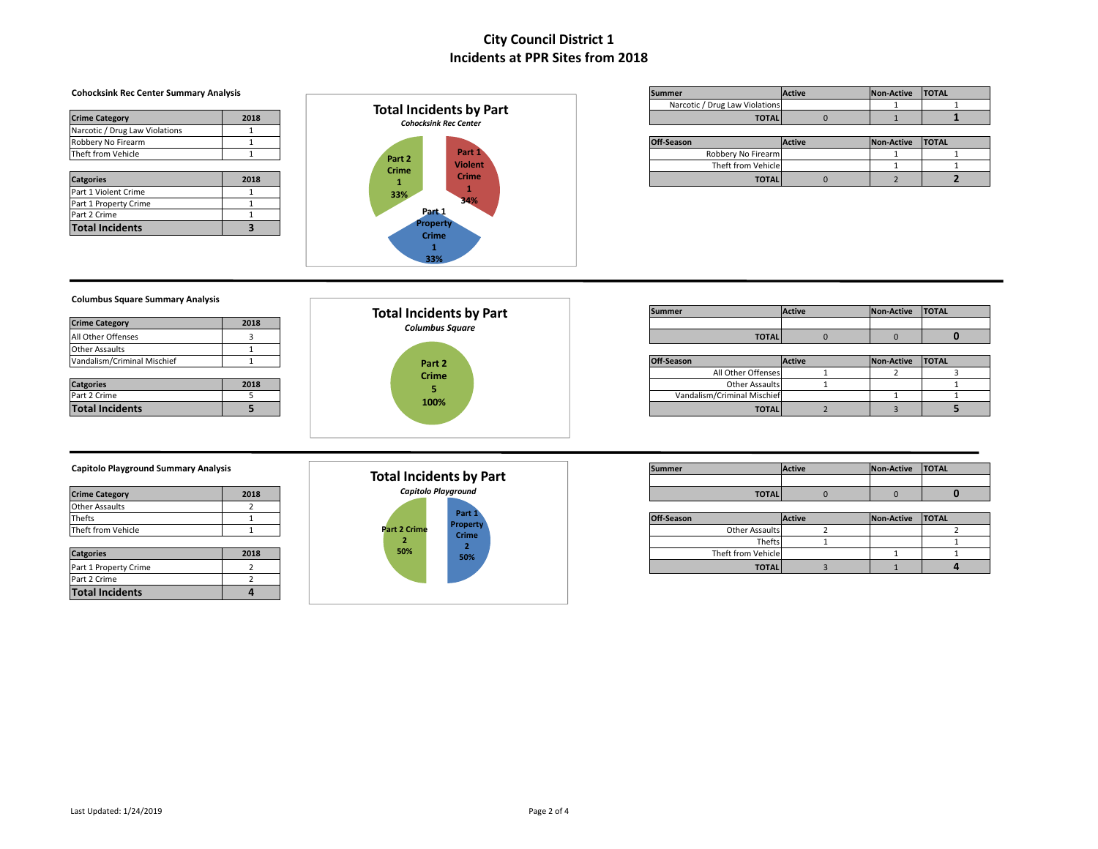| <b>Crime Category</b>                    | 2018 |
|------------------------------------------|------|
| Narcotic / Drug Law Violations           |      |
| Robbery No Firearm                       |      |
| Theft from Vehicle                       |      |
|                                          |      |
|                                          |      |
| <b>Catgories</b><br>Part 1 Violent Crime | 2018 |
| Part 1 Property Crime                    |      |
| Part 2 Crime                             |      |



| <b>Cohocksink Rec Center Summary Analysis</b> |      |                                | Summer                         | <b>Active</b> | Non-Active | <b>TOTAL</b> |
|-----------------------------------------------|------|--------------------------------|--------------------------------|---------------|------------|--------------|
|                                               |      | <b>Total Incidents by Part</b> | Narcotic / Drug Law Violations |               |            |              |
| <b>Crime Category</b>                         | 2018 | <b>Cohocksink Rec Center</b>   | <b>TOTAL</b>                   |               |            |              |
|                                               |      |                                |                                |               |            |              |

| Robbery No Firearm |      |              |                |  | Off-Season         | <b>Active</b> | Non-Active | <b>TOTAL</b> |
|--------------------|------|--------------|----------------|--|--------------------|---------------|------------|--------------|
| Theft from Vehicle |      | Part 2       | Part 1         |  | Robbery No Firearm |               |            |              |
|                    |      | <b>Crime</b> | <b>Violent</b> |  | Theft from Vehicle |               |            |              |
| <b>Catgories</b>   | 2018 |              | <b>Crime</b>   |  | <b>TOTAL</b>       |               |            |              |

### **Columbus Square Summary Analysis**

| <b>Crime Category</b>       | 2018 |
|-----------------------------|------|
| All Other Offenses          |      |
| <b>Other Assaults</b>       |      |
| Vandalism/Criminal Mischief |      |

| <b>Catgories</b>       | 2018 |
|------------------------|------|
| Part 2 Crime           |      |
| <b>Total Incidents</b> |      |



|                       |      | <b>Total Incidents by Part</b> | Summer       | <b>Active</b> | Non-Active TOTAL |  |
|-----------------------|------|--------------------------------|--------------|---------------|------------------|--|
| <b>Crime Category</b> | 2018 | Columbus Sauare                |              |               |                  |  |
| All Other Offenses    |      |                                | <b>TOTAL</b> |               |                  |  |

| _                           |      |              |                             |               |                  |  |
|-----------------------------|------|--------------|-----------------------------|---------------|------------------|--|
| Vandalism/Criminal Mischief |      | Part 2       | Off-Season                  | <b>Active</b> | Non-Active TOTAL |  |
|                             |      | <b>Crime</b> | All Other Offenses          |               |                  |  |
| <b>Catgories</b>            | 2018 |              | <b>Other Assaults</b>       |               |                  |  |
| Part 2 Crime                |      | 100%         | Vandalism/Criminal Mischief |               |                  |  |
| <b>Total Incidents</b>      |      |              | <b>TOTAL</b>                |               |                  |  |

### **Capitolo Playground Summary Analysis**

| <b>Crime Category</b> | 2018 |
|-----------------------|------|
| <b>Other Assaults</b> |      |
| Thefts                |      |
| Theft from Vehicle    |      |

| <b>Catgories</b>       | 2018 |
|------------------------|------|
| Part 1 Property Crime  |      |
| Part 2 Crime           |      |
| <b>Total Incidents</b> |      |



| Capitolo Playground Summary Analysis |      |                         | Summer       | Active | Non-Active | <b>TOTAL</b> |
|--------------------------------------|------|-------------------------|--------------|--------|------------|--------------|
|                                      |      | Total Incidents by Part |              |        |            |              |
| <b>Crime Category</b>                | 2018 | Capitolo Playground     | <b>TOTAL</b> |        |            |              |

| _                     |      |              |                                 |                       |               |                  |  |
|-----------------------|------|--------------|---------------------------------|-----------------------|---------------|------------------|--|
| Thefts                |      |              | Part 1                          | Off-Season            | <b>Active</b> | Non-Active TOTAL |  |
| Theft from Vehicle    |      | Part 2 Crime | <b>Property</b><br><b>Crime</b> | <b>Other Assaults</b> |               |                  |  |
|                       |      |              |                                 | Thefts.               |               |                  |  |
| <b>Catgories</b>      | 2018 | 50%          | 50%                             | Theft from Vehicle    |               |                  |  |
| Part 1 Property Crime |      |              |                                 | <b>TOTAL</b>          |               |                  |  |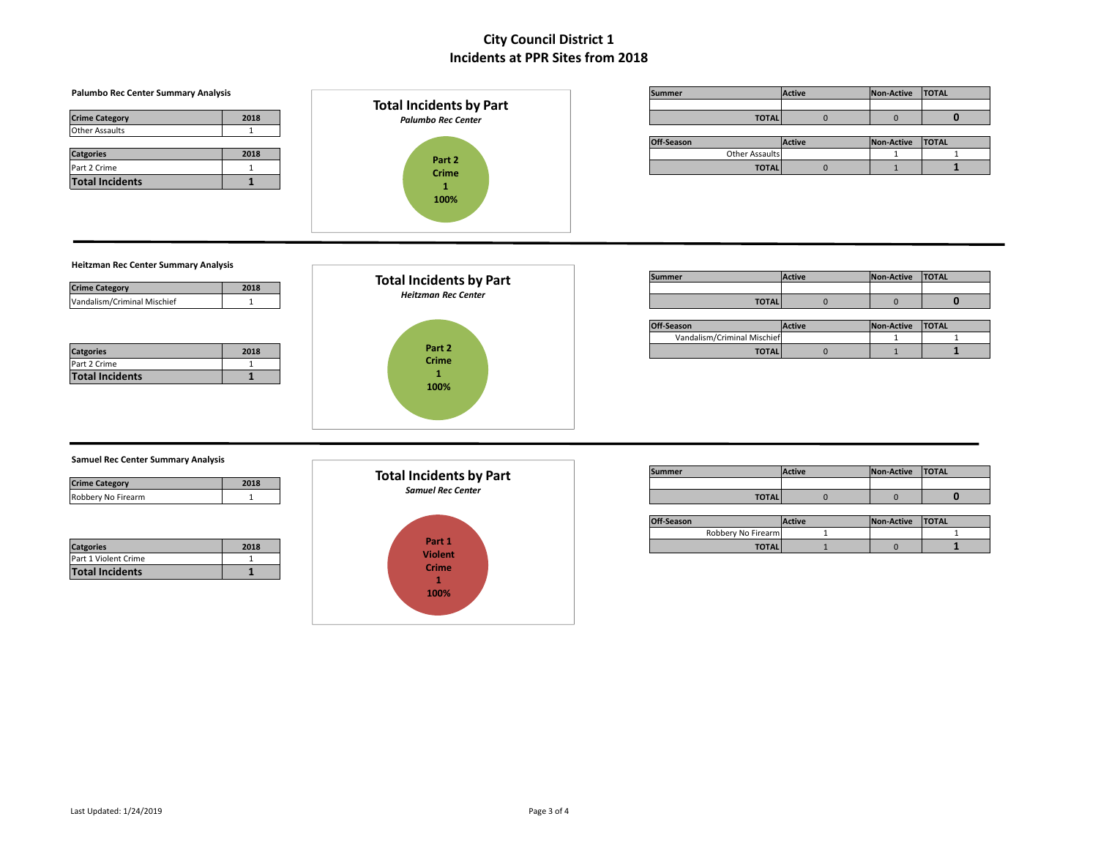#### **Palumbo** Rec Center Summary Analysis **Contract Contract Contract Contract Contract Contract Contract Contract Contract Contract Contract Contract Contract Contract Contract Contract Contract Contract Contract Contract Con Crime Category 2018 TOTAL** 0 0 **0** Other Assaults 1 **Off-Season Active Active Non-Active TOTAL Other Assaults Active 1 Catgories 2018** Other Assaults 1 1 Part 2 Crime 1 **TOTAL** 0 1 **1 Total Incidents 1 Heitzman Rec Center Summary Analysis Summer Active Active Non-Active TOTAL Crime Category 2018** Vandalism/Criminal Mischief 1 1 1 **Heltzman Rec Center** 1 1 **1 TOTAL** 0 0 0 0 0 **Off-Season Active Active Non-Active TOTAL** Vandalism/Criminal Mischief 1 1 1 1 1 **Catgories 2018 TOTAL** 0 1 **1** Part 2 Crime 1 **Total Incidents 1 Samuel Rec Center Summary Analysis Summer Active Active Non-Active TOTAL Crime Category 2018** Robbery No Firearm 1 **TOTAL** 0 0 **0 Off-Season Active Active Non-Active TOTAL** Robbery No Firearm 1 1 **Catgories 2018 TOTAL** 1 0 **1** Part 1 Violent Crime 1 **Total Incidents 1 Part 1 Violent Crime 1 100% Total Incidents by Part** *Samuel Rec Center* **Part 2 Crime 1 100% Total Incidents by Part** *Palumbo Rec Center* **Part 2 Crime 1 100% Total Incidents by Part** *Heitzman Rec Center*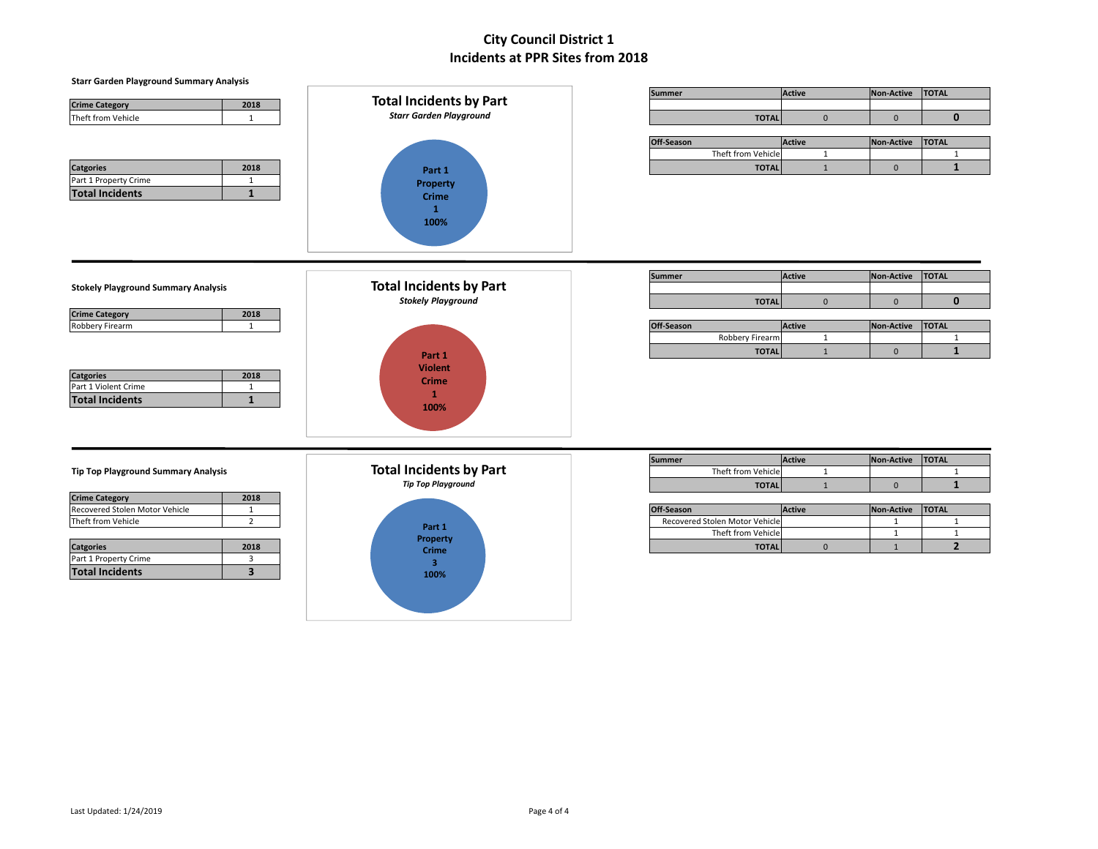| <b>Starr Garden Playground Summary Analysis</b>   |                                |                                |               |                   |                |  |  |  |  |  |
|---------------------------------------------------|--------------------------------|--------------------------------|---------------|-------------------|----------------|--|--|--|--|--|
|                                                   |                                | <b>Summer</b>                  | <b>Active</b> | Non-Active        | <b>TOTAL</b>   |  |  |  |  |  |
| <b>Crime Category</b><br>2018                     | <b>Total Incidents by Part</b> |                                |               |                   |                |  |  |  |  |  |
| Theft from Vehicle<br>$\mathbf{1}$                | <b>Starr Garden Playground</b> | <b>TOTAL</b>                   | $\mathbf{0}$  | $\mathbf{0}$      | $\mathbf{0}$   |  |  |  |  |  |
|                                                   |                                |                                |               |                   |                |  |  |  |  |  |
|                                                   |                                | Off-Season                     | <b>Active</b> | <b>Non-Active</b> | <b>TOTAL</b>   |  |  |  |  |  |
|                                                   |                                | Theft from Vehicle             | 1             |                   | $\mathbf{1}$   |  |  |  |  |  |
| <b>Catgories</b><br>2018                          | Part 1                         | <b>TOTAL</b>                   | $\mathbf{1}$  | $\mathbf{0}$      | $\mathbf{1}$   |  |  |  |  |  |
| Part 1 Property Crime<br>$\mathbf{1}$             | Property                       |                                |               |                   |                |  |  |  |  |  |
| $\mathbf{1}$<br><b>Total Incidents</b>            | <b>Crime</b><br>$\mathbf{1}$   |                                |               |                   |                |  |  |  |  |  |
|                                                   | 100%                           |                                |               |                   |                |  |  |  |  |  |
|                                                   |                                |                                |               |                   |                |  |  |  |  |  |
|                                                   |                                |                                |               |                   |                |  |  |  |  |  |
|                                                   |                                | <b>Summer</b>                  | Active        | <b>Non-Active</b> | <b>TOTAL</b>   |  |  |  |  |  |
| <b>Stokely Playground Summary Analysis</b>        | <b>Total Incidents by Part</b> |                                |               |                   |                |  |  |  |  |  |
|                                                   | <b>Stokely Playground</b>      | <b>TOTAL</b>                   | $\pmb{0}$     | $\mathbf{0}$      | $\mathbf{0}$   |  |  |  |  |  |
| <b>Crime Category</b><br>2018                     |                                |                                |               |                   |                |  |  |  |  |  |
| <b>Robbery Firearm</b><br>$\mathbf{1}$            |                                | Off-Season                     | Active        | Non-Active        | <b>TOTAL</b>   |  |  |  |  |  |
|                                                   |                                | <b>Robbery Firearm</b>         | $\mathbf{1}$  |                   | $\mathbf{1}$   |  |  |  |  |  |
|                                                   | Part 1                         | <b>TOTAL</b>                   | $\mathbf{1}$  | $\mathbf 0$       | $\mathbf{1}$   |  |  |  |  |  |
|                                                   | <b>Violent</b>                 |                                |               |                   |                |  |  |  |  |  |
| 2018<br><b>Catgories</b>                          | <b>Crime</b>                   |                                |               |                   |                |  |  |  |  |  |
| Part 1 Violent Crime<br>1                         | $\mathbf{1}$                   |                                |               |                   |                |  |  |  |  |  |
| $\mathbf{1}$<br><b>Total Incidents</b>            | 100%                           |                                |               |                   |                |  |  |  |  |  |
|                                                   |                                |                                |               |                   |                |  |  |  |  |  |
|                                                   |                                |                                |               |                   |                |  |  |  |  |  |
|                                                   |                                |                                |               |                   |                |  |  |  |  |  |
|                                                   | <b>Total Incidents by Part</b> | <b>Summer</b>                  | Active        | Non-Active        | <b>TOTAL</b>   |  |  |  |  |  |
| <b>Tip Top Playground Summary Analysis</b>        |                                | Theft from Vehicle             | $\mathbf{1}$  |                   | $\mathbf{1}$   |  |  |  |  |  |
|                                                   | <b>Tip Top Playground</b>      | <b>TOTAL</b>                   | $\mathbf{1}$  | $\bf 0$           | $\mathbf{1}$   |  |  |  |  |  |
| <b>Crime Category</b><br>2018                     |                                |                                |               |                   |                |  |  |  |  |  |
| Recovered Stolen Motor Vehicle<br>$\mathbf{1}$    |                                | Off-Season                     | Active        | <b>Non-Active</b> | <b>TOTAL</b>   |  |  |  |  |  |
| Theft from Vehicle<br>$\overline{2}$              | Part 1                         | Recovered Stolen Motor Vehicle |               | 1                 | $\mathbf{1}$   |  |  |  |  |  |
|                                                   | Property                       | Theft from Vehicle             |               | $\mathbf{1}$      | $\mathbf{1}$   |  |  |  |  |  |
| <b>Catgories</b><br>2018                          | <b>Crime</b>                   | <b>TOTAL</b>                   | $\mathbf 0$   | $\mathbf{1}$      | $\overline{2}$ |  |  |  |  |  |
| Part 1 Property Crime<br>3                        | $\overline{3}$                 |                                |               |                   |                |  |  |  |  |  |
| $\overline{\mathbf{3}}$<br><b>Total Incidents</b> | 100%                           |                                |               |                   |                |  |  |  |  |  |
|                                                   |                                |                                |               |                   |                |  |  |  |  |  |
|                                                   |                                |                                |               |                   |                |  |  |  |  |  |
|                                                   |                                |                                |               |                   |                |  |  |  |  |  |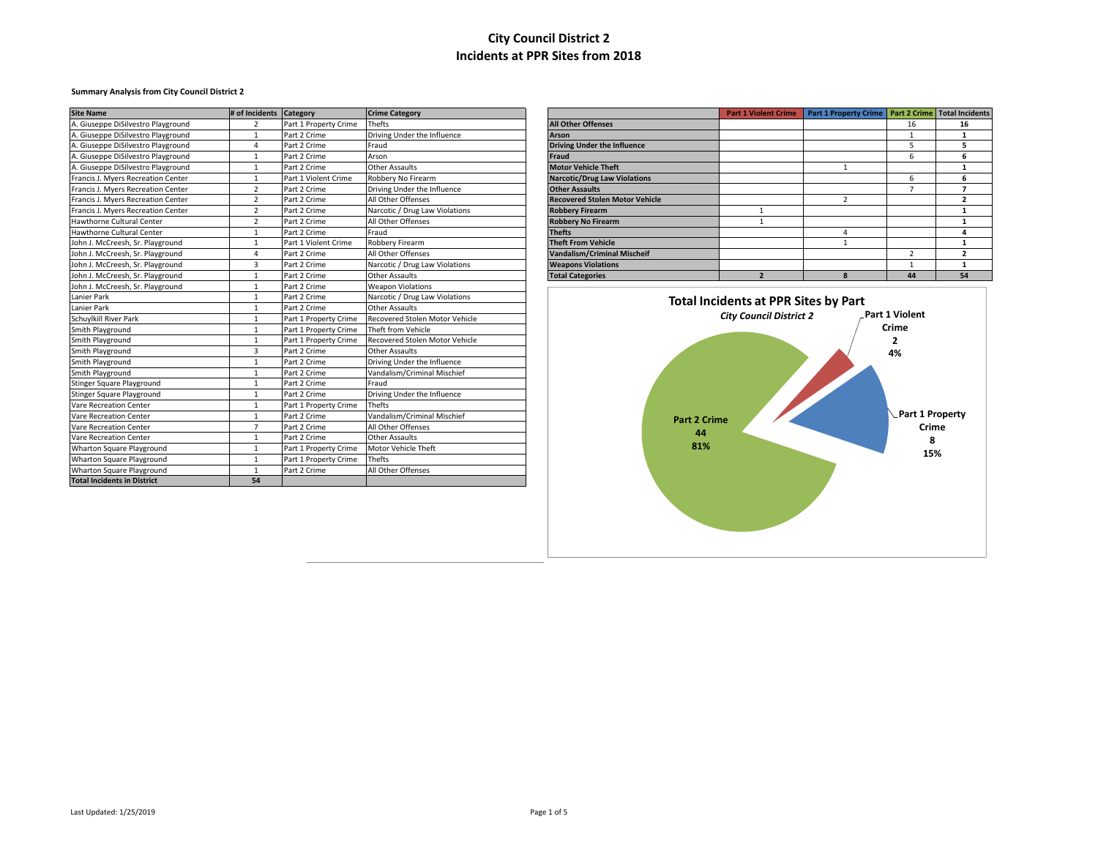### **Summary Analysis from City Council District 2**

| <b>Site Name</b>                   | # of Incidents Category |                       | <b>Crime Category</b>          |                                       | <b>Part 1 Violent Crime</b>                 | Part 1 Property Crime   Part 2 Crime   Total Incidents |                 |                         |
|------------------------------------|-------------------------|-----------------------|--------------------------------|---------------------------------------|---------------------------------------------|--------------------------------------------------------|-----------------|-------------------------|
| A. Giuseppe DiSilvestro Playground | $\overline{2}$          | Part 1 Property Crime | <b>Thefts</b>                  | <b>All Other Offenses</b>             |                                             |                                                        | 16              | 16                      |
| A. Giuseppe DiSilvestro Playground | $\mathbf{1}$            | Part 2 Crime          | Driving Under the Influence    | <b>Arson</b>                          |                                             |                                                        |                 | $\overline{\mathbf{1}}$ |
| A. Giuseppe DiSilvestro Playground | $\Delta$                | Part 2 Crime          | Fraud                          | <b>Driving Under the Influence</b>    |                                             |                                                        | 5               | 5                       |
| A. Giuseppe DiSilvestro Playground | $\mathbf{1}$            | Part 2 Crime          | Arson                          | <b>Fraud</b>                          |                                             |                                                        | 6               | 6                       |
| A. Giuseppe DiSilvestro Playground | $\overline{1}$          | Part 2 Crime          | <b>Other Assaults</b>          | <b>Motor Vehicle Theft</b>            |                                             |                                                        |                 | -1                      |
| Francis J. Myers Recreation Center | $\mathbf{1}$            | Part 1 Violent Crime  | Robbery No Firearm             | <b>Narcotic/Drug Law Violations</b>   |                                             |                                                        | 6               | 6                       |
| Francis J. Myers Recreation Center | $\overline{2}$          | Part 2 Crime          | Driving Under the Influence    | <b>Other Assaults</b>                 |                                             |                                                        | $\overline{7}$  | $\overline{7}$          |
| Francis J. Myers Recreation Center | $\overline{2}$          | Part 2 Crime          | All Other Offenses             | <b>Recovered Stolen Motor Vehicle</b> |                                             | $\overline{2}$                                         |                 | $\overline{\mathbf{2}}$ |
| Francis J. Myers Recreation Center | $\overline{2}$          | Part 2 Crime          | Narcotic / Drug Law Violations | <b>Robbery Firearm</b>                | $\mathbf{1}$                                |                                                        |                 | -1                      |
| Hawthorne Cultural Center          | $\overline{2}$          | Part 2 Crime          | All Other Offenses             | <b>Robbery No Firearm</b>             | $\overline{1}$                              |                                                        |                 | 1                       |
| Hawthorne Cultural Center          | $\mathbf{1}$            | Part 2 Crime          | Fraud                          | <b>Thefts</b>                         |                                             | $\Delta$                                               |                 | $\Delta$                |
| John J. McCreesh, Sr. Playground   | $\overline{1}$          | Part 1 Violent Crime  | <b>Robbery Firearm</b>         | <b>Theft From Vehicle</b>             |                                             |                                                        |                 | $\mathbf{1}$            |
| John J. McCreesh, Sr. Playground   | $\Delta$                | Part 2 Crime          | All Other Offenses             | <b>Vandalism/Criminal Mischeif</b>    |                                             |                                                        | $\overline{2}$  | $\overline{\mathbf{2}}$ |
| John J. McCreesh, Sr. Playground   | $\overline{3}$          | Part 2 Crime          | Narcotic / Drug Law Violations | <b>Weapons Violations</b>             |                                             |                                                        | 1               | -1                      |
| John J. McCreesh, Sr. Playground   | $\mathbf{1}$            | Part 2 Crime          | <b>Other Assaults</b>          | <b>Total Categories</b>               | $\overline{2}$                              | $\mathbf{R}$                                           | 44              | 54                      |
| John J. McCreesh, Sr. Playground   | $\mathbf{1}$            | Part 2 Crime          | <b>Weapon Violations</b>       |                                       |                                             |                                                        |                 |                         |
| Lanier Park                        | 1                       | Part 2 Crime          | Narcotic / Drug Law Violations |                                       | <b>Total Incidents at PPR Sites by Part</b> |                                                        |                 |                         |
| Lanier Park                        | 1                       | Part 2 Crime          | <b>Other Assaults</b>          |                                       |                                             |                                                        |                 |                         |
| Schuylkill River Park              | $\overline{1}$          | Part 1 Property Crime | Recovered Stolen Motor Vehicle |                                       | <b>City Council District 2</b>              |                                                        | Part 1 Violent  |                         |
| Smith Playground                   |                         | Part 1 Property Crime | Theft from Vehicle             |                                       |                                             |                                                        | Crime           |                         |
| Smith Playground                   | 1                       | Part 1 Property Crime | Recovered Stolen Motor Vehicle |                                       |                                             |                                                        | 2               |                         |
| Smith Playground                   | $\overline{3}$          | Part 2 Crime          | <b>Other Assaults</b>          |                                       |                                             |                                                        | 4%              |                         |
| Smith Playground                   | 1                       | Part 2 Crime          | Driving Under the Influence    |                                       |                                             |                                                        |                 |                         |
| Smith Playground                   | $\overline{1}$          | Part 2 Crime          | Vandalism/Criminal Mischief    |                                       |                                             |                                                        |                 |                         |
| Stinger Square Playground          | 1                       | Part 2 Crime          | Fraud                          |                                       |                                             |                                                        |                 |                         |
| Stinger Square Playground          | $\overline{1}$          | Part 2 Crime          | Driving Under the Influence    |                                       |                                             |                                                        |                 |                         |
| Vare Recreation Center             | 1                       | Part 1 Property Crime | <b>Thefts</b>                  |                                       |                                             |                                                        |                 |                         |
| Vare Recreation Center             | $\mathbf{1}$            | Part 2 Crime          | Vandalism/Criminal Mischief    | <b>Part 2 Crime</b>                   |                                             |                                                        | Part 1 Property |                         |
| Vare Recreation Center             | $\overline{7}$          | Part 2 Crime          | All Other Offenses             |                                       |                                             |                                                        | Crime           |                         |
| Vare Recreation Center             | $\mathbf{1}$            | Part 2 Crime          | <b>Other Assaults</b>          | 44                                    |                                             |                                                        | 8               |                         |
| Wharton Square Playground          | $\mathbf{1}$            | Part 1 Property Crime | Motor Vehicle Theft            | 81%                                   |                                             |                                                        | 15%             |                         |
| Wharton Square Playground          | $\mathbf{1}$            | Part 1 Property Crime | <b>Thefts</b>                  |                                       |                                             |                                                        |                 |                         |
| <b>Wharton Square Playground</b>   | 1                       | Part 2 Crime          | All Other Offenses             |                                       |                                             |                                                        |                 |                         |
| <b>Total Incidents in District</b> | 54                      |                       |                                |                                       |                                             |                                                        |                 |                         |

|                                       | <b>Part 1 Violent Crime</b> | Part 1 Property Crime | <b>Part 2 Crime</b> | <b>Total Incidents</b> |
|---------------------------------------|-----------------------------|-----------------------|---------------------|------------------------|
| <b>All Other Offenses</b>             |                             |                       | 16                  | 16                     |
| <b>Arson</b>                          |                             |                       |                     |                        |
| <b>Driving Under the Influence</b>    |                             |                       | 5                   | 5                      |
| <b>Fraud</b>                          |                             |                       | 6                   | 6                      |
| <b>Motor Vehicle Theft</b>            |                             |                       |                     |                        |
| <b>Narcotic/Drug Law Violations</b>   |                             |                       | 6                   | 6                      |
| <b>Other Assaults</b>                 |                             |                       |                     |                        |
| <b>Recovered Stolen Motor Vehicle</b> |                             | 2                     |                     |                        |
| <b>Robbery Firearm</b>                |                             |                       |                     |                        |
| <b>Robbery No Firearm</b>             |                             |                       |                     |                        |
| <b>Thefts</b>                         |                             | 4                     |                     | 4                      |
| <b>Theft From Vehicle</b>             |                             |                       |                     |                        |
| <b>Vandalism/Criminal Mischeif</b>    |                             |                       | 2                   |                        |
| <b>Weapons Violations</b>             |                             |                       |                     | 1                      |
| <b>Total Categories</b>               | 2                           | 8                     | 44                  | 54                     |

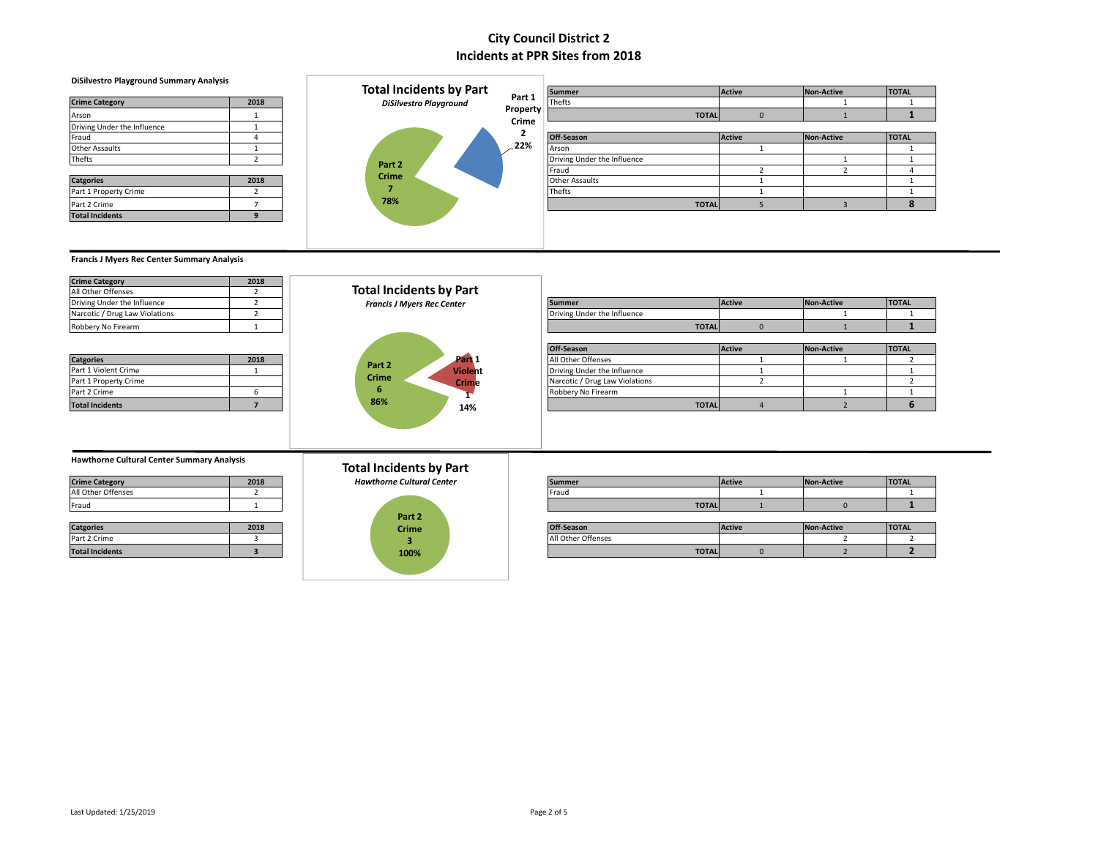#### **DiSilvestro Playground Summary Analysis**

| <b>Crime Category</b>       | 2018          |
|-----------------------------|---------------|
| Arson                       |               |
| Driving Under the Influence | 1             |
| Fraud                       | Δ             |
| <b>Other Assaults</b>       |               |
| Thefts                      | 2             |
|                             |               |
| <b>Catgories</b>            | 2018          |
| Part 1 Property Crime       | $\mathcal{P}$ |
| Part 2 Crime                |               |
| <b>Total Incidents</b>      | q             |



|                             |      | <b>Total Incidents by Part</b> |          | <b>Summer</b>               |              | Active        | Non-Active | <b>TOTAL</b> |
|-----------------------------|------|--------------------------------|----------|-----------------------------|--------------|---------------|------------|--------------|
| <b>Crime Category</b>       | 2018 | <b>DiSilvestro Playground</b>  | Part 1   | Thefts                      |              |               |            |              |
| Arson                       |      |                                | Property |                             | <b>TOTAL</b> |               |            |              |
| Driving Under the Influence |      |                                | Crime    |                             |              |               |            |              |
| Fraud                       |      |                                |          | Off-Season                  |              | <b>Active</b> | Non-Active | <b>TOTAL</b> |
| Other Assaults              |      |                                | 22%      | Arson                       |              |               |            |              |
| Thefts                      |      | Part 2                         |          | Driving Under the Influence |              |               |            |              |
|                             |      |                                |          | <b>IFraud</b>               |              |               |            |              |
| <b>Catgories</b>            | 2018 | <b>Crime</b>                   |          | <b>Other Assaults</b>       |              |               |            |              |
| Part 1 Property Crime       |      |                                |          | Thefts                      |              |               |            |              |
| Part 2 Crime                |      | 78%                            |          |                             | <b>TOTAL</b> |               |            |              |
| <b>Total Incidents</b>      |      |                                |          |                             |              |               |            |              |

**Francis J Myers Rec Center Summary Analysis**

| <b>Crime Category</b>          | 2018 |
|--------------------------------|------|
| All Other Offenses             |      |
| Driving Under the Influence    |      |
| Narcotic / Drug Law Violations |      |
| Robbery No Firearm             |      |

| <b>Catgories</b>       | 2018 |
|------------------------|------|
| Part 1 Violent Crime   |      |
| Part 1 Property Crime  |      |
| Part 2 Crime           |      |
| <b>Total Incidents</b> |      |



| Driving Under the Influence    |      | <b>Francis J Myers Rec Center</b> | <b>Summer</b>                  | <b>Active</b> | Non-Active | <b>TOTAL</b> |
|--------------------------------|------|-----------------------------------|--------------------------------|---------------|------------|--------------|
| Narcotic / Drug Law Violations |      |                                   | Driving Under the Influence    |               |            |              |
| Robbery No Firearm             |      |                                   | <b>TOTAL</b>                   |               |            |              |
|                                |      |                                   |                                |               |            |              |
|                                |      |                                   | Off-Season                     | Active        | Non-Active | <b>TOTAL</b> |
| <b>Catgories</b>               | 2018 | Part 1<br>Part 2                  | All Other Offenses             |               |            |              |
| Part 1 Violent Crime           |      | <b>Violent</b>                    | Driving Under the Influence    |               |            |              |
| Part 1 Property Crime          |      | <b>Crime</b><br><b>Crime</b>      | Narcotic / Drug Law Violations |               |            |              |
| Part 2 Crime                   |      |                                   | Robbery No Firearm             |               |            |              |
| <b>Total Incidents</b>         |      | 86%<br>14%                        | <b>TOTAL</b>                   |               |            |              |

#### **Hawthorne Cultural Center Summary Analysis**

| <b>Crime Category</b> | 2018 |
|-----------------------|------|
| All Other Offenses    |      |
| Fraud                 |      |

| <b>Catgories</b>       | 2018 |
|------------------------|------|
| Part 2 Crime           |      |
| <b>Total Incidents</b> |      |

### **Total Incidents by Part**



| <b>Crime Category</b> | 2018 | <b>Hawthorne Cultural Center</b> | Summer | Active | Non-Active | <b>TOTAL</b> |
|-----------------------|------|----------------------------------|--------|--------|------------|--------------|
| All Other Offenses    |      |                                  | Frauc  |        |            |              |
| Fraud                 |      |                                  | TOTAL. |        |            |              |
|                       |      |                                  |        |        |            |              |

|                        |      | _____ |  |                    |        |            |              |
|------------------------|------|-------|--|--------------------|--------|------------|--------------|
| <b>Catgories</b>       | 2018 | Crime |  | <b>Off-Season</b>  | Active | Non-Active | <b>TOTAL</b> |
| Part 2 Crime           |      |       |  | All Other Offenses |        |            |              |
| <b>Total Incidents</b> |      | 100%  |  | <b>TOTAL</b>       |        |            |              |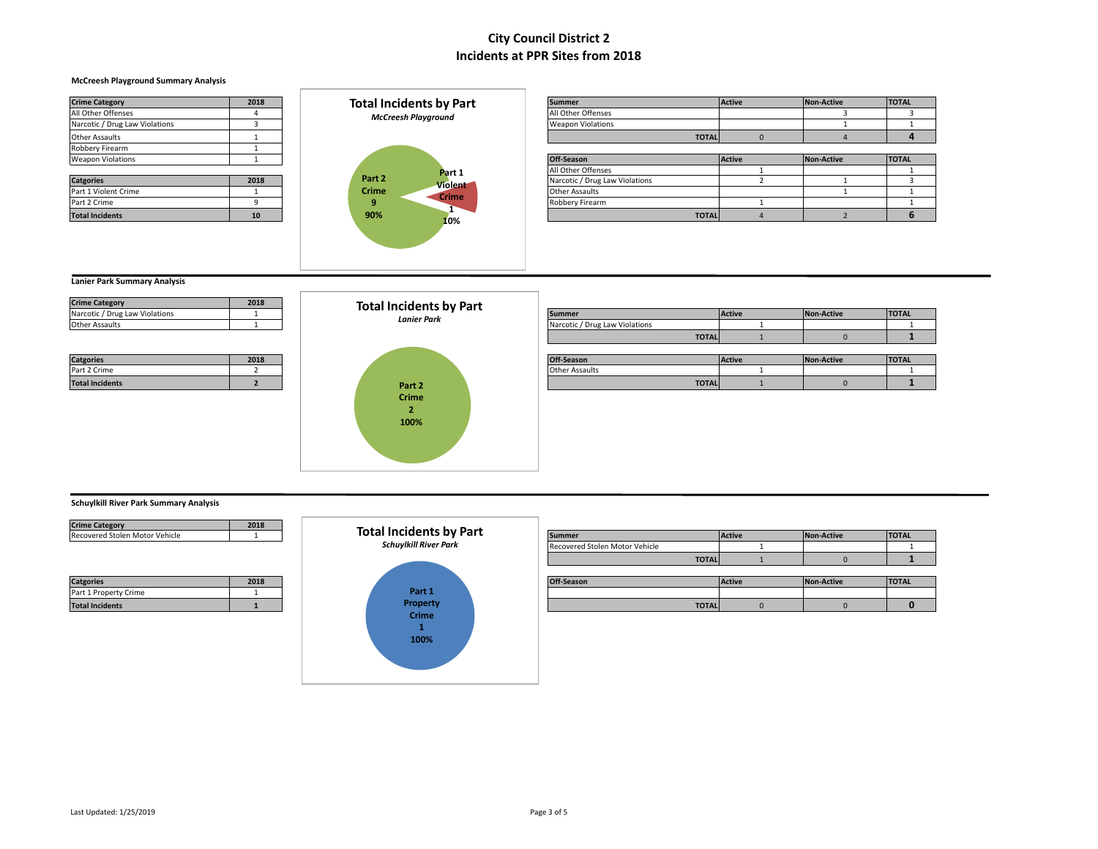#### **McCreesh Playground Summary Analysis**

| <b>Crime Category</b>          | 2018 | <b>Total Incidents by Part</b> |  |  |  |  |
|--------------------------------|------|--------------------------------|--|--|--|--|
| All Other Offenses             | 4    | <b>McCreesh Playground</b>     |  |  |  |  |
| Narcotic / Drug Law Violations | 3    |                                |  |  |  |  |
| <b>Other Assaults</b>          |      |                                |  |  |  |  |
| Robbery Firearm                |      |                                |  |  |  |  |
| <b>Weapon Violations</b>       |      |                                |  |  |  |  |
|                                |      | Part 1                         |  |  |  |  |
| <b>Catgories</b>               | 2018 | Part 2<br><b>Violent</b>       |  |  |  |  |
| Part 1 Violent Crime           |      | Crime<br>Crime                 |  |  |  |  |
| Part 2 Crime                   | 9    | 9                              |  |  |  |  |
| <b>Total Incidents</b>         | 10   | ſ<br>90%                       |  |  |  |  |
|                                |      | 10%                            |  |  |  |  |

| <b>Crime Category</b>          | 2018 | <b>Total Incidents by Part</b> | Summer                   | <b>Active</b> | Non-Active | <b>TOTAL</b> |
|--------------------------------|------|--------------------------------|--------------------------|---------------|------------|--------------|
| All Other Offenses             |      | <b>McCreesh Playground</b>     | All Other Offenses       |               |            |              |
| Narcotic / Drug Law Violations |      |                                | <b>Weapon Violations</b> |               |            |              |
| Other Assaults                 |      |                                | <b>TOTAL</b>             |               |            |              |
| Robbery Firearm                |      |                                |                          |               |            |              |
| <b>Weapon Violations</b>       |      |                                | Off-Season               | <b>Active</b> | Non-Active | <b>TOTAL</b> |
|                                |      | Part 1                         | All Other Offenses       |               |            |              |

|                        |      |                   |                      | -----------                    | . | ------- |
|------------------------|------|-------------------|----------------------|--------------------------------|---|---------|
|                        |      |                   | Part 1               | All Other Offenses             |   |         |
| <b>Catgories</b>       | 2018 | Part <sub>2</sub> | Violent <sup>7</sup> | Narcotic / Drug Law Violations |   |         |
| Part 1 Violent Crime   |      | <b>Crime</b>      | Crime                | <b>Other Assaults</b>          |   |         |
| Part 2 Crime           |      |                   |                      | Robbery Firearm                |   |         |
| <b>Total Incidents</b> | 10   | 90%               | $\overline{a}$       | <b>TOTAL</b>                   |   |         |

### **Lanier Park Summary Analysis**

| Narcotic / Drug Law Violations |  |
|--------------------------------|--|
| <b>Other Assaults</b>          |  |

| <b>Catgories</b>       | 2018 |
|------------------------|------|
| Part 2 Crime           |      |
| <b>Total Incidents</b> |      |



|                                |      | TOLAI MUQUEMIS DY PAIL |                                |               |                   |              |
|--------------------------------|------|------------------------|--------------------------------|---------------|-------------------|--------------|
| Narcotic / Drug Law Violations |      | <b>Lanier Park</b>     | Summer                         | <b>Active</b> | <b>Non-Active</b> | <b>TOTAL</b> |
| Other Assaults                 |      |                        | Narcotic / Drug Law Violations |               |                   |              |
|                                |      |                        | <b>TOTAL</b>                   |               |                   |              |
|                                |      |                        |                                |               |                   |              |
| <b>Catgories</b>               | 2018 |                        | Off-Season                     | Active        | Non-Active        | <b>TOTAL</b> |
| Part 2 Crime                   |      |                        | <b>Other Assaults</b>          |               |                   |              |
| <b>Total Incidents</b>         |      | Part 2                 | <b>TOTAL</b>                   |               |                   |              |
|                                |      |                        |                                |               |                   |              |

### **Schuylkill River Park Summary Analysis**

| <b>Crime Category</b>                     | 2018 |
|-------------------------------------------|------|
| Recovered Stolen Motor Vehicle            |      |
|                                           |      |
|                                           |      |
|                                           |      |
|                                           |      |
|                                           | 2018 |
| <b>Catgories</b><br>Part 1 Property Crime |      |



| Crime Category                 | <b>2010</b> |                                |                                |        |            |              |
|--------------------------------|-------------|--------------------------------|--------------------------------|--------|------------|--------------|
| Recovered Stolen Motor Vehicle |             | <b>Total Incidents by Part</b> | <b>Summer</b>                  | Active | Non-Active | <b>TOTAL</b> |
|                                |             | <b>Schuylkill River Park</b>   | Recovered Stolen Motor Vehicle |        |            |              |
|                                |             |                                | <b>TOTAL</b>                   |        |            |              |
|                                |             |                                |                                |        |            |              |
| <b>Catgories</b>               | 2018        |                                | Off-Season                     | Active | Non-Active | <b>TOTAL</b> |
| Part 1 Property Crime          |             | Part 1                         |                                |        |            |              |
| <b>Total Incidents</b>         |             | <b>Property</b>                | <b>TOTAL</b>                   |        |            |              |
|                                |             | Crimo                          |                                |        |            |              |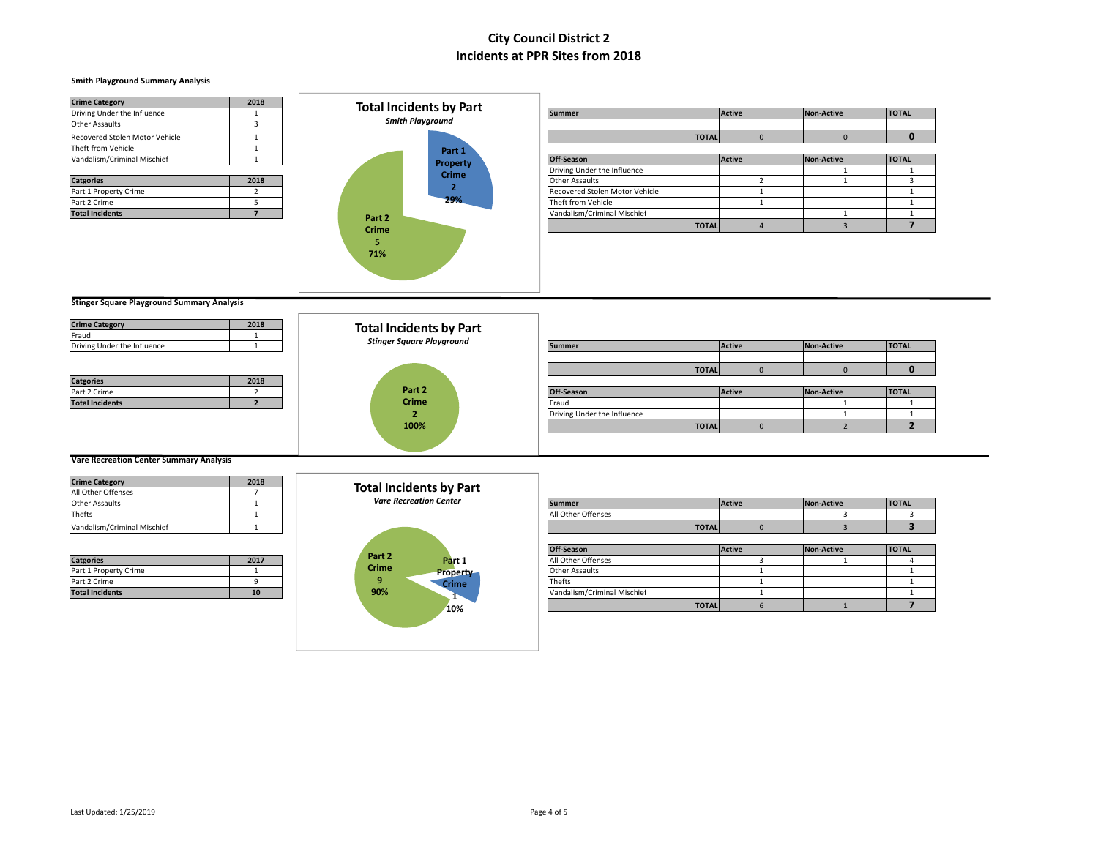#### **Smith Playground Summary Analysis**

| <b>Crime Category</b>          | 2018 |          | <b>Total Incidents by Part</b> |                                |               |                   |              |
|--------------------------------|------|----------|--------------------------------|--------------------------------|---------------|-------------------|--------------|
| Driving Under the Influence    |      |          |                                | <b>Summer</b>                  | <b>Active</b> | <b>Non-Active</b> | <b>TOTAL</b> |
| <b>Other Assaults</b>          |      |          | <b>Smith Playground</b>        |                                |               |                   |              |
| Recovered Stolen Motor Vehicle |      |          |                                |                                | <b>TOTAL</b>  |                   |              |
| Theft from Vehicle             |      |          | Part 1                         |                                |               |                   |              |
| Vandalism/Criminal Mischief    |      |          | <b>Property</b>                | Off-Season                     | Active        | <b>Non-Active</b> | <b>TOTAL</b> |
|                                |      |          | <b>Crime</b>                   | Driving Under the Influence    |               |                   |              |
| <b>Catgories</b>               | 2018 |          |                                | Other Assaults                 |               |                   |              |
| Part 1 Property Crime          |      |          |                                | Recovered Stolen Motor Vehicle |               |                   |              |
| Part 2 Crime                   |      |          | 29%                            | Theft from Vehicle             |               |                   |              |
| <b>Total Incidents</b>         |      | $D2 + 2$ |                                | Vandalism/Criminal Mischief    |               |                   |              |



| Driving Under the Influence    |      |        | <b>IVIAI IIILIUCIILO DY FAI L</b> | <b>Summer</b>                  |              | Active        | Non-Active | <b>TOTAL</b> |
|--------------------------------|------|--------|-----------------------------------|--------------------------------|--------------|---------------|------------|--------------|
| Other Assaults                 |      |        | <b>Smith Playground</b>           |                                |              |               |            |              |
| Recovered Stolen Motor Vehicle |      |        |                                   |                                | <b>TOTAL</b> |               |            |              |
| Theft from Vehicle             |      |        | Part 1                            |                                |              |               |            |              |
| Vandalism/Criminal Mischief    |      |        | Property                          | Off-Season                     |              | <b>Active</b> | Non-Active | <b>TOTAL</b> |
|                                |      |        | <b>Crime</b>                      | Driving Under the Influence    |              |               |            |              |
| <b>Catgories</b>               | 2018 |        |                                   | <b>Other Assaults</b>          |              |               |            |              |
| Part 1 Property Crime          |      |        |                                   | Recovered Stolen Motor Vehicle |              |               |            |              |
| Part 2 Crime                   |      |        | 29%                               | Theft from Vehicle             |              |               |            |              |
| <b>Total Incidents</b>         |      | Part 2 |                                   | Vandalism/Criminal Mischief    |              |               |            |              |
|                                |      | Crime  |                                   |                                | <b>TOTAL</b> |               |            |              |

**Stinger Square Playground Summary Analysis**

| <b>Crime Category</b>       | 2018 | <b>Total Incidents by Part</b>   |                             |              |        |            |              |
|-----------------------------|------|----------------------------------|-----------------------------|--------------|--------|------------|--------------|
| Fraud                       |      |                                  |                             |              |        |            |              |
| Driving Under the Influence |      | <b>Stinger Square Playground</b> | <b>Summer</b>               |              | Active | Non-Active | <b>TOTAL</b> |
|                             |      |                                  |                             |              |        |            |              |
|                             |      |                                  |                             | <b>TOTAL</b> |        |            | $\bf{0}$     |
| <b>Catgories</b>            | 2018 |                                  |                             |              |        |            |              |
| Part 2 Crime                |      | Part 2                           | Off-Season                  |              | Active | Non-Active | <b>TOTAL</b> |
| <b>Total Incidents</b>      |      | <b>Crime</b>                     | Fraud                       |              |        |            |              |
|                             |      |                                  | Driving Under the Influence |              |        |            |              |
|                             |      | 100%                             |                             | <b>TOTAL</b> |        |            |              |
|                             |      |                                  |                             |              |        |            |              |
|                             |      |                                  |                             |              |        |            |              |

### **Vare Recreation Center Summary Analysis**

| <b>Crime Category</b>       | 2018 |
|-----------------------------|------|
| All Other Offenses          |      |
| <b>Other Assaults</b>       |      |
| Thefts                      |      |
| Vandalism/Criminal Mischief |      |

| <b>Catgories</b>       | 2017 |
|------------------------|------|
| Part 1 Property Crime  |      |
| Part 2 Crime           |      |
| <b>Total Incidents</b> | 10   |

**Total Incidents by Part**

#### *Vare Recreation Center*



| Other Assaults              |      | <b>Vare Recreation Center</b>   | <b>Summer</b>               | Active | Non-Active | <b>TOTAL</b> |
|-----------------------------|------|---------------------------------|-----------------------------|--------|------------|--------------|
| Thefts                      |      |                                 | All Other Offenses          |        |            |              |
| Vandalism/Criminal Mischief |      |                                 | <b>TOTAL</b>                |        |            |              |
|                             |      |                                 |                             |        |            |              |
|                             |      |                                 | Off-Season                  | Active | Non-Active | <b>TOTAL</b> |
| <b>Catgories</b>            | 2017 | Part 2<br>Part 1                | All Other Offenses          |        |            |              |
| Part 1 Property Crime       |      | <b>Crime</b><br><b>Property</b> | <b>Other Assaults</b>       |        |            |              |
| Part 2 Crime                |      | <b>Crime</b>                    | Thefts                      |        |            |              |
| <b>Total Incidents</b>      |      | 90%                             | Vandalism/Criminal Mischief |        |            |              |
|                             |      | . .<br>10%                      | <b>TOTAL</b>                |        |            |              |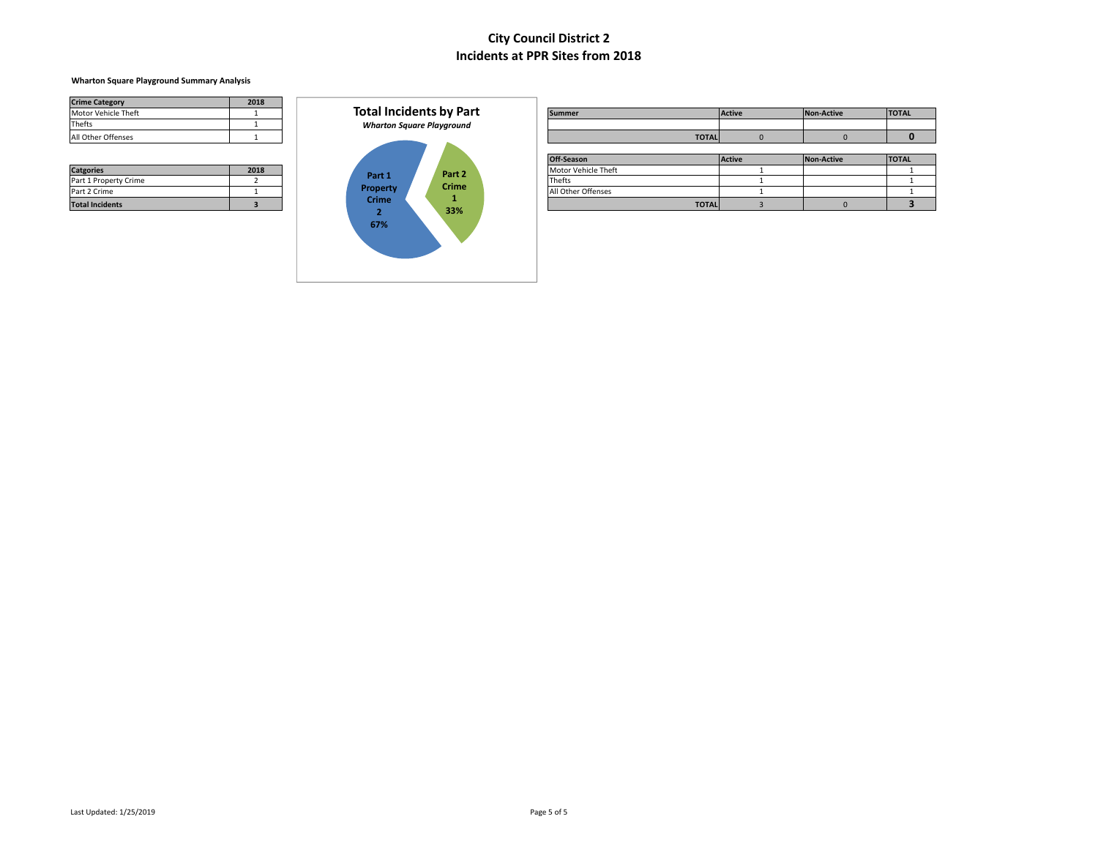### **Wharton Square Playground Summary Analysis**

| <b>Crime Category</b> | 2018 |
|-----------------------|------|
| Motor Vehicle Theft   |      |
| Thefts                |      |
| All Other Offenses    |      |

| <b>Catgories</b>       | 2018 |
|------------------------|------|
| Part 1 Property Crime  |      |
| Part 2 Crime           |      |
| <b>Total Incidents</b> |      |



| _____________          | ____ |              |                                  |                     |               |            |              |
|------------------------|------|--------------|----------------------------------|---------------------|---------------|------------|--------------|
| Motor Vehicle Theft    |      |              | <b>Total Incidents by Part</b>   | <b>Summer</b>       | <b>Active</b> | Non-Active | <b>TOTAL</b> |
| Thefts                 |      |              | <b>Wharton Square Playground</b> |                     |               |            |              |
| All Other Offenses     |      |              |                                  | <b>TOTAL</b>        |               |            |              |
|                        |      |              |                                  |                     |               |            |              |
|                        |      |              |                                  | Off-Season          | <b>Active</b> | Non-Active | <b>TOTAL</b> |
| <b>Catgories</b>       | 2018 |              | Part 2                           | Motor Vehicle Theft |               |            |              |
| Part 1 Property Crime  |      | Part 1       | <b>Crime</b>                     | <b>Thefts</b>       |               |            |              |
| Part 2 Crime           |      | Property     |                                  | All Other Offenses  |               |            |              |
| <b>Total Incidents</b> |      | <b>Crime</b> | 22%                              | <b>TOTAL</b>        |               |            |              |
|                        |      |              |                                  |                     |               |            |              |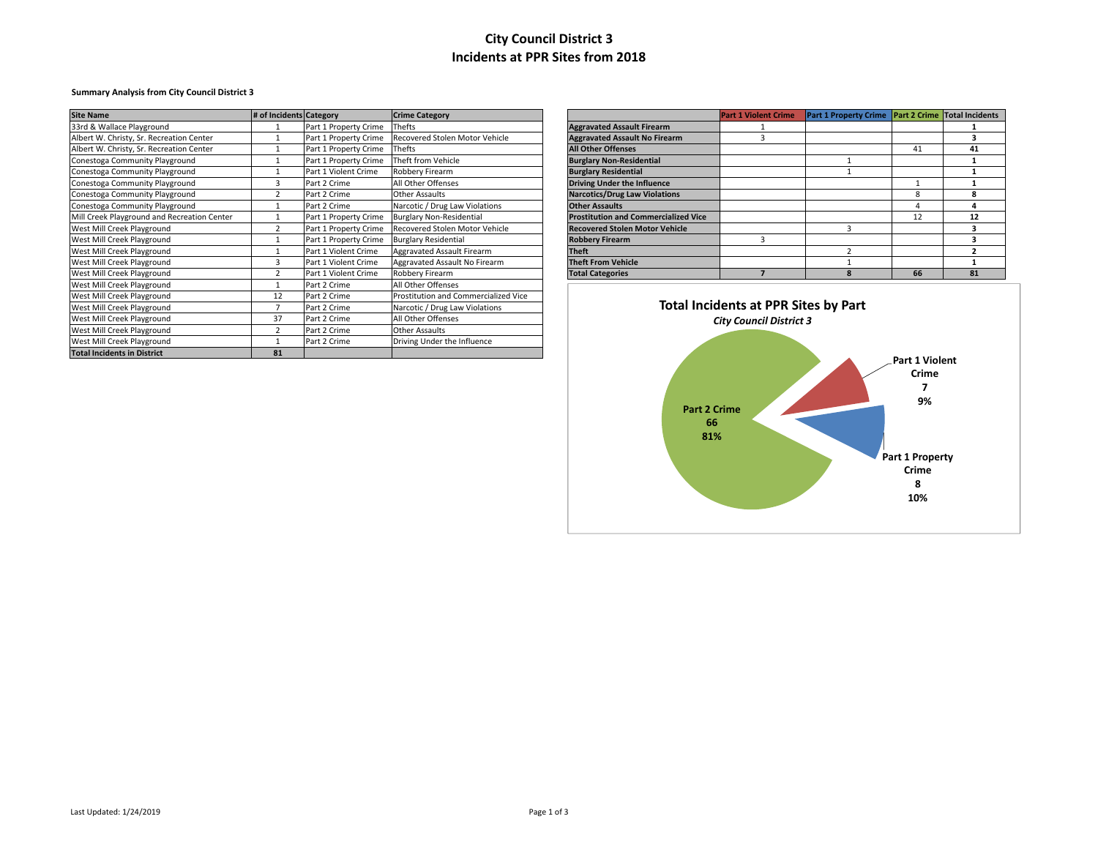### **Summary Analysis from City Council District 3**

| <b>Site Name</b>                            | # of Incidents Category |                       | <b>Crime Category</b>                |                                             | <b>Part 1 Violent Crime</b>    | Part 1 Property Crime Part 2 Crime Total Incidents |                       |    |
|---------------------------------------------|-------------------------|-----------------------|--------------------------------------|---------------------------------------------|--------------------------------|----------------------------------------------------|-----------------------|----|
| 33rd & Wallace Playground                   |                         | Part 1 Property Crime | <b>Thefts</b>                        | <b>Aggravated Assault Firearm</b>           |                                |                                                    |                       |    |
| Albert W. Christy, Sr. Recreation Center    |                         | Part 1 Property Crime | Recovered Stolen Motor Vehicle       | <b>Aggravated Assault No Firearm</b>        |                                |                                                    |                       |    |
| Albert W. Christy, Sr. Recreation Center    |                         | Part 1 Property Crime | Thefts                               | <b>All Other Offenses</b>                   |                                |                                                    | 41                    | 41 |
| Conestoga Community Playground              |                         | Part 1 Property Crime | Theft from Vehicle                   | <b>Burglary Non-Residential</b>             |                                |                                                    |                       |    |
| Conestoga Community Playground              |                         | Part 1 Violent Crime  | Robbery Firearm                      | <b>Burglary Residential</b>                 |                                |                                                    |                       |    |
| Conestoga Community Playground              |                         | Part 2 Crime          | All Other Offenses                   | <b>Driving Under the Influence</b>          |                                |                                                    |                       |    |
| Conestoga Community Playground              |                         | Part 2 Crime          | <b>Other Assaults</b>                | <b>Narcotics/Drug Law Violations</b>        |                                |                                                    | 8                     |    |
| Conestoga Community Playground              |                         | Part 2 Crime          | Narcotic / Drug Law Violations       | <b>Other Assaults</b>                       |                                |                                                    |                       |    |
| Mill Creek Playground and Recreation Center |                         | Part 1 Property Crime | <b>Burglary Non-Residential</b>      | <b>Prostitution and Commercialized Vice</b> |                                |                                                    | 12                    | 12 |
| West Mill Creek Playground                  |                         | Part 1 Property Crime | Recovered Stolen Motor Vehicle       | <b>Recovered Stolen Motor Vehicle</b>       |                                |                                                    |                       |    |
| West Mill Creek Playground                  |                         | Part 1 Property Crime | <b>Burglary Residential</b>          | <b>Robbery Firearm</b>                      |                                |                                                    |                       |    |
| West Mill Creek Playground                  |                         | Part 1 Violent Crime  | Aggravated Assault Firearm           | <b>Theft</b>                                |                                |                                                    |                       |    |
| West Mill Creek Playground                  |                         | Part 1 Violent Crime  | Aggravated Assault No Firearm        | <b>Theft From Vehicle</b>                   |                                |                                                    |                       |    |
| West Mill Creek Playground                  |                         | Part 1 Violent Crime  | Robbery Firearm                      | <b>Total Categories</b>                     |                                |                                                    | 66                    | 81 |
| West Mill Creek Playground                  |                         | Part 2 Crime          | All Other Offenses                   |                                             |                                |                                                    |                       |    |
| West Mill Creek Playground                  | 12                      | Part 2 Crime          | Prostitution and Commercialized Vice |                                             |                                |                                                    |                       |    |
| West Mill Creek Playground                  |                         | Part 2 Crime          | Narcotic / Drug Law Violations       | Total Incidents at PPR Sites by Part        |                                |                                                    |                       |    |
| West Mill Creek Playground                  | 37                      | Part 2 Crime          | All Other Offenses                   |                                             | <b>City Council District 3</b> |                                                    |                       |    |
| West Mill Creek Playground                  |                         | Part 2 Crime          | <b>Other Assaults</b>                |                                             |                                |                                                    |                       |    |
| West Mill Creek Playground                  |                         | Part 2 Crime          | Driving Under the Influence          |                                             |                                |                                                    |                       |    |
| <b>Total Incidents in District</b>          | 81                      |                       |                                      |                                             |                                |                                                    | <b>Book 4 Million</b> |    |

|                                             | <b>Part 1 Violent Crime</b> | <b>Part 1 Property Crime</b> |    | <b>Part 2 Crime Total Incidents</b> |
|---------------------------------------------|-----------------------------|------------------------------|----|-------------------------------------|
| <b>Aggravated Assault Firearm</b>           |                             |                              |    |                                     |
| <b>Aggravated Assault No Firearm</b>        | 3                           |                              |    |                                     |
| <b>All Other Offenses</b>                   |                             |                              | 41 | 41                                  |
| <b>Burglary Non-Residential</b>             |                             |                              |    |                                     |
| <b>Burglary Residential</b>                 |                             |                              |    |                                     |
| <b>Driving Under the Influence</b>          |                             |                              |    |                                     |
| <b>Narcotics/Drug Law Violations</b>        |                             |                              | 8  | 8                                   |
| <b>Other Assaults</b>                       |                             |                              | 4  | Δ                                   |
| <b>Prostitution and Commercialized Vice</b> |                             |                              | 12 | 12                                  |
| <b>Recovered Stolen Motor Vehicle</b>       |                             | 3                            |    | 3                                   |
| <b>Robbery Firearm</b>                      | 3                           |                              |    |                                     |
| <b>Theft</b>                                |                             | 2                            |    |                                     |
| <b>Theft From Vehicle</b>                   |                             |                              |    |                                     |
| <b>Total Categories</b>                     |                             | Ջ                            | 66 | 81                                  |

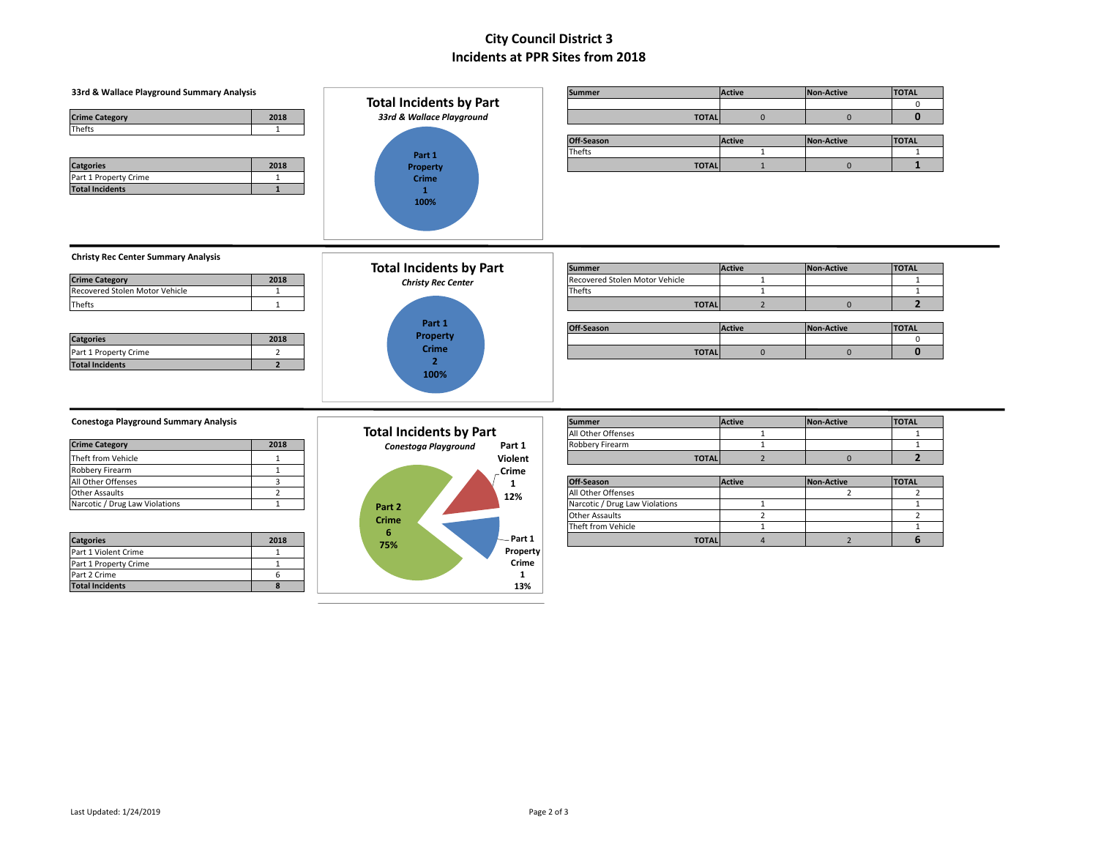|                                                                                                            |                                | <b>Summer</b>                                        | <b>Active</b>  | <b>Non-Active</b> | <b>TOTAL</b>                   |
|------------------------------------------------------------------------------------------------------------|--------------------------------|------------------------------------------------------|----------------|-------------------|--------------------------------|
|                                                                                                            | <b>Total Incidents by Part</b> |                                                      |                |                   | $\mathbf 0$                    |
| 2018<br><b>Crime Category</b>                                                                              | 33rd & Wallace Playground      | <b>TOTAL</b>                                         | $\mathbf{0}$   | $\mathbf{0}$      | $\mathbf{0}$                   |
| Thefts<br>$\mathbf{1}$                                                                                     |                                |                                                      |                |                   |                                |
|                                                                                                            |                                | Off-Season                                           | <b>Active</b>  | <b>Non-Active</b> | <b>TOTAL</b>                   |
|                                                                                                            | Part 1                         | <b>Thefts</b>                                        | 1              |                   | $\mathbf{1}$                   |
| <b>Catgories</b><br>2018                                                                                   | Property                       | <b>TOTAL</b>                                         | $\mathbf{1}$   | $\mathbf 0$       | $\mathbf{1}$                   |
| Part 1 Property Crime<br>$\mathbf{1}$                                                                      | <b>Crime</b>                   |                                                      |                |                   |                                |
| $\mathbf{1}$<br><b>Total Incidents</b>                                                                     | $\mathbf{1}$                   |                                                      |                |                   |                                |
|                                                                                                            | 100%                           |                                                      |                |                   |                                |
|                                                                                                            |                                |                                                      |                |                   |                                |
|                                                                                                            |                                |                                                      |                |                   |                                |
|                                                                                                            |                                |                                                      |                |                   |                                |
| <b>Christy Rec Center Summary Analysis</b>                                                                 |                                |                                                      |                |                   |                                |
|                                                                                                            | <b>Total Incidents by Part</b> | <b>Summer</b>                                        | <b>Active</b>  | <b>Non-Active</b> | <b>TOTAL</b>                   |
| 2018<br><b>Crime Category</b>                                                                              | <b>Christy Rec Center</b>      | Recovered Stolen Motor Vehicle                       | 1              |                   | $\mathbf{1}$                   |
| Recovered Stolen Motor Vehicle<br>$\mathbf{1}$                                                             |                                | Thefts                                               | $\mathbf{1}$   |                   | $\mathbf{1}$                   |
| Thefts<br>$\mathbf{1}$                                                                                     |                                | <b>TOTAL</b>                                         | $\overline{2}$ | $\mathbf{0}$      | $\overline{2}$                 |
|                                                                                                            |                                |                                                      |                |                   |                                |
|                                                                                                            | Part 1                         | Off-Season                                           | Active         | <b>Non-Active</b> | <b>TOTAL</b>                   |
| 2018<br><b>Catgories</b>                                                                                   | Property                       |                                                      |                |                   | 0                              |
|                                                                                                            |                                |                                                      |                |                   |                                |
| Part 1 Property Crime<br>$\overline{2}$                                                                    | <b>Crime</b>                   | <b>TOTAL</b>                                         | $\mathbf{0}$   | $\mathbf 0$       | $\mathbf{0}$                   |
| $\overline{2}$<br><b>Total Incidents</b>                                                                   | $\overline{2}$                 |                                                      |                |                   |                                |
|                                                                                                            | 100%                           |                                                      |                |                   |                                |
|                                                                                                            |                                |                                                      |                |                   |                                |
|                                                                                                            |                                |                                                      |                |                   |                                |
|                                                                                                            |                                |                                                      |                |                   |                                |
|                                                                                                            |                                | <b>Summer</b>                                        | <b>Active</b>  | <b>Non-Active</b> | <b>TOTAL</b>                   |
|                                                                                                            | <b>Total Incidents by Part</b> | All Other Offenses                                   | $\mathbf{1}$   |                   | $\mathbf{1}$                   |
| 2018                                                                                                       | Conestoga Playground<br>Part 1 | Robbery Firearm                                      | 1              |                   | $\mathbf{1}$                   |
| Theft from Vehicle<br>$\mathbf{1}$                                                                         | Violent                        | <b>TOTAL</b>                                         | $\overline{2}$ | $\mathbf{0}$      | $\overline{2}$                 |
| Robbery Firearm<br>$\mathbf{1}$                                                                            | .Crime                         |                                                      |                |                   |                                |
| $\overline{3}$                                                                                             | 1                              | Off-Season                                           | <b>Active</b>  | <b>Non-Active</b> | <b>TOTAL</b>                   |
| $\overline{2}$<br><b>Other Assaults</b><br>$\mathbf{1}$                                                    | 12%                            | All Other Offenses<br>Narcotic / Drug Law Violations | $\mathbf{1}$   | $\overline{2}$    | $\overline{2}$<br>$\mathbf{1}$ |
|                                                                                                            | Part 2                         | <b>Other Assaults</b>                                | $\overline{2}$ |                   | $\overline{2}$                 |
| <b>Crime Category</b><br>All Other Offenses                                                                | <b>Crime</b>                   | Theft from Vehicle                                   | $\mathbf{1}$   |                   | $\mathbf{1}$                   |
| <b>Conestoga Playground Summary Analysis</b><br>Narcotic / Drug Law Violations<br><b>Catgories</b><br>2018 | 6<br>Part 1                    | <b>TOTAL</b>                                         | $\overline{4}$ | $\overline{2}$    | 6                              |
| Part 1 Violent Crime<br>1                                                                                  | 75%<br>Property                |                                                      |                |                   |                                |
| Part 1 Property Crime<br>$\mathbf{1}$                                                                      | Crime                          |                                                      |                |                   |                                |
| 6<br>Part 2 Crime                                                                                          | 1                              |                                                      |                |                   |                                |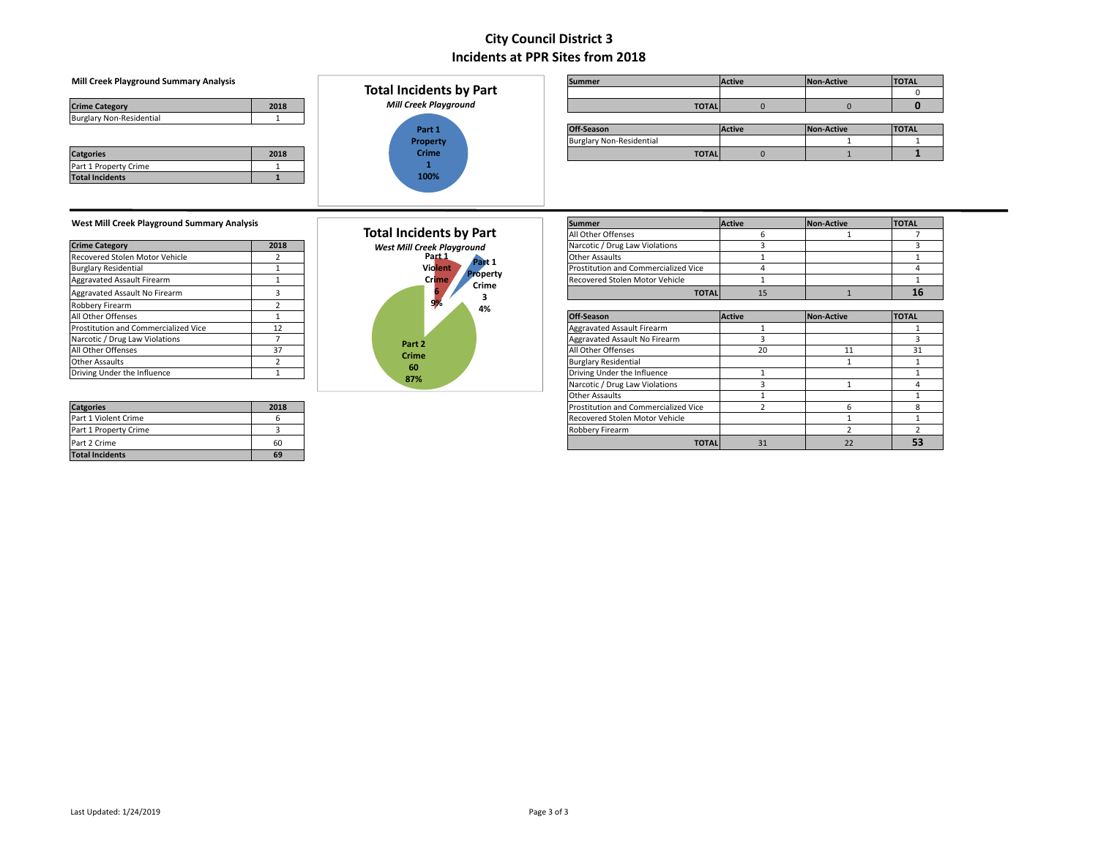### **Mill Creek Playground Summary Analysis**

| <b>Crime Category</b>           |  |
|---------------------------------|--|
| <b>Burglary Non-Residential</b> |  |

| <b>Catgories</b>       | 2018 |
|------------------------|------|
| Part 1 Property Crime  |      |
| <b>Total Incidents</b> |      |



| Mill Creek Playground Summary Analysis |      | <b>Total Incidents by Part</b> | <b>Summer</b>                   |               | <b>Active</b> | Non-Active | <b>TOTAL</b> |
|----------------------------------------|------|--------------------------------|---------------------------------|---------------|---------------|------------|--------------|
| <b>Crime Category</b>                  | 2018 | <b>Mill Creek Playground</b>   |                                 | <b>TOTALI</b> |               |            |              |
| <b>Burglary Non-Residential</b>        |      |                                |                                 |               |               |            |              |
|                                        |      | Part 1                         | Off-Season                      |               | <b>Active</b> | Non-Active | <b>TOTAL</b> |
|                                        |      | Property                       | <b>Burglary Non-Residential</b> |               |               |            |              |
| <b>Catgories</b>                       | 2018 | <b>Crime</b>                   |                                 | <b>TOTALI</b> |               |            |              |

 $\overline{\phantom{0}}$ 

# **West Mill Creek Playground Summary Analysis Summer Active Active Active Active Active Active Active Active Active Active Active Active Active Active Active Active Active Active Active Active Active Active Active Active**

| <b>Crime Category</b>                | 2018     |
|--------------------------------------|----------|
| Recovered Stolen Motor Vehicle       | 2        |
| <b>Burglary Residential</b>          |          |
| <b>Aggravated Assault Firearm</b>    |          |
| Aggravated Assault No Firearm        | 3        |
| Robbery Firearm                      | <b>C</b> |
| All Other Offenses                   |          |
| Prostitution and Commercialized Vice | 12       |
| Narcotic / Drug Law Violations       |          |
| All Other Offenses                   | 37       |
| <b>Other Assaults</b>                |          |
| Driving Under the Influence          |          |

| <b>Catgories</b>       | 2018 |
|------------------------|------|
| Part 1 Violent Crime   | h    |
| Part 1 Property Crime  |      |
| Part 2 Crime           | 60   |
| <b>Total Incidents</b> | 69   |

|        | <b>Total Incidents by Part</b><br>West Mill Creek Playground<br>Part <sub>1</sub><br>Part 1<br><b>Violent</b><br><b>Property</b><br>Crime<br>Crime<br>6<br>з |
|--------|--------------------------------------------------------------------------------------------------------------------------------------------------------------|
|        | 4%                                                                                                                                                           |
|        |                                                                                                                                                              |
| Part 2 |                                                                                                                                                              |
| Crime  |                                                                                                                                                              |
| 60     |                                                                                                                                                              |
| 87%    |                                                                                                                                                              |

| west ivilli Creek Playground Summary Analysis |      |                                   | <b>ISummer</b>                       | <b>Active</b> | <b>INON-ACTIVE</b> | <b>IUIAL</b> |
|-----------------------------------------------|------|-----------------------------------|--------------------------------------|---------------|--------------------|--------------|
|                                               |      | <b>Total Incidents by Part</b>    | All Other Offenses                   |               |                    |              |
| <b>Crime Category</b>                         | 2018 | <b>West Mill Creek Playground</b> | Narcotic / Drug Law Violations       |               |                    |              |
| Recovered Stolen Motor Vehicle                |      | Part 1<br>Part 1                  | <b>Other Assaults</b>                |               |                    |              |
| <b>Burglary Residential</b>                   |      | Violent                           | Prostitution and Commercialized Vice |               |                    |              |
| Aggravated Assault Firearm                    |      | <b>Property</b><br><b>Crime</b>   | Recovered Stolen Motor Vehicle       |               |                    |              |
| Aggravated Assault No Firearm                 |      | Crime                             | <b>TOTAL</b>                         | 15            |                    | 16           |
| Robbery Firearm                               |      | 4%                                |                                      |               |                    |              |
| All Other Offenses                            |      |                                   | Off-Season                           | Active        | Non-Active         | <b>TOTAL</b> |
| Prostitution and Commercialized Vice          | 12   |                                   | Aggravated Assault Firearm           |               |                    |              |
| Narcotic / Drug Law Violations                |      | Part 2                            | Aggravated Assault No Firearm        |               |                    |              |
| All Other Offenses                            | 37   | Crime                             | All Other Offenses                   | 20            | 11                 | 31           |
| Other Assaults                                |      | 60                                | <b>Burglary Residential</b>          |               |                    |              |
| Driving Under the Influence                   |      |                                   | Driving Under the Influence          |               |                    |              |
|                                               |      | 87%                               | Narcotic / Drug Law Violations       |               |                    |              |
|                                               |      |                                   | <b>Other Assaults</b>                |               |                    |              |
| <b>Catgories</b>                              | 2018 |                                   | Prostitution and Commercialized Vice |               |                    |              |
| Part 1 Violent Crime                          |      |                                   | Recovered Stolen Motor Vehicle       |               |                    |              |
| Part 1 Property Crime                         |      |                                   | Robbery Firearm                      |               |                    |              |
| Part 2 Crime                                  | 60   |                                   | <b>TOTAL</b>                         | 31            | 22                 | 53           |
|                                               |      |                                   |                                      |               |                    |              |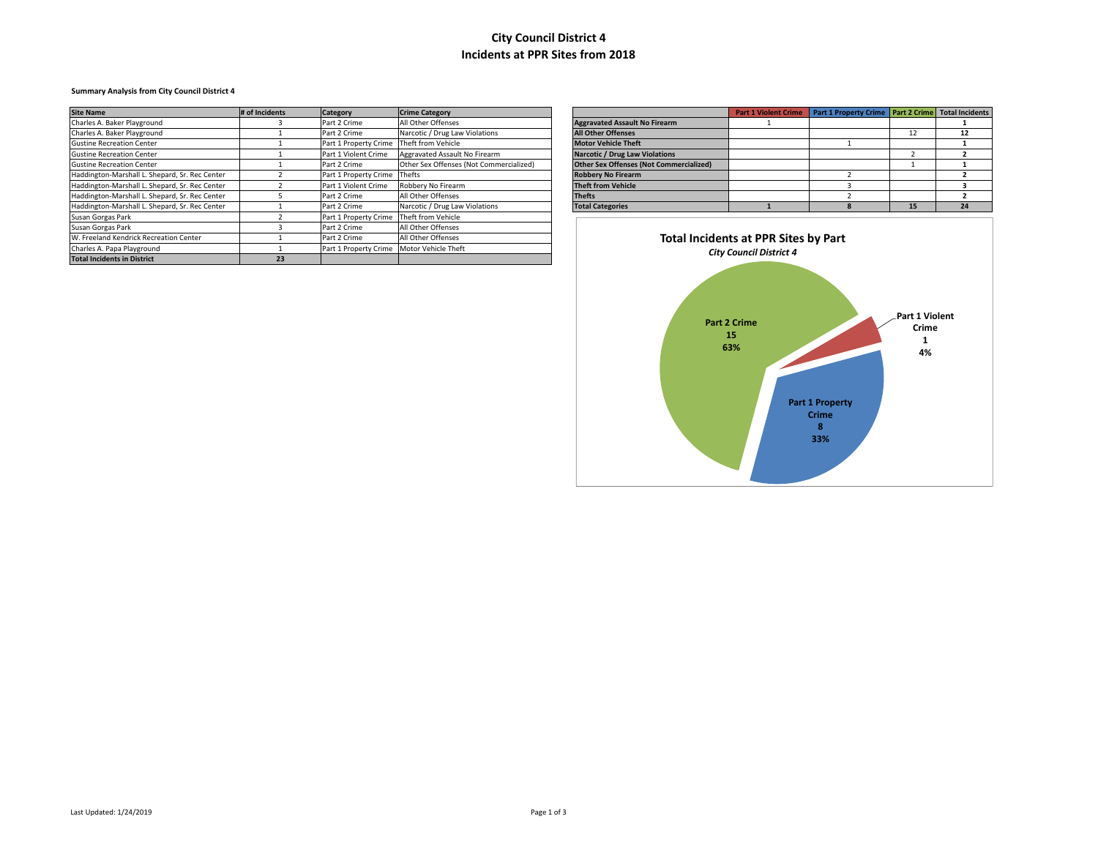### **Summary Analysis from City Council District 4**

| <b>Site Name</b>                               | # of Incidents | <b>Category</b>              | <b>Crime Category</b>                   |                                      |                                                | <b>Part 1 Violent Crime</b> | Part 1 Property Crime   Part 2 Crime   Total Incidents |    |    |
|------------------------------------------------|----------------|------------------------------|-----------------------------------------|--------------------------------------|------------------------------------------------|-----------------------------|--------------------------------------------------------|----|----|
| Charles A. Baker Playground                    |                | Part 2 Crime                 | All Other Offenses                      |                                      | <b>Aggravated Assault No Firearm</b>           |                             |                                                        |    |    |
| Charles A. Baker Playground                    |                | Part 2 Crime                 | Narcotic / Drug Law Violations          |                                      | <b>All Other Offenses</b>                      |                             |                                                        | 12 | 12 |
| <b>Gustine Recreation Center</b>               |                | Part 1 Property Crime        | Theft from Vehicle                      |                                      | <b>Motor Vehicle Theft</b>                     |                             |                                                        |    |    |
| <b>Gustine Recreation Center</b>               |                | Part 1 Violent Crime         | Aggravated Assault No Firearm           |                                      | <b>Narcotic / Drug Law Violations</b>          |                             |                                                        |    |    |
| <b>Gustine Recreation Center</b>               |                | Part 2 Crime                 | Other Sex Offenses (Not Commercialized) |                                      | <b>Other Sex Offenses (Not Commercialized)</b> |                             |                                                        |    |    |
| Haddington-Marshall L. Shepard, Sr. Rec Center |                | Part 1 Property Crime Thefts |                                         |                                      | <b>Robbery No Firearm</b>                      |                             |                                                        |    |    |
| Haddington-Marshall L. Shepard, Sr. Rec Center |                | Part 1 Violent Crime         | Robbery No Firearm                      |                                      | <b>Theft from Vehicle</b>                      |                             |                                                        |    |    |
| Haddington-Marshall L. Shepard, Sr. Rec Center |                | Part 2 Crime                 | All Other Offenses                      |                                      | <b>Thefts</b>                                  |                             |                                                        |    |    |
| Haddington-Marshall L. Shepard, Sr. Rec Center |                | Part 2 Crime                 | Narcotic / Drug Law Violations          |                                      | <b>Total Categories</b>                        |                             |                                                        | 15 | 24 |
| Susan Gorgas Park                              |                | Part 1 Property Crime        | Theft from Vehicle                      |                                      |                                                |                             |                                                        |    |    |
| Susan Gorgas Park                              |                | Part 2 Crime                 | All Other Offenses                      |                                      |                                                |                             |                                                        |    |    |
| W. Freeland Kendrick Recreation Center         |                | Part 2 Crime                 | All Other Offenses                      | Total Incidents at PPR Sites by Part |                                                |                             |                                                        |    |    |
| Charles A. Papa Playground                     |                | Part 1 Property Crime        | Motor Vehicle Theft                     | <b>City Council District 4</b>       |                                                |                             |                                                        |    |    |
| <b>Total Incidents in District</b>             | 23             |                              |                                         |                                      |                                                |                             |                                                        |    |    |

|                                                | <b>Part 1 Violent Crime</b> | Part 1 Property Crime   Part 2 Crime   Total Incidents |    |    |
|------------------------------------------------|-----------------------------|--------------------------------------------------------|----|----|
| <b>Aggravated Assault No Firearm</b>           |                             |                                                        |    |    |
| <b>All Other Offenses</b>                      |                             |                                                        | 12 | 12 |
| <b>Motor Vehicle Theft</b>                     |                             |                                                        |    |    |
| <b>Narcotic / Drug Law Violations</b>          |                             |                                                        |    |    |
| <b>Other Sex Offenses (Not Commercialized)</b> |                             |                                                        |    |    |
| <b>Robbery No Firearm</b>                      |                             |                                                        |    |    |
| <b>Theft from Vehicle</b>                      |                             |                                                        |    |    |
| <b>Thefts</b>                                  |                             |                                                        |    |    |
| <b>Total Categories</b>                        |                             |                                                        | 15 | 24 |

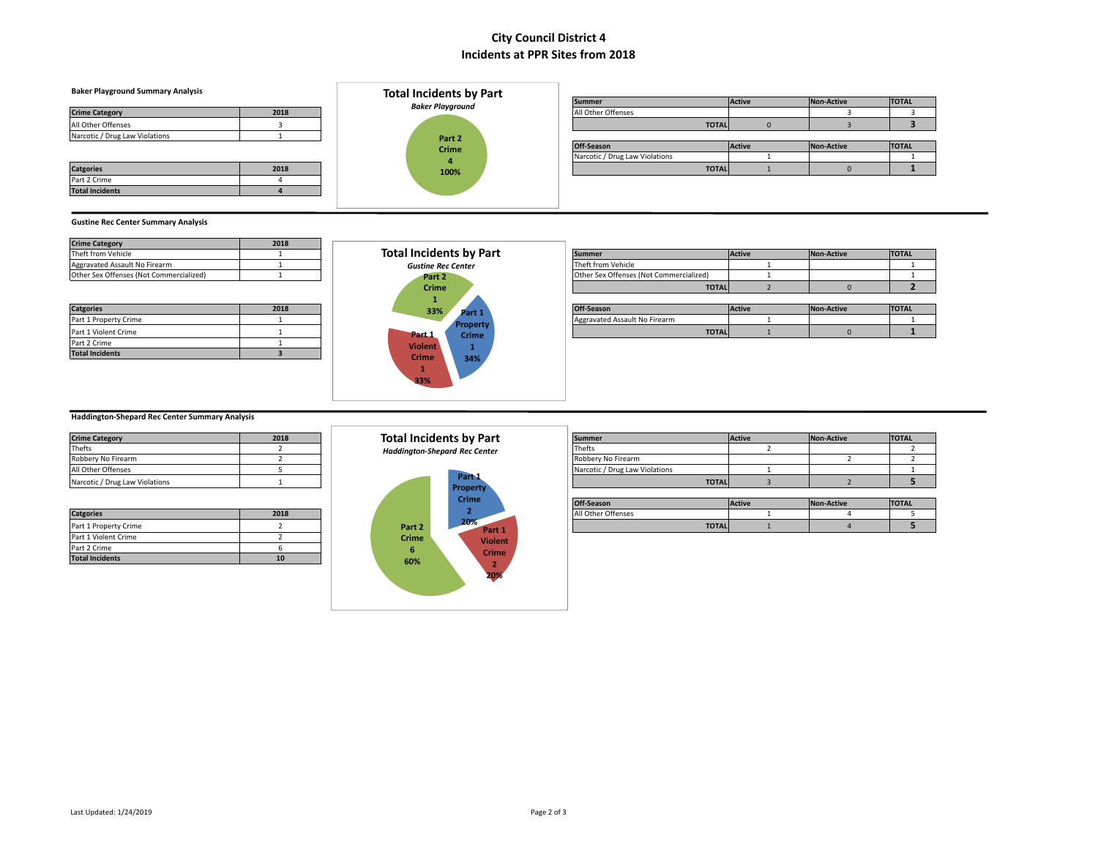### **Baker Playground Summary Analysis**

| <b>Crime Category</b>          | 2018 |
|--------------------------------|------|
| All Other Offenses             |      |
| Narcotic / Drug Law Violations |      |

| <b>Catgories</b>       | 2018 |
|------------------------|------|
| Part 2 Crime           |      |
| <b>Total Incidents</b> |      |



| Daker Flayground Summary Analysis |      | Total includents by Part |                                |               |            |              |
|-----------------------------------|------|--------------------------|--------------------------------|---------------|------------|--------------|
|                                   |      | <b>Baker Playground</b>  | <b>Summer</b>                  | <b>Active</b> | Non-Active | <b>TOTAL</b> |
| <b>Crime Category</b>             | 2018 |                          | All Other Offenses             |               |            |              |
| All Other Offenses                |      |                          | <b>TOTAL</b>                   |               |            |              |
| Narcotic / Drug Law Violations    |      | Part 2                   |                                |               |            |              |
|                                   |      | <b>Crime</b>             | Off-Season                     | <b>Active</b> | Non-Active | <b>TOTAL</b> |
|                                   |      |                          | Narcotic / Drug Law Violations |               |            |              |
| <b>Catgories</b>                  | 2018 | 100%                     | <b>TOTAL</b>                   |               |            |              |
|                                   |      |                          |                                |               |            |              |

#### **Gustine Rec Center Summary Analysis**

| <b>Crime Category</b>                   | 2018 |
|-----------------------------------------|------|
| Theft from Vehicle                      |      |
| Aggravated Assault No Firearm           |      |
| Other Sex Offenses (Not Commercialized) |      |

| <b>Catgories</b>       | 2018 |
|------------------------|------|
| Part 1 Property Crime  |      |
| Part 1 Violent Crime   |      |
| Part 2 Crime           |      |
| <b>Total Incidents</b> |      |



| ____                                    |      |                                |                                         |               |            |              |
|-----------------------------------------|------|--------------------------------|-----------------------------------------|---------------|------------|--------------|
| Theft from Vehicle                      |      | <b>Total Incidents by Part</b> | <b>Summer</b>                           | <b>Active</b> | Non-Active | <b>TOTAL</b> |
| Aggravated Assault No Firearm           |      | <b>Gustine Rec Center</b>      | Theft from Vehicle                      |               |            |              |
| Other Sex Offenses (Not Commercialized) |      | Part 2                         | Other Sex Offenses (Not Commercialized) |               |            |              |
|                                         |      | <b>Crime</b>                   | <b>TOTAL</b>                            |               |            |              |
|                                         |      |                                |                                         |               |            |              |
| <b>Catgories</b>                        | 2018 | 33%<br>Part 1                  | Off-Season                              | <b>Active</b> | Non-Active | <b>TOTAL</b> |
| Part 1 Property Crime                   |      | <b>Property</b>                | Aggravated Assault No Firearm           |               |            |              |
| Part 1 Violent Crime                    |      | <b>Part</b> 1<br><b>Crime</b>  | <b>TOTAL</b>                            |               |            |              |
|                                         |      |                                |                                         |               |            |              |

### **Haddington‐Shepard Rec Center Summary Analysis**

| <b>Crime Category</b>          | 2018 |
|--------------------------------|------|
| <b>Thefts</b>                  |      |
| Robbery No Firearm             |      |
| All Other Offenses             |      |
| Narcotic / Drug Law Violations |      |

| <b>Catgories</b>       | 2018 |
|------------------------|------|
| Part 1 Property Crime  |      |
| Part 1 Violent Crime   |      |
| Part 2 Crime           |      |
| <b>Total Incidents</b> | 10   |



| <b>Crime Category</b>          | 2018 | <b>Total Incidents by Part</b>       | <b>Summer</b>                  | <b>Active</b> | Non-Active | <b>TOTAL</b> |
|--------------------------------|------|--------------------------------------|--------------------------------|---------------|------------|--------------|
| Thefts                         |      | <b>Haddington-Shepard Rec Center</b> | Thefts                         |               |            |              |
| Robbery No Firearm             |      |                                      | Robbery No Firearm             |               |            |              |
| All Other Offenses             |      |                                      | Narcotic / Drug Law Violations |               |            |              |
| Narcotic / Drug Law Violations |      | Part <sub>1</sub>                    | <b>TOTAL</b>                   |               |            |              |
|                                |      | <b>Property</b><br>Crima             |                                |               |            |              |
|                                |      |                                      |                                |               |            |              |

|                       |      |        | crime        | Off-Season         | <b>Active</b> | Non-Active | <b>TOTAL</b> |
|-----------------------|------|--------|--------------|--------------------|---------------|------------|--------------|
| <b>Catgories</b>      | 2018 |        |              | All Other Offenses |               |            |              |
| Part 1 Property Crime |      | Part 7 | 20%<br>Dort- | <b>TOTAL</b>       |               |            |              |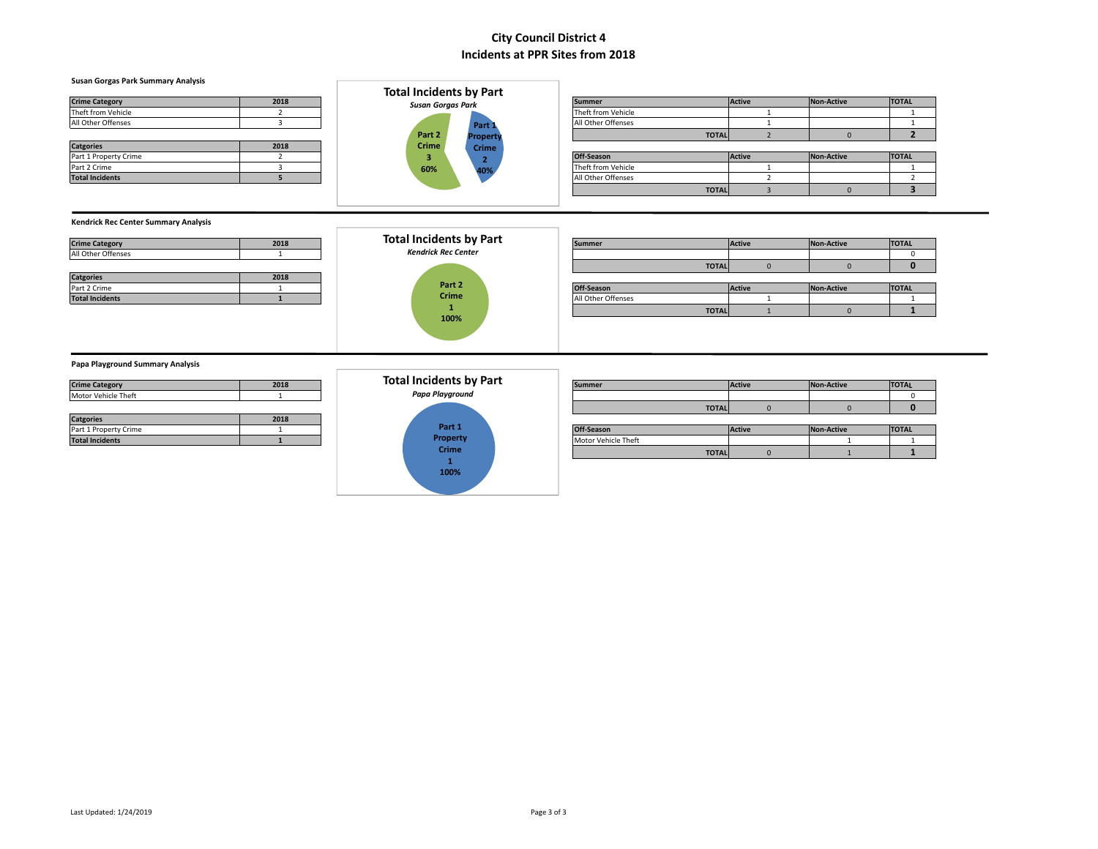#### **Susan Gorgas Park Summary Analysis**

| <b>Crime Category</b> | 2018 |
|-----------------------|------|
| Theft from Vehicle    |      |
| All Other Offenses    |      |
|                       |      |
| <b>Catgories</b>      | 2018 |
| Part 1 Property Crime |      |
|                       |      |



|                        |      | Total includents by Part |                   |                    |              |        |            |              |
|------------------------|------|--------------------------|-------------------|--------------------|--------------|--------|------------|--------------|
| <b>Crime Category</b>  | 2018 |                          | Susan Gorgas Park |                    |              | Active | Non-Active | <b>TOTAL</b> |
| Theft from Vehicle     |      |                          |                   | Theft from Vehicle |              |        |            |              |
| All Other Offenses     |      |                          | Part:             | All Other Offenses |              |        |            |              |
|                        |      | Part 2                   | <b>Property</b>   |                    | <b>TOTAL</b> |        |            |              |
| <b>Catgories</b>       | 2018 | <b>Crime</b>             | <b>Crime</b>      |                    |              |        |            |              |
| Part 1 Property Crime  |      |                          |                   | Off-Season         |              | Active | Non-Active | <b>TOTAL</b> |
| Part 2 Crime           |      | 60%                      | 40%               | Theft from Vehicle |              |        |            |              |
| <b>Total Incidents</b> |      |                          |                   | All Other Offenses |              |        |            |              |
|                        |      |                          |                   |                    | <b>TOTAL</b> |        |            |              |

#### **Kendrick Rec Center Summary Analysis**

| <b>Crime Category</b> | 2018 |
|-----------------------|------|
| All Other Offenses    |      |
|                       |      |
| <b>Catgories</b>      | 2018 |
| Part 2 Crime          |      |
|                       |      |



| <b>Crime Category</b>  | 2018 |  | Total Incidents by Part    |  | <b>Summer</b>      |              | <b>Active</b> | <b>Non-Active</b> | <b>TOTAL</b> |
|------------------------|------|--|----------------------------|--|--------------------|--------------|---------------|-------------------|--------------|
| All Other Offenses     |      |  | <b>Kendrick Rec Center</b> |  |                    |              |               |                   |              |
|                        |      |  |                            |  |                    | <b>TOTAL</b> |               |                   |              |
| <b>Catgories</b>       | 2018 |  |                            |  |                    |              |               |                   |              |
| Part 2 Crime           |      |  | Part 2                     |  | Off-Season         |              | <b>Active</b> | <b>Non-Active</b> | <b>TOTAL</b> |
| <b>Total Incidents</b> |      |  | <b>Crime</b>               |  | All Other Offenses |              |               |                   |              |
|                        |      |  |                            |  |                    | <b>TOTAL</b> |               |                   |              |
|                        |      |  | 100%                       |  |                    |              |               |                   |              |

#### **Papa Playground Summary Analysis**

| <b>Crime Category</b> | 2018 |
|-----------------------|------|
| Motor Vehicle Theft   |      |
|                       |      |
|                       |      |
| <b>Catgories</b>      | 2018 |
| Part 1 Property Crime |      |

# **Part 1 Property Crime 1 100% Total Incidents by Part** *Papa Playground*

| <b>Crime Category</b>  | 2018 | Total Incidents by Part |                 | <b>Summer</b> | Active              | <b>Non-Active</b> | <b>TOTAL</b> |              |
|------------------------|------|-------------------------|-----------------|---------------|---------------------|-------------------|--------------|--------------|
| Motor Vehicle Theft    |      |                         | Papa Playground |               |                     |                   |              |              |
|                        |      |                         |                 |               | <b>TOTAL</b>        |                   |              |              |
| <b>Catgories</b>       | 2018 |                         |                 |               |                     |                   |              |              |
| Part 1 Property Crime  |      |                         | Part 1          |               | Off-Season          | <b>Active</b>     | Non-Active   | <b>TOTAL</b> |
| <b>Total Incidents</b> |      |                         | Property        |               | Motor Vehicle Theft |                   |              |              |
|                        |      |                         | <b>Crime</b>    |               | <b>TOTAL</b>        |                   |              |              |
|                        |      |                         |                 |               |                     |                   |              |              |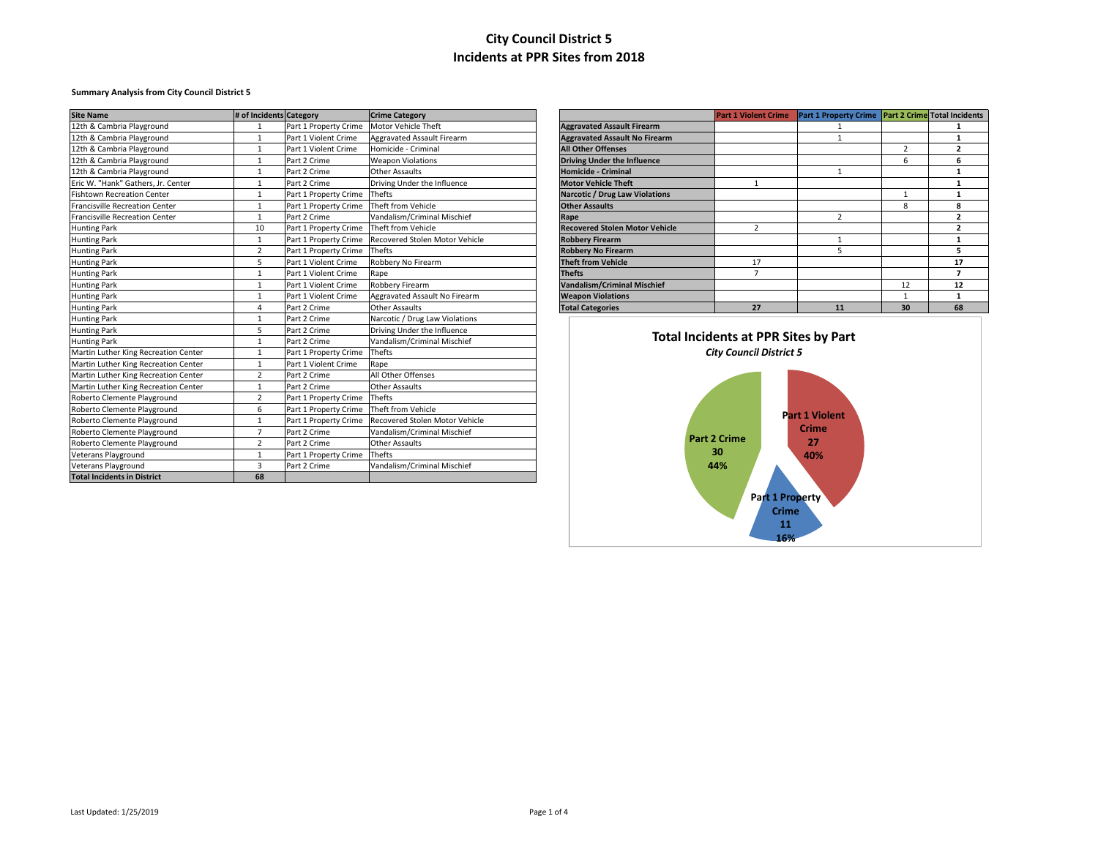### **Summary Analysis from City Council District 5**

| <b>Site Name</b>                      | # of Incidents Category |                              | <b>Crime Category</b>          |                                       | <b>Part 1 Violent Crime</b>                 | Part 1 Property Crime Part 2 Crime Total Incidents |                |                |
|---------------------------------------|-------------------------|------------------------------|--------------------------------|---------------------------------------|---------------------------------------------|----------------------------------------------------|----------------|----------------|
| 12th & Cambria Playground             |                         | Part 1 Property Crime        | Motor Vehicle Theft            | <b>Aggravated Assault Firearm</b>     |                                             |                                                    |                |                |
| 12th & Cambria Playground             |                         | Part 1 Violent Crime         | Aggravated Assault Firearm     | <b>Aggravated Assault No Firearm</b>  |                                             |                                                    |                | $\mathbf{1}$   |
| 12th & Cambria Playground             |                         | Part 1 Violent Crime         | Homicide - Criminal            | <b>All Other Offenses</b>             |                                             |                                                    | $\overline{2}$ | $\overline{2}$ |
| 12th & Cambria Playground             | -1                      | Part 2 Crime                 | <b>Weapon Violations</b>       | <b>Driving Under the Influence</b>    |                                             |                                                    | 6              | 6              |
| 12th & Cambria Playground             |                         | Part 2 Crime                 | <b>Other Assaults</b>          | Homicide - Criminal                   |                                             |                                                    |                | $\mathbf{1}$   |
| Eric W. "Hank" Gathers, Jr. Center    |                         | Part 2 Crime                 | Driving Under the Influence    | <b>Motor Vehicle Theft</b>            | $\mathbf{1}$                                |                                                    |                | $\mathbf{1}$   |
| <b>Fishtown Recreation Center</b>     |                         | Part 1 Property Crime Thefts |                                | Narcotic / Drug Law Violations        |                                             |                                                    |                | $\mathbf{1}$   |
| <b>Francisville Recreation Center</b> |                         | Part 1 Property Crime        | Theft from Vehicle             | <b>Other Assaults</b>                 |                                             |                                                    | 8              | 8              |
| <b>Francisville Recreation Center</b> |                         | Part 2 Crime                 | Vandalism/Criminal Mischief    | Rape                                  |                                             | $\overline{2}$                                     |                | $\overline{2}$ |
| <b>Hunting Park</b>                   | 10                      | Part 1 Property Crime        | Theft from Vehicle             | <b>Recovered Stolen Motor Vehicle</b> | $\overline{2}$                              |                                                    |                | $\overline{2}$ |
| <b>Hunting Park</b>                   |                         | Part 1 Property Crime        | Recovered Stolen Motor Vehicle | <b>Robbery Firearm</b>                |                                             |                                                    |                | $\mathbf{1}$   |
| <b>Hunting Park</b>                   | $\overline{2}$          | Part 1 Property Crime        | Thefts                         | <b>Robbery No Firearm</b>             |                                             | 5                                                  |                | 5              |
| <b>Hunting Park</b>                   | 5                       | Part 1 Violent Crime         | Robbery No Firearm             | <b>Theft from Vehicle</b>             | 17                                          |                                                    |                | 17             |
| <b>Hunting Park</b>                   |                         | Part 1 Violent Crime         | Rape                           | <b>Thefts</b>                         | $\overline{7}$                              |                                                    |                | $\overline{ }$ |
| <b>Hunting Park</b>                   |                         | Part 1 Violent Crime         | Robbery Firearm                | <b>Vandalism/Criminal Mischief</b>    |                                             |                                                    | 12             | 12             |
| <b>Hunting Park</b>                   |                         | Part 1 Violent Crime         | Aggravated Assault No Firearm  | <b>Weapon Violations</b>              |                                             |                                                    | $\overline{1}$ | $\mathbf{1}$   |
| <b>Hunting Park</b>                   | Δ                       | Part 2 Crime                 | <b>Other Assaults</b>          | <b>Total Categories</b>               | 27                                          | 11                                                 | 30             | 68             |
| <b>Hunting Park</b>                   |                         | Part 2 Crime                 | Narcotic / Drug Law Violations |                                       |                                             |                                                    |                |                |
| <b>Hunting Park</b>                   | 5                       | Part 2 Crime                 | Driving Under the Influence    |                                       |                                             |                                                    |                |                |
| <b>Hunting Park</b>                   | $\mathbf{1}$            | Part 2 Crime                 | Vandalism/Criminal Mischief    |                                       | <b>Total Incidents at PPR Sites by Part</b> |                                                    |                |                |
| Martin Luther King Recreation Center  |                         | Part 1 Property Crime        | Thefts                         |                                       | <b>City Council District 5</b>              |                                                    |                |                |
| Martin Luther King Recreation Center  |                         | Part 1 Violent Crime         | Rape                           |                                       |                                             |                                                    |                |                |
| Martin Luther King Recreation Center  | $\mathcal{I}$           | Part 2 Crime                 | All Other Offenses             |                                       |                                             |                                                    |                |                |
| Martin Luther King Recreation Center  |                         | Part 2 Crime                 | <b>Other Assaults</b>          |                                       |                                             |                                                    |                |                |
| Roberto Clemente Playground           | 2                       | Part 1 Property Crime        | Thefts                         |                                       |                                             |                                                    |                |                |
| Roberto Clemente Playground           | 6                       | Part 1 Property Crime        | Theft from Vehicle             |                                       |                                             | <b>Part 1 Violent</b>                              |                |                |
| Roberto Clemente Playground           |                         | Part 1 Property Crime        | Recovered Stolen Motor Vehicle |                                       |                                             |                                                    |                |                |
| Roberto Clemente Playground           | 7                       | Part 2 Crime                 | Vandalism/Criminal Mischief    |                                       | Part 2 Crime                                | Crime                                              |                |                |
| Roberto Clemente Playground           | 2                       | Part 2 Crime                 | <b>Other Assaults</b>          |                                       |                                             | 27                                                 |                |                |
| Veterans Playground                   |                         | Part 1 Property Crime        | Thefts                         |                                       | 30                                          | 40%                                                |                |                |
| Veterans Playground                   | 3                       | Part 2 Crime                 | Vandalism/Criminal Mischief    |                                       | 44%                                         |                                                    |                |                |
| <b>Total Incidents in District</b>    | 68                      |                              |                                |                                       |                                             |                                                    |                |                |

|                                       | <b>Part 1 Violent Crime</b> | Part 1 Property Crime Part 2 Crime Total Incidents |    |    |
|---------------------------------------|-----------------------------|----------------------------------------------------|----|----|
| <b>Aggravated Assault Firearm</b>     |                             |                                                    |    |    |
| <b>Aggravated Assault No Firearm</b>  |                             |                                                    |    |    |
| <b>All Other Offenses</b>             |                             |                                                    | 2  |    |
| <b>Driving Under the Influence</b>    |                             |                                                    | 6  | 6  |
| <b>Homicide - Criminal</b>            |                             | 1                                                  |    |    |
| <b>Motor Vehicle Theft</b>            | 1                           |                                                    |    |    |
| <b>Narcotic / Drug Law Violations</b> |                             |                                                    | 1  |    |
| <b>Other Assaults</b>                 |                             |                                                    | 8  | 8  |
| Rape                                  |                             | $\overline{2}$                                     |    |    |
| <b>Recovered Stolen Motor Vehicle</b> | 2                           |                                                    |    |    |
| <b>Robbery Firearm</b>                |                             |                                                    |    |    |
| <b>Robbery No Firearm</b>             |                             | 5                                                  |    | 5  |
| <b>Theft from Vehicle</b>             | 17                          |                                                    |    | 17 |
| <b>Thefts</b>                         |                             |                                                    |    |    |
| <b>Vandalism/Criminal Mischief</b>    |                             |                                                    | 12 | 12 |
| <b>Weapon Violations</b>              |                             |                                                    | 1  | 1  |
| <b>Total Categories</b>               | 27                          | 11                                                 | 30 | 68 |

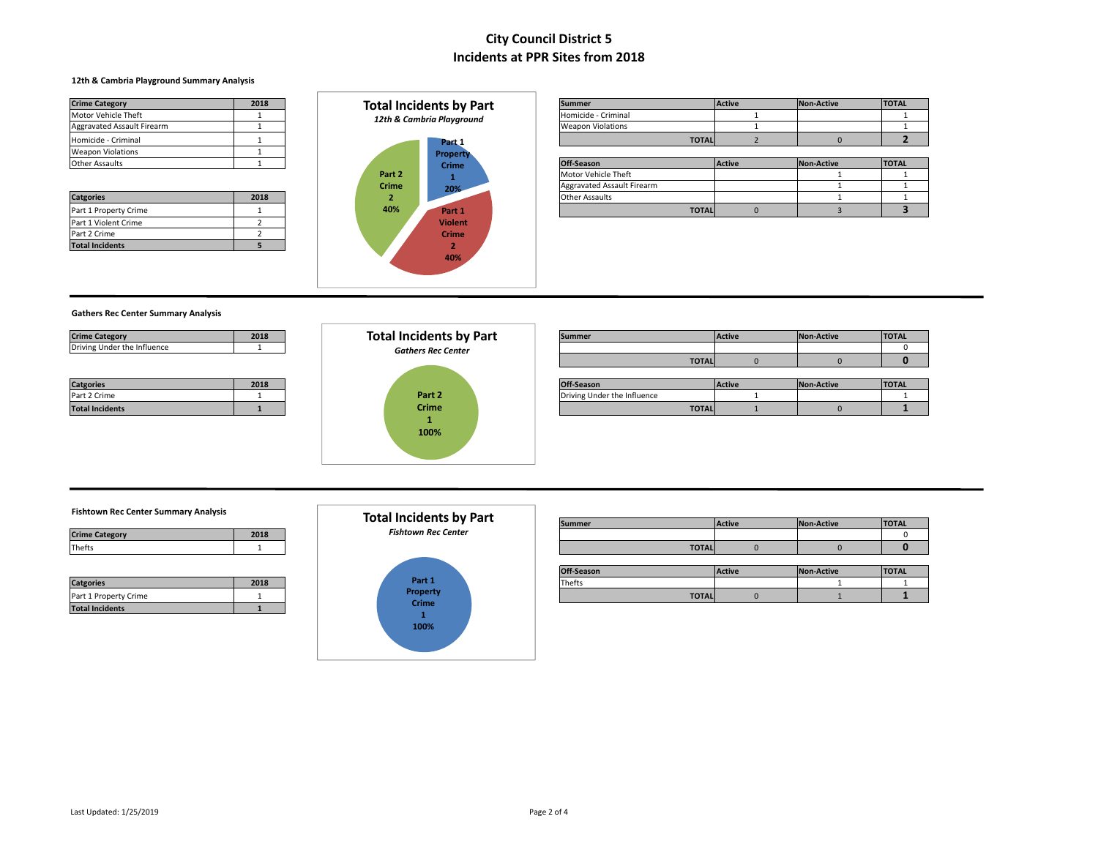### **12th & Cambria Playground Summary Analysis**

| <b>Crime Category</b>      | 2018 |
|----------------------------|------|
| Motor Vehicle Theft        |      |
| Aggravated Assault Firearm |      |
| Homicide - Criminal        |      |
| <b>Weapon Violations</b>   |      |
| <b>Other Assaults</b>      |      |

| <b>Catgories</b>       | 2018 |
|------------------------|------|
| Part 1 Property Crime  |      |
| Part 1 Violent Crime   |      |
| Part 2 Crime           |      |
| <b>Total Incidents</b> |      |



| <b>Crime Category</b>             | 2018 | Total Incidents by Part   | <b>Summer</b>            | <b>Active</b> | Non-Active | <b>TOTAL</b> |
|-----------------------------------|------|---------------------------|--------------------------|---------------|------------|--------------|
| Motor Vehicle Theft               |      | 12th & Cambria Playground | Homicide - Criminal      |               |            |              |
| <b>Aggravated Assault Firearm</b> |      |                           | <b>Weapon Violations</b> |               |            |              |
| Homicide - Criminal               |      | Part 1                    | <b>TOTAL</b>             |               |            |              |

| wcapon violations     |      |              | <b>Property</b> |                            |               |            |              |
|-----------------------|------|--------------|-----------------|----------------------------|---------------|------------|--------------|
| Other Assaults        |      |              | <b>Crime</b>    | Off-Season                 | <b>Active</b> | Non-Active | <b>TOTAL</b> |
|                       |      | Part 2       |                 | Motor Vehicle Theft        |               |            |              |
|                       |      | <b>Crime</b> | 20%             | Aggravated Assault Firearm |               |            |              |
| <b>Catgories</b>      | 2018 |              |                 | <b>Other Assaults</b>      |               |            |              |
| Part 1 Property Crime |      | 40%          | Part 1          | <b>TOTAL</b>               |               |            |              |

### **Gathers Rec Center Summary Analysis**

| <b>Crime Category</b>       | 2018 |
|-----------------------------|------|
| Driving Under the Influence |      |

| <b>Catgories</b>       | 2018 |
|------------------------|------|
| Part 2 Crime           |      |
| <b>Total Incidents</b> |      |



| <b>Crime Category</b>       | 2018 | <b>Total Incidents by Part</b> | <b>Summer</b>               | Active | Non-Active | <b>TOTAL</b> |
|-----------------------------|------|--------------------------------|-----------------------------|--------|------------|--------------|
| Driving Under the Influence |      | <b>Gathers Rec Center</b>      |                             |        |            |              |
|                             |      |                                | <b>TOTAL</b>                |        |            |              |
|                             |      |                                |                             |        |            |              |
| <b>Catgories</b>            | 2018 |                                | Off-Season                  | Active | Non-Active | <b>TOTAL</b> |
| Part 2 Crime                |      | Part 2                         | Driving Under the Influence |        |            |              |
| <b>Total Incidents</b>      |      | <b>Crime</b>                   | <b>TOTAL</b>                |        |            |              |
|                             |      |                                |                             |        |            |              |

#### **Fishtown Rec Center Summary Analysis**

| <b>Crime Category</b> |  |
|-----------------------|--|
| <b>Thefts</b>         |  |

| <b>Catgories</b>       | 2018 |
|------------------------|------|
| Part 1 Property Crime  |      |
| <b>Total Incidents</b> |      |



| נוסוונטישוו ווכנ ככוונכו טעווווווטו פרווטופוס |      |  |                                |        |              |               |            |              |  |
|-----------------------------------------------|------|--|--------------------------------|--------|--------------|---------------|------------|--------------|--|
|                                               |      |  | <b>Total Incidents by Part</b> | Summer |              | <b>Active</b> | Non-Active | <b>TOTAL</b> |  |
| <b>Crime Category</b>                         | 2018 |  | <b>Fishtown Rec Center</b>     |        |              |               |            |              |  |
| Thefts                                        |      |  |                                |        | <b>TOTAL</b> |               |            |              |  |

|                       |      |               | are<br>Off-Season | Active | <b>Non-Active</b> | <b>TOTAL</b> |
|-----------------------|------|---------------|-------------------|--------|-------------------|--------------|
| <b>Catgories</b>      | 2018 | Part 1        | l heff            |        |                   |              |
| Part 1 Property Crime |      | Property<br>. | <b>TOTAL</b>      |        |                   |              |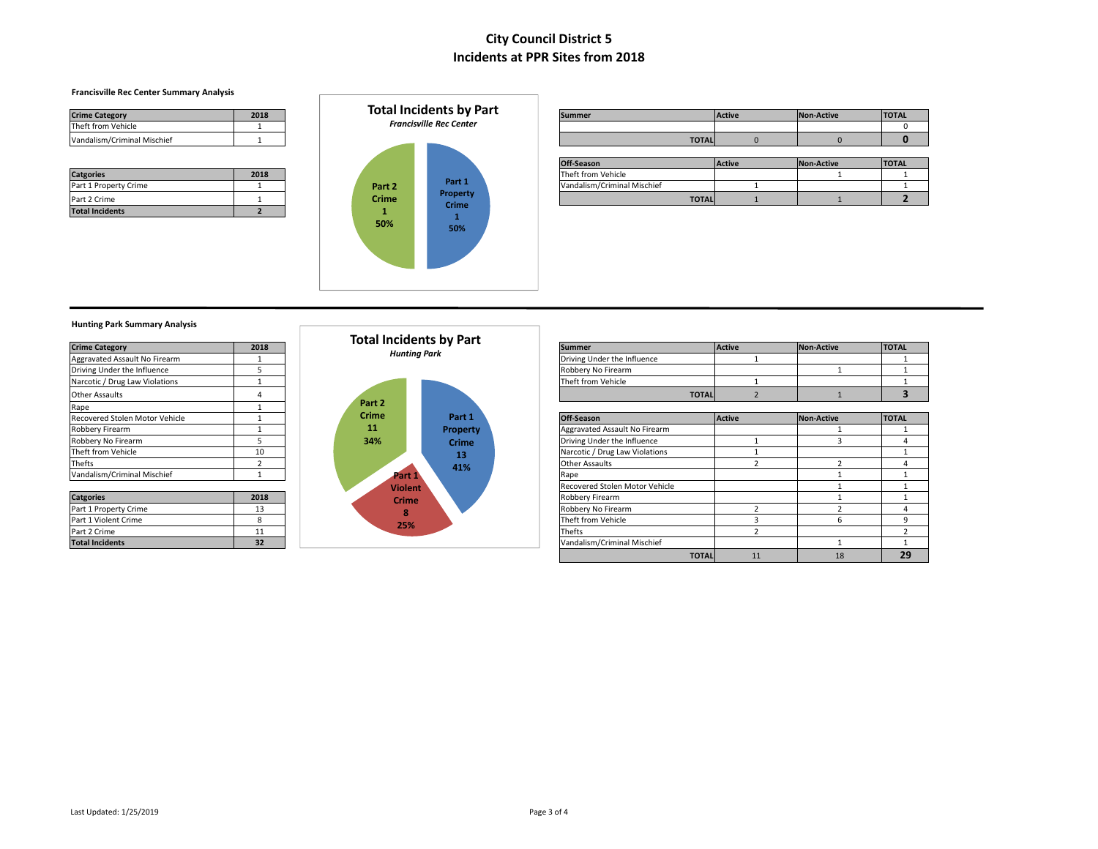### **Francisville Rec Center Summary Analysis**

| <b>Crime Category</b>       | 2018 |
|-----------------------------|------|
| Theft from Vehicle          |      |
| Vandalism/Criminal Mischief |      |

| <b>Catgories</b>       | 2018 |
|------------------------|------|
| Part 1 Property Crime  |      |
| Part 2 Crime           |      |
| <b>Total Incidents</b> |      |



| <b>Crime Category</b>       | 2018 | Total Incidents by Part        | <b>Summer</b> | <b>Active</b> | Non-Active | <b>TOTAL</b> |
|-----------------------------|------|--------------------------------|---------------|---------------|------------|--------------|
| Theft from Vehicle          |      | <b>Francisville Rec Center</b> |               |               |            |              |
| Vandalism/Criminal Mischief |      |                                | <b>TOTAL</b>  |               |            |              |

|                       |      |              |                   | Off-Season                  | <b>Active</b> | Non-Active | <b>TOTAL</b> |
|-----------------------|------|--------------|-------------------|-----------------------------|---------------|------------|--------------|
| <b>Catgories</b>      | 2018 |              |                   | Theft from Vehicle          |               |            |              |
| Part 1 Property Crime |      | Part 2       | Part 1            | Vandalism/Criminal Mischief |               |            |              |
| Part 2 Crime          |      | <b>Crime</b> | Property<br>Crimo | <b>TOTALI</b>               |               |            |              |

### **Hunting Park Summary Analysis**

| <b>Crime Category</b>          | 2018          |
|--------------------------------|---------------|
| Aggravated Assault No Firearm  |               |
| Driving Under the Influence    | 5             |
| Narcotic / Drug Law Violations | 1             |
| <b>Other Assaults</b>          | 4             |
| Rape                           |               |
| Recovered Stolen Motor Vehicle |               |
| Robbery Firearm                |               |
| Robbery No Firearm             | 5             |
| Theft from Vehicle             | 10            |
| Thefts                         | $\mathcal{P}$ |
| Vandalism/Criminal Mischief    |               |
| C <sub>2</sub>                 | 2010          |



| <b>Crime Category</b>          | 2018 | Total Incidents by Part |              | <b>Summer</b>                  |              | Active         | <b>Non-Active</b> | <b>TOTAL</b>           |
|--------------------------------|------|-------------------------|--------------|--------------------------------|--------------|----------------|-------------------|------------------------|
| Aggravated Assault No Firearm  |      | <b>Hunting Park</b>     |              | Driving Under the Influence    |              |                |                   |                        |
| Driving Under the Influence    |      |                         |              | Robbery No Firearm             |              |                |                   |                        |
| Narcotic / Drug Law Violations |      |                         |              | Theft from Vehicle             |              |                |                   |                        |
| Other Assaults                 |      |                         |              |                                | <b>TOTAL</b> | $\overline{2}$ |                   | 3                      |
| Rape                           |      | Part 2                  |              |                                |              |                |                   |                        |
| Recovered Stolen Motor Vehicle |      | <b>Crime</b>            | Part 1       | Off-Season                     |              | <b>Active</b>  | <b>Non-Active</b> | <b>TOTAL</b>           |
| Robbery Firearm                |      | 11                      | Property     | Aggravated Assault No Firearm  |              |                |                   |                        |
| Robbery No Firearm             |      | 34%                     | <b>Crime</b> | Driving Under the Influence    |              |                |                   | 4                      |
| Theft from Vehicle             | 10   |                         | 13           | Narcotic / Drug Law Violations |              |                |                   |                        |
| Thefts                         |      |                         | 41%          | <b>Other Assaults</b>          |              |                |                   |                        |
| Vandalism/Criminal Mischief    |      | Part 1                  |              | Rape                           |              |                |                   |                        |
|                                |      | <b>Violent</b>          |              | Recovered Stolen Motor Vehicle |              |                |                   |                        |
| <b>Catgories</b>               | 2018 | <b>Crime</b>            |              | Robbery Firearm                |              |                |                   |                        |
| Part 1 Property Crime          | 13   | 8                       |              | Robbery No Firearm             |              |                |                   | 4                      |
| Part 1 Violent Crime           | 8    | 25%                     |              | Theft from Vehicle             |              |                | 6                 | 9                      |
| Part 2 Crime                   | 11   |                         |              | Thefts                         |              |                |                   | $\mathbf{\overline{}}$ |
| <b>Total Incidents</b>         | 32   |                         |              | Vandalism/Criminal Mischief    |              |                |                   |                        |
|                                |      |                         |              |                                | <b>TOTAL</b> | 11             | 18                | 29                     |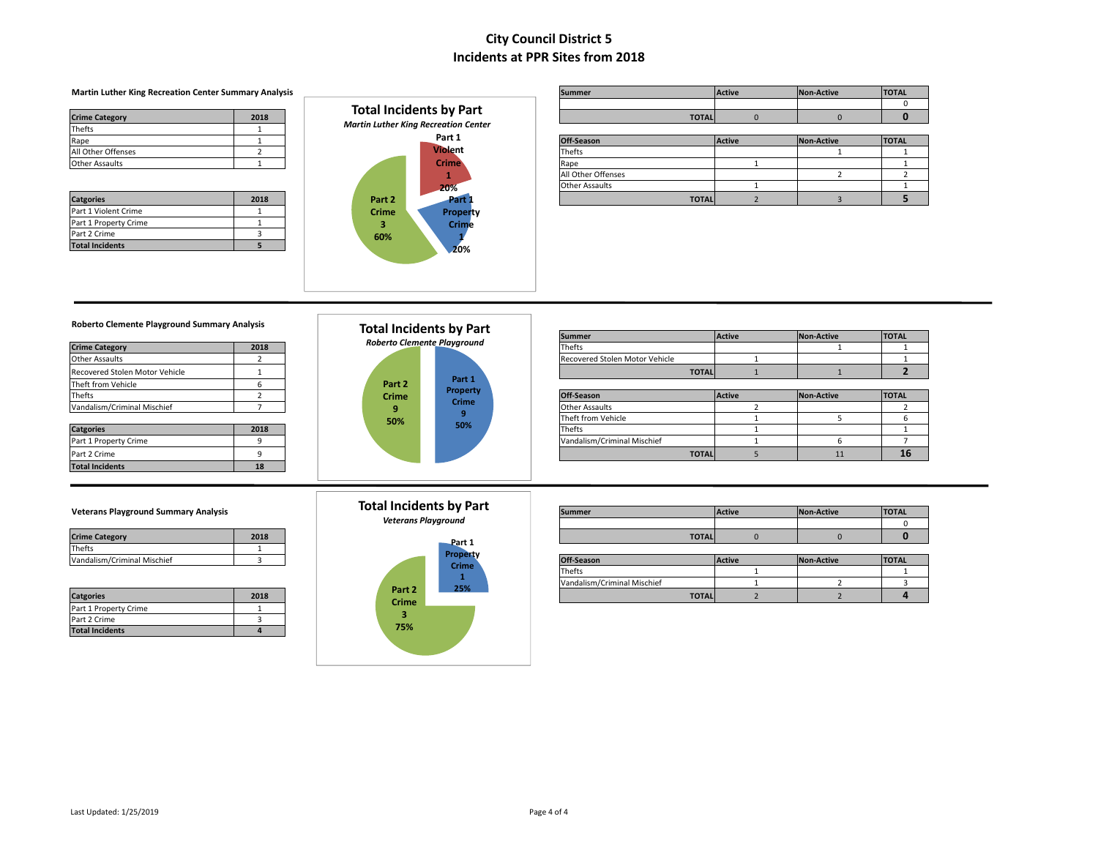#### **Martin Luther King Recreation Center Summary Analysis**

| <b>Crime Category</b> | 2018 |
|-----------------------|------|
| <b>Thefts</b>         |      |
| Rape                  |      |
| All Other Offenses    |      |
| <b>Other Assaults</b> |      |

| <b>Catgories</b>       | 2018 |
|------------------------|------|
| Part 1 Violent Crime   |      |
| Part 1 Property Crime  |      |
| Part 2 Crime           |      |
| <b>Total Incidents</b> |      |



| <b>Martin Luther King Recreation Center Summary Analysis</b> |      | <b>ITOTAL</b><br>Non-Active<br><b>Active</b><br>Summer |              |  |  |
|--------------------------------------------------------------|------|--------------------------------------------------------|--------------|--|--|
|                                                              |      |                                                        |              |  |  |
| <b>Crime Category</b>                                        | 2018 | Total Incidents by Part                                | <b>TOTAL</b> |  |  |
|                                                              |      | Martin Luther King Recreation Center                   |              |  |  |

| Rape               |      |        | Part 1         | Off-Season            |              | <b>Active</b> | <b>Non-Active</b> | <b>TOTAL</b> |
|--------------------|------|--------|----------------|-----------------------|--------------|---------------|-------------------|--------------|
| All Other Offenses |      |        | <b>Violent</b> | Thefts                |              |               |                   |              |
| Other Assaults     |      |        | <b>Crime</b>   | Rape                  |              |               |                   |              |
|                    |      |        |                | All Other Offenses    |              |               |                   |              |
|                    |      |        | -20%           | <b>Other Assaults</b> |              |               |                   |              |
| <b>Catgories</b>   | 2018 | Part 2 | raiti          |                       | <b>TOTAL</b> |               |                   |              |

### **Roberto Clemente Playground Summary Analysis**

| <b>Crime Category</b>          | 2018                    |
|--------------------------------|-------------------------|
| <b>Other Assaults</b>          | $\overline{\mathbf{c}}$ |
| Recovered Stolen Motor Vehicle |                         |
| Theft from Vehicle             | 6                       |
| Thefts                         | $\mathcal{P}$           |
| Vandalism/Criminal Mischief    |                         |
|                                |                         |
| <b>Catgories</b>               | 2018                    |
| Part 1 Property Crime          |                         |
| Part 2 Crime                   | ٩                       |
| <b>Total Incidents</b>         | 18                      |



| Roberto Clemente Playground Summary Analysis |                | <b>Total Incidents by Part</b>     |                 |                                |               |            |              |
|----------------------------------------------|----------------|------------------------------------|-----------------|--------------------------------|---------------|------------|--------------|
|                                              |                |                                    |                 | <b>Summer</b>                  | <b>Active</b> | Non-Active | <b>TOTAL</b> |
| <b>Crime Category</b>                        | 2018           | <b>Roberto Clemente Playground</b> |                 | Thefts                         |               |            |              |
| Other Assaults                               |                |                                    |                 | Recovered Stolen Motor Vehicle |               |            |              |
| Recovered Stolen Motor Vehicle               |                |                                    |                 | <b>TOTAL</b>                   |               |            |              |
| Theft from Vehicle                           |                | Part 2                             | Part 1          |                                |               |            |              |
| Thefts                                       |                | <b>Crime</b>                       | <b>Property</b> | Off-Season                     | <b>Active</b> | Non-Active | <b>TOTAL</b> |
| Vandalism/Criminal Mischief                  |                |                                    | <b>Crime</b>    | <b>Other Assaults</b>          |               |            |              |
|                                              |                | 50%                                |                 | Theft from Vehicle             |               |            |              |
| <b>Catgories</b>                             | 2018           |                                    | 50%             | Thefts                         |               |            |              |
| Part 1 Property Crime                        |                |                                    |                 | Vandalism/Criminal Mischief    |               |            |              |
| Part 2 Crime                                 |                |                                    |                 | <b>TOTAL</b>                   |               |            | 16           |
| Total Incidents                              | 1 <sub>2</sub> |                                    |                 |                                |               |            |              |

### **Total Incidents by Part**

*Veterans Playground*



| Veterans Playground Summary Analysis |      |                            | Total Incidents by Part | <b>Summer</b> | <b>Active</b> | Non-Active | <b>TOTAL</b> |
|--------------------------------------|------|----------------------------|-------------------------|---------------|---------------|------------|--------------|
|                                      |      | <b>Veterans Playground</b> |                         |               |               |            |              |
| <b>Crime Category</b>                | 2018 | <b>D</b> 4                 |                         | <b>TOTAL</b>  |               |            |              |

|                             |      |                                                                                                                                                                                                                                                           | <b>Propert</b> |                             |               |            |              |
|-----------------------------|------|-----------------------------------------------------------------------------------------------------------------------------------------------------------------------------------------------------------------------------------------------------------|----------------|-----------------------------|---------------|------------|--------------|
| Vandalism/Criminal Mischief |      |                                                                                                                                                                                                                                                           | <b>Crime</b>   | <b>Off-Season</b>           | <b>Active</b> | Non-Active | <b>TOTAL</b> |
|                             |      |                                                                                                                                                                                                                                                           |                | <b>Thefts</b>               |               |            |              |
|                             |      |                                                                                                                                                                                                                                                           | 200            | Vandalism/Criminal Mischief |               |            |              |
| <b>Catgories</b>            | 2018 | Part <sub>2</sub><br><b>Contact of Contact Contact Contact Contact Contact Contact Contact Contact Contact Contact Contact Contact Contact Contact Contact Contact Contact Contact Contact Contact Contact Contact Contact Contact Contact Contact Co</b> | 25%            | <b>TOTAL</b>                |               |            |              |

| <b>Catgories</b>      |  |
|-----------------------|--|
| Part 1 Property Crime |  |

Thefts 1 **Vandalism/Criminal Mischief** 3

Part 2 Crime 3 **Total Incidents 4**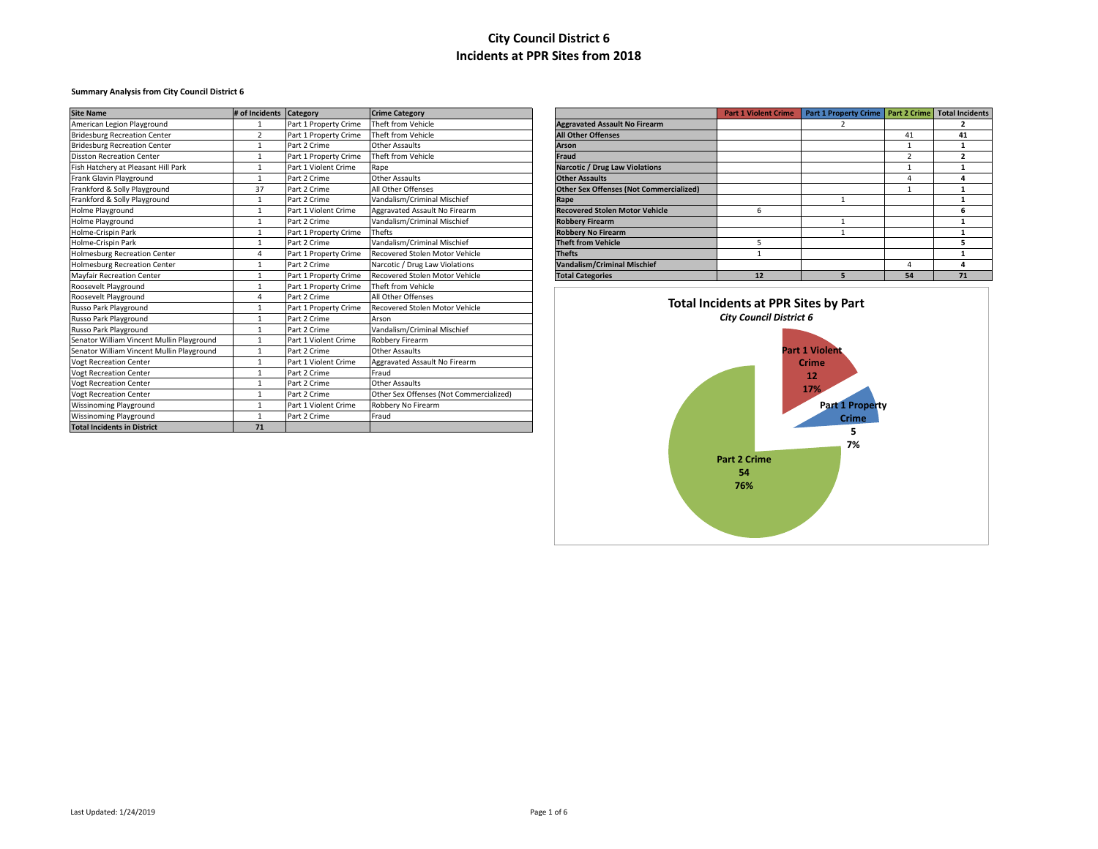### **Summary Analysis from City Council District 6**

| <b>Site Name</b>                          | # of Incidents Category |                       | <b>Crime Category</b>                   |                                                | <b>Part 1 Violent Crime</b>          | Part 1 Property Crime   Part 2 Crime |                | <b>Total Incidents</b> |
|-------------------------------------------|-------------------------|-----------------------|-----------------------------------------|------------------------------------------------|--------------------------------------|--------------------------------------|----------------|------------------------|
| American Legion Playground                |                         | Part 1 Property Crime | Theft from Vehicle                      | <b>Aggravated Assault No Firearm</b>           |                                      |                                      |                |                        |
| <b>Bridesburg Recreation Center</b>       | $\overline{2}$          | Part 1 Property Crime | Theft from Vehicle                      | <b>All Other Offenses</b>                      |                                      |                                      | 41             | 41                     |
| <b>Bridesburg Recreation Center</b>       |                         | Part 2 Crime          | <b>Other Assaults</b>                   | <b>Arson</b>                                   |                                      |                                      | $\mathbf{1}$   | -1                     |
| <b>Disston Recreation Center</b>          |                         | Part 1 Property Crime | Theft from Vehicle                      | Fraud                                          |                                      |                                      | $\overline{2}$ | $\overline{2}$         |
| Fish Hatchery at Pleasant Hill Park       |                         | Part 1 Violent Crime  | Rape                                    | <b>Narcotic / Drug Law Violations</b>          |                                      |                                      |                |                        |
| Frank Glavin Playground                   |                         | Part 2 Crime          | <b>Other Assaults</b>                   | <b>Other Assaults</b>                          |                                      |                                      | $\Delta$       | 4                      |
| Frankford & Solly Playground              | 37                      | Part 2 Crime          | All Other Offenses                      | <b>Other Sex Offenses (Not Commercialized)</b> |                                      |                                      |                |                        |
| Frankford & Solly Playground              |                         | Part 2 Crime          | Vandalism/Criminal Mischief             | Rape                                           |                                      |                                      |                |                        |
| Holme Playground                          |                         | Part 1 Violent Crime  | Aggravated Assault No Firearm           | <b>Recovered Stolen Motor Vehicle</b>          | 6                                    |                                      |                |                        |
| Holme Playground                          |                         | Part 2 Crime          | Vandalism/Criminal Mischief             | <b>Robbery Firearm</b>                         |                                      |                                      |                |                        |
| Holme-Crispin Park                        |                         | Part 1 Property Crime | Thefts                                  | <b>Robbery No Firearm</b>                      |                                      |                                      |                |                        |
| Holme-Crispin Park                        |                         | Part 2 Crime          | Vandalism/Criminal Mischief             | <b>Theft from Vehicle</b>                      | 5                                    |                                      |                | 5                      |
| <b>Holmesburg Recreation Center</b>       |                         | Part 1 Property Crime | Recovered Stolen Motor Vehicle          | <b>Thefts</b>                                  |                                      |                                      |                |                        |
| <b>Holmesburg Recreation Center</b>       |                         | Part 2 Crime          | Narcotic / Drug Law Violations          | <b>Vandalism/Criminal Mischief</b>             |                                      |                                      |                |                        |
| <b>Mayfair Recreation Center</b>          |                         | Part 1 Property Crime | Recovered Stolen Motor Vehicle          | <b>Total Categories</b>                        | 12                                   | 5.                                   | 54             | 71                     |
| Roosevelt Playground                      |                         | Part 1 Property Crime | Theft from Vehicle                      |                                                |                                      |                                      |                |                        |
| Roosevelt Playground                      |                         | Part 2 Crime          | All Other Offenses                      |                                                |                                      |                                      |                |                        |
| Russo Park Playground                     |                         | Part 1 Property Crime | Recovered Stolen Motor Vehicle          |                                                | Total Incidents at PPR Sites by Part |                                      |                |                        |
| Russo Park Playground                     |                         | Part 2 Crime          | Arson                                   | <b>City Council District 6</b>                 |                                      |                                      |                |                        |
| Russo Park Playground                     |                         | Part 2 Crime          | Vandalism/Criminal Mischief             |                                                |                                      |                                      |                |                        |
| Senator William Vincent Mullin Playground |                         | Part 1 Violent Crime  | Robbery Firearm                         |                                                |                                      |                                      |                |                        |
| Senator William Vincent Mullin Playground |                         | Part 2 Crime          | <b>Other Assaults</b>                   |                                                |                                      | <b>Part 1 Violent</b>                |                |                        |
| <b>Vogt Recreation Center</b>             |                         | Part 1 Violent Crime  | Aggravated Assault No Firearm           |                                                |                                      | <b>Crime</b>                         |                |                        |
| <b>Vogt Recreation Center</b>             |                         | Part 2 Crime          | Fraud                                   |                                                |                                      | 12                                   |                |                        |
| <b>Vogt Recreation Center</b>             |                         | Part 2 Crime          | <b>Other Assaults</b>                   |                                                |                                      | 17%                                  |                |                        |
| <b>Vogt Recreation Center</b>             |                         | Part 2 Crime          | Other Sex Offenses (Not Commercialized) |                                                |                                      |                                      |                |                        |
| <b>Wissinoming Playground</b>             |                         | Part 1 Violent Crime  | Robbery No Firearm                      |                                                |                                      | <b>Part 1 Property</b>               |                |                        |
| <b>Wissinoming Playground</b>             |                         | Part 2 Crime          | Fraud                                   |                                                |                                      | <b>Crime</b>                         |                |                        |
| <b>Total Incidents in District</b>        | 71                      |                       |                                         |                                                |                                      |                                      |                |                        |

|                                                | <b>Part 1 Violent Crime</b> | <b>Part 1 Property Crime</b> | <b>Part 2 Crime</b> | <b>Total Incidents</b> |
|------------------------------------------------|-----------------------------|------------------------------|---------------------|------------------------|
| <b>Aggravated Assault No Firearm</b>           |                             | 2                            |                     | 2                      |
| <b>All Other Offenses</b>                      |                             |                              | 41                  | 41                     |
| Arson                                          |                             |                              | 1                   |                        |
| Fraud                                          |                             |                              | $\overline{2}$      | ,                      |
| <b>Narcotic / Drug Law Violations</b>          |                             |                              | 1                   |                        |
| <b>Other Assaults</b>                          |                             |                              | 4                   | 4                      |
| <b>Other Sex Offenses (Not Commercialized)</b> |                             |                              | 1                   |                        |
| Rape                                           |                             |                              |                     |                        |
| <b>Recovered Stolen Motor Vehicle</b>          | 6                           |                              |                     | 6                      |
| <b>Robbery Firearm</b>                         |                             |                              |                     |                        |
| <b>Robbery No Firearm</b>                      |                             |                              |                     |                        |
| <b>Theft from Vehicle</b>                      | 5                           |                              |                     | 5                      |
| <b>Thefts</b>                                  |                             |                              |                     |                        |
| Vandalism/Criminal Mischief                    |                             |                              | 4                   | 4                      |
| <b>Total Categories</b>                        | 12                          | 5                            | 54                  | 71                     |

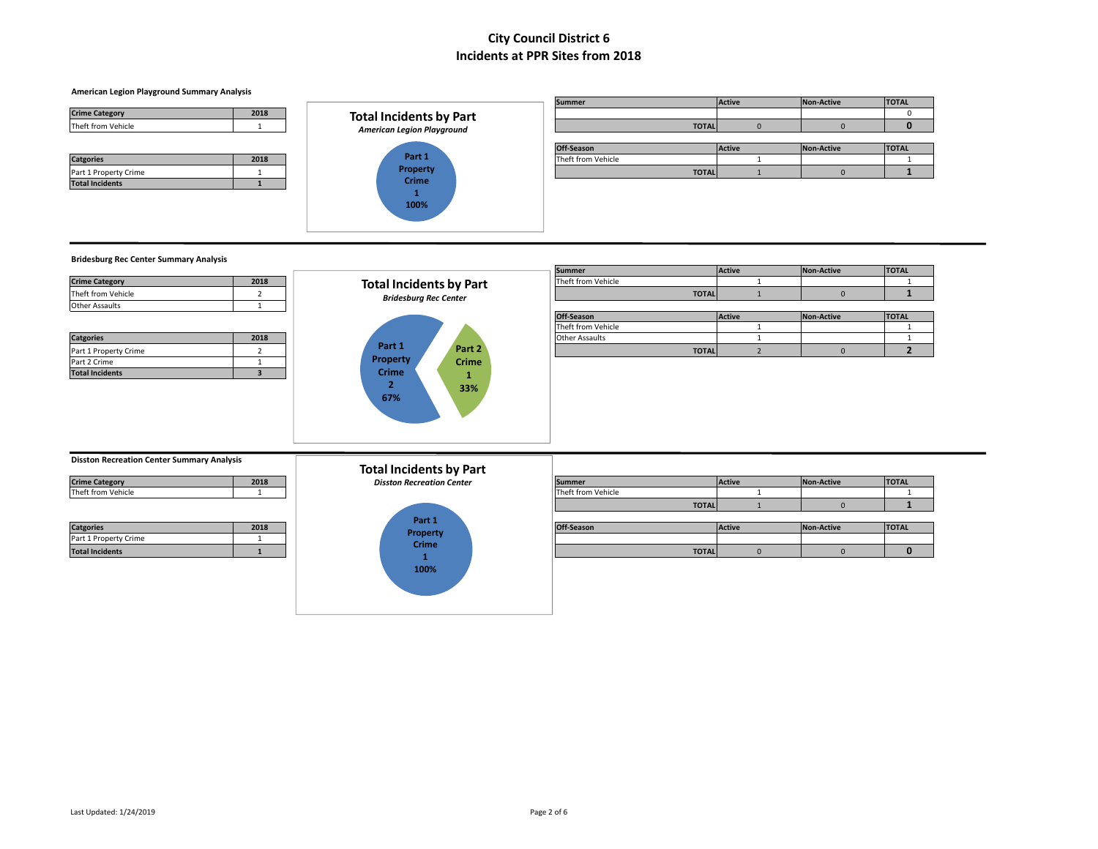### **American Legion Playground Summary Analysis**

| <b>Crime Category</b> | 2018 |
|-----------------------|------|
| Theft from Vehicle    |      |
|                       |      |
|                       |      |
| <b>Catgories</b>      | 2018 |
| Part 1 Property Crime |      |



|                       |      |                                   | <b>Summer</b>      | Active        | Non-Active | <b>TOTAL</b> |
|-----------------------|------|-----------------------------------|--------------------|---------------|------------|--------------|
| <b>Crime Category</b> | 2018 | <b>Total Incidents by Part</b>    |                    |               |            |              |
| Theft from Vehicle    |      | <b>American Legion Playground</b> | <b>TOTAL</b>       |               |            |              |
|                       |      |                                   |                    |               |            |              |
|                       |      |                                   | Off-Season         | <b>Active</b> | Non-Active |              |
|                       |      |                                   |                    |               |            | <b>TOTAL</b> |
| <b>Catgories</b>      | 2018 | Part 1                            | Theft from Vehicle |               |            |              |
| Part 1 Property Crime |      | <b>Property</b><br>Crimo          | <b>TOTAL</b>       |               |            |              |

### **Bridesburg Rec Center Summary Analysis**

|                                                   |                         |                                  | <b>Summer</b>      |              | <b>Active</b> | <b>Non-Active</b> | <b>TOTAL</b>   |
|---------------------------------------------------|-------------------------|----------------------------------|--------------------|--------------|---------------|-------------------|----------------|
| <b>Crime Category</b>                             | 2018                    | <b>Total Incidents by Part</b>   | Theft from Vehicle |              |               |                   |                |
| Theft from Vehicle                                |                         | <b>Bridesburg Rec Center</b>     |                    | <b>TOTAL</b> |               |                   |                |
| Other Assaults                                    |                         |                                  |                    |              |               |                   |                |
|                                                   |                         |                                  | Off-Season         |              | Active        | <b>Non-Active</b> | <b>TOTAL</b>   |
|                                                   |                         |                                  | Theft from Vehicle |              |               |                   |                |
| <b>Catgories</b>                                  | 2018                    |                                  | Other Assaults     |              |               |                   |                |
| Part 1 Property Crime                             | $\overline{a}$          | Part 1<br>Part 2                 |                    | <b>TOTAL</b> |               |                   | $\overline{2}$ |
| Part 2 Crime                                      |                         | <b>Property</b><br><b>Crime</b>  |                    |              |               |                   |                |
| <b>Total Incidents</b>                            | $\overline{\mathbf{3}}$ | <b>Crime</b><br>1                |                    |              |               |                   |                |
|                                                   |                         | 33%<br>67%                       |                    |              |               |                   |                |
| <b>Disston Recreation Center Summary Analysis</b> |                         | <b>Total Incidents by Part</b>   |                    |              |               |                   |                |
| <b>Crime Category</b>                             | 2018                    | <b>Disston Recreation Center</b> | <b>Summer</b>      |              | Active        | <b>Non-Active</b> | <b>TOTAL</b>   |

| <b>Crime Category</b> | 2018 |
|-----------------------|------|

| Theft from Vehicle |  |
|--------------------|--|
|                    |  |
|                    |  |

| <b>Catgories</b>       | 2018 |
|------------------------|------|
| Part 1 Property Crime  |      |
| <b>Total Incidents</b> |      |



|                       |      | Total incluents by Part          |                    |               |            |              |
|-----------------------|------|----------------------------------|--------------------|---------------|------------|--------------|
| <b>Crime Category</b> | 2018 | <b>Disston Recreation Center</b> | <b>Summer</b>      | <b>Active</b> | Non-Active | <b>TOTAL</b> |
| Theft from Vehicle    |      |                                  | Theft from Vehicle |               |            |              |
|                       |      |                                  | <b>TOTAL</b>       |               |            |              |
|                       |      |                                  |                    |               |            |              |

|                        |      | Ydit L       |              |               |                   |              |
|------------------------|------|--------------|--------------|---------------|-------------------|--------------|
| <b>Catgories</b>       | 2018 | Property     | Off-Season   | <b>Active</b> | <b>Non-Active</b> | <b>TOTAL</b> |
| Part 1 Property Crime  |      |              |              |               |                   |              |
| <b>Total Incidents</b> |      | <b>Crime</b> | <b>TOTAL</b> |               |                   |              |
|                        |      |              |              |               |                   |              |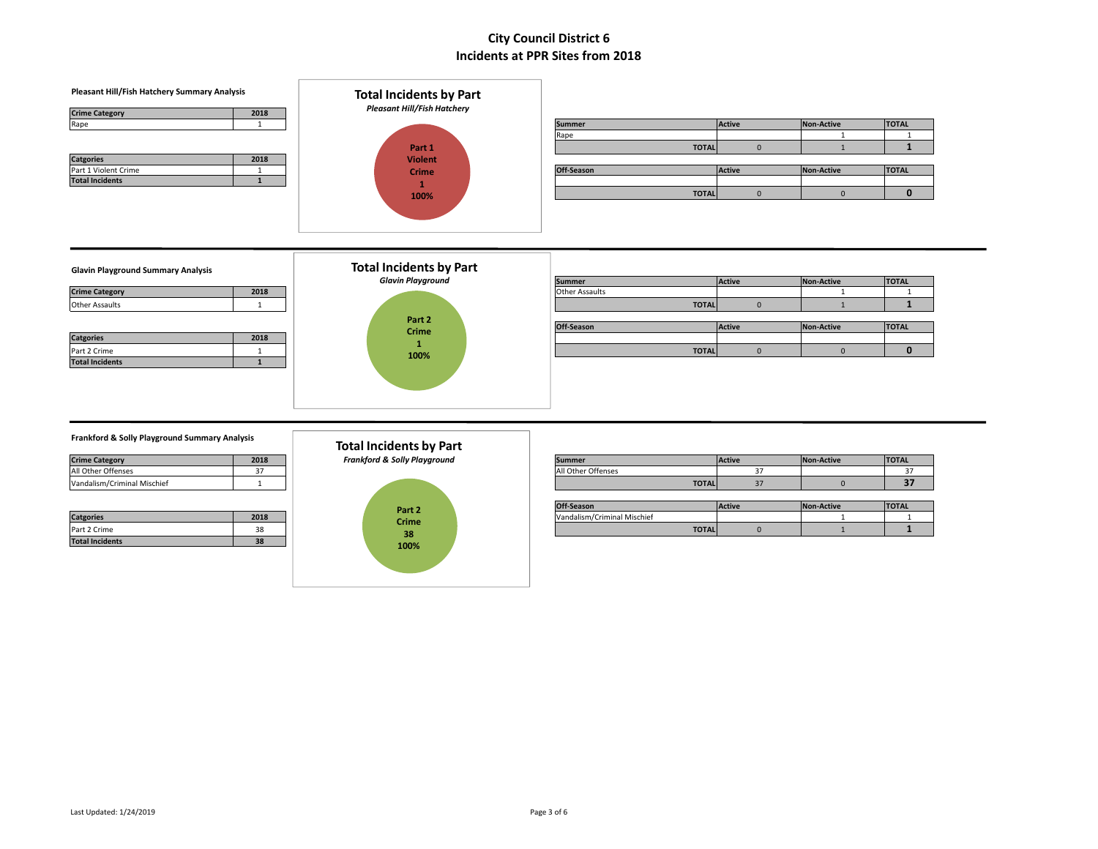| Pleasant Hill/Fish Hatchery Summary Analysis<br><b>Crime Category</b><br>2018 | <b>Total Incidents by Part</b><br><b>Pleasant Hill/Fish Hatchery</b> |                       |              |               |                   |                              |  |
|-------------------------------------------------------------------------------|----------------------------------------------------------------------|-----------------------|--------------|---------------|-------------------|------------------------------|--|
| $\overline{1}$<br>Rape                                                        |                                                                      | <b>Summer</b>         |              | Active        | Non-Active        | <b>TOTAL</b>                 |  |
|                                                                               |                                                                      | Rape                  |              |               |                   | $\mathbf{1}$                 |  |
|                                                                               | Part 1                                                               |                       | <b>TOTAL</b> | $\mathbf{0}$  |                   | $\mathbf{1}$                 |  |
| <b>Catgories</b><br>2018<br>Part 1 Violent Crime<br>$\mathbf{1}$              | <b>Violent</b><br><b>Crime</b>                                       | Off-Season            |              | <b>Active</b> | <b>Non-Active</b> | <b>TOTAL</b>                 |  |
| <b>Total Incidents</b><br>1                                                   | 100%                                                                 |                       | <b>TOTAL</b> | $\mathbf 0$   | $\mathbf 0$       | $\mathbf{0}$                 |  |
|                                                                               |                                                                      |                       |              |               |                   |                              |  |
| <b>Glavin Playground Summary Analysis</b>                                     | <b>Total Incidents by Part</b>                                       |                       |              |               |                   |                              |  |
|                                                                               | <b>Glavin Playground</b>                                             | <b>Summer</b>         |              | Active        | <b>Non-Active</b> | <b>TOTAL</b><br>$\mathbf{1}$ |  |
| <b>Crime Category</b><br>2018                                                 |                                                                      | <b>Other Assaults</b> |              |               |                   |                              |  |
| <b>Other Assaults</b><br>$\mathbf{1}$                                         |                                                                      |                       | <b>TOTAL</b> | $\mathbf 0$   | $\mathbf{1}$      | $\mathbf{1}$                 |  |
|                                                                               | Part 2                                                               | Off-Season            |              | <b>Active</b> | Non-Active        | <b>TOTAL</b>                 |  |
| <b>Catgories</b><br>2018                                                      | Crime                                                                |                       |              |               |                   |                              |  |
| Part 2 Crime<br>$\mathbf{1}$                                                  | 1<br>100%                                                            |                       | <b>TOTAL</b> | $\mathbf{0}$  | $\mathbf 0$       | $\mathbf{0}$                 |  |
| <b>Total Incidents</b><br>$\mathbf{1}$                                        |                                                                      |                       |              |               |                   |                              |  |
|                                                                               |                                                                      |                       |              |               |                   |                              |  |
|                                                                               |                                                                      |                       |              |               |                   |                              |  |
| Frankford & Solly Playground Summary Analysis                                 | <b>Total Incidents by Part</b>                                       |                       |              |               |                   |                              |  |

| <b>Crime Category</b>       | 2018 |
|-----------------------------|------|
| All Other Offenses          | דכ   |
| Vandalism/Criminal Mischief |      |

| <b>Catgories</b>       | 2018 |
|------------------------|------|
| Part 2 Crime           | 38   |
| <b>Total Incidents</b> | 38   |



| 2018 | <b>Frankford &amp; Solly Playground</b> |  |                              |                               | <b>TOTAL</b> |
|------|-----------------------------------------|--|------------------------------|-------------------------------|--------------|
|      |                                         |  |                              |                               |              |
|      |                                         |  |                              |                               |              |
|      |                                         |  | Summer<br>All Other Offenses | <b>Active</b><br><b>TOTAL</b> | Non-Active   |

|                  |      | Part 2       |  | Off-Season                  | Active | Non-Active | <b>TOTAL</b> |
|------------------|------|--------------|--|-----------------------------|--------|------------|--------------|
| <b>Catgories</b> | 2018 | <b>Crime</b> |  | Vandalism/Criminal Mischief |        |            |              |
| Part 2 Crime     |      |              |  | <b>TOTALI</b>               |        |            |              |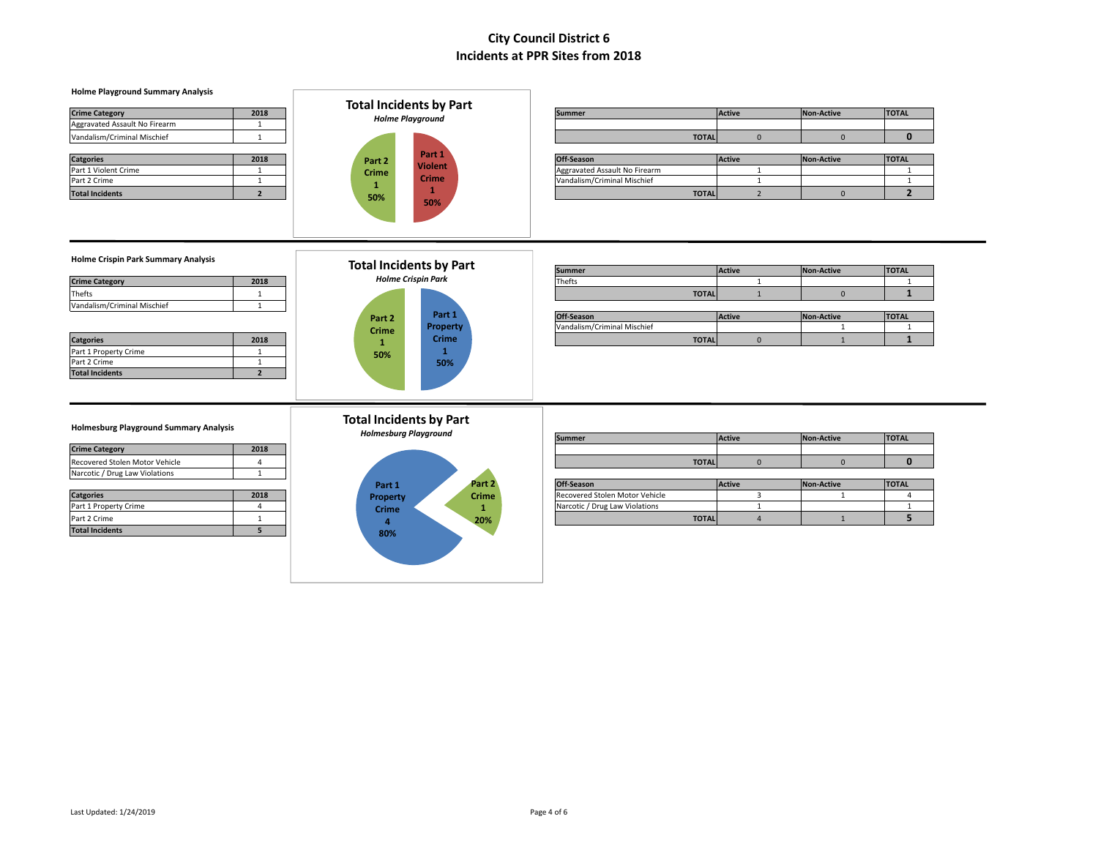| <b>Holme Playground Summary Analysis</b>                                                                 | <b>Total Incidents by Part</b>                                 |                                |                                |                   |                   |
|----------------------------------------------------------------------------------------------------------|----------------------------------------------------------------|--------------------------------|--------------------------------|-------------------|-------------------|
| <b>Crime Category</b><br>2018                                                                            | <b>Holme Playground</b>                                        | <b>Summer</b>                  | Active                         | <b>Non-Active</b> | <b>TOTAL</b>      |
| Aggravated Assault No Firearm<br>1                                                                       |                                                                |                                |                                |                   |                   |
| Vandalism/Criminal Mischief<br>$\mathbf{1}$                                                              |                                                                |                                | $\overline{0}$<br><b>TOTAL</b> | $\mathbf{0}$      | $\mathbf{0}$      |
| <b>Catgories</b><br>2018                                                                                 | Part 1<br>Part 2                                               | Off-Season                     | Active                         | <b>Non-Active</b> | <b>TOTAL</b>      |
| Part 1 Violent Crime<br>1                                                                                | <b>Violent</b><br><b>Crime</b>                                 | Aggravated Assault No Firearm  | $\mathbf{1}$                   |                   | $\mathbf{1}$      |
| Part 2 Crime<br>1                                                                                        | <b>Crime</b><br>$\mathbf{1}$                                   | Vandalism/Criminal Mischief    | 1                              |                   | 1                 |
| $\overline{2}$<br><b>Total Incidents</b>                                                                 | $\mathbf{1}$<br>50%<br>50%                                     |                                | $\overline{2}$<br><b>TOTAL</b> | $\overline{0}$    | $2^{\circ}$       |
| <b>Holme Crispin Park Summary Analysis</b>                                                               | <b>Total Incidents by Part</b>                                 |                                |                                |                   |                   |
|                                                                                                          | <b>Holme Crispin Park</b>                                      | <b>Summer</b>                  | Active                         | <b>Non-Active</b> | <b>TOTAL</b>      |
| <b>Crime Category</b><br>2018                                                                            |                                                                | Thefts                         | 1                              |                   | 1                 |
| Thefts<br>1                                                                                              |                                                                |                                | <b>TOTAL</b><br>$\mathbf{1}$   | $\mathbf{0}$      | $\mathbf{1}$      |
| Vandalism/Criminal Mischief<br>$\overline{1}$                                                            |                                                                |                                |                                |                   |                   |
|                                                                                                          | Part 1<br>Part 2                                               | Off-Season                     | Active                         | Non-Active        | <b>TOTAL</b>      |
| 2018<br><b>Catgories</b>                                                                                 | Property<br><b>Crime</b><br><b>Crime</b>                       | Vandalism/Criminal Mischief    | <b>TOTAL</b><br>$\mathbf{0}$   | 1<br>$\mathbf{1}$ | 1<br>$\mathbf{1}$ |
| Part 1 Property Crime<br>$\overline{1}$<br>Part 2 Crime<br>1<br><b>Total Incidents</b><br>$\overline{2}$ | $\mathbf{1}$<br>$\mathbf{1}$<br>50%<br>50%                     |                                |                                |                   |                   |
| <b>Holmesburg Playground Summary Analysis</b>                                                            | <b>Total Incidents by Part</b><br><b>Holmesburg Playground</b> | <b>Summer</b>                  | Active                         | Non-Active        | <b>TOTAL</b>      |
| <b>Crime Category</b><br>2018                                                                            |                                                                |                                |                                |                   |                   |
| Recovered Stolen Motor Vehicle<br>$\overline{4}$                                                         |                                                                |                                | <b>TOTAL</b><br>$\mathbf 0$    | $\mathbf{0}$      | $\mathbf{0}$      |
| Narcotic / Drug Law Violations<br>1                                                                      |                                                                |                                |                                |                   |                   |
|                                                                                                          | Part 2<br>Part 1                                               | Off-Season                     | <b>Active</b>                  | <b>Non-Active</b> | <b>TOTAL</b>      |
| 2018<br><b>Catgories</b>                                                                                 | <b>Crime</b><br><b>Property</b>                                | Recovered Stolen Motor Vehicle | $\overline{3}$                 | 1                 | $\overline{4}$    |
| Part 1 Property Crime<br>$\overline{4}$                                                                  | $\mathbf{1}$<br><b>Crime</b>                                   | Narcotic / Drug Law Violations | $\mathbf{1}$                   |                   | $\mathbf{1}$      |
| Part 2 Crime<br>1                                                                                        | 20%<br>$\overline{4}$                                          |                                | $\overline{4}$<br><b>TOTAL</b> | $\mathbf{1}$      | 5                 |
| $\overline{5}$<br><b>Total Incidents</b>                                                                 | 80%                                                            |                                |                                |                   |                   |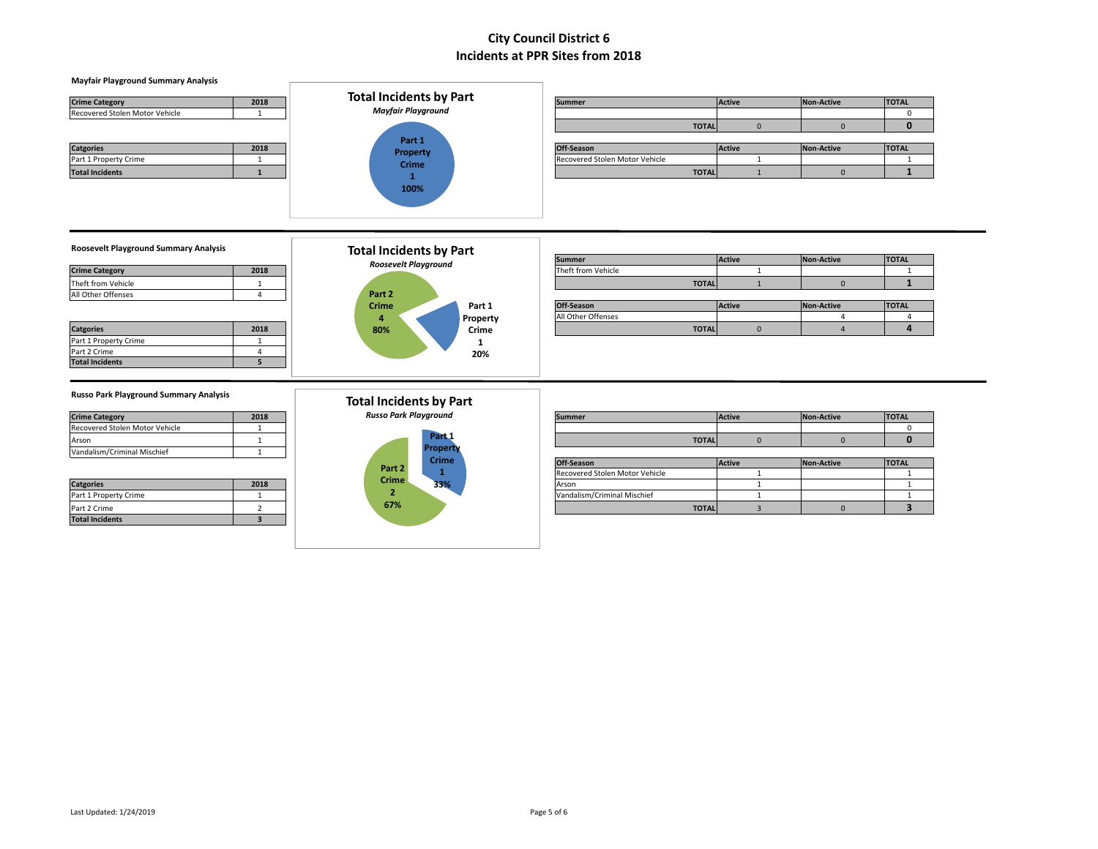| <b>Crime Category</b><br>Recovered Stolen Motor Vehicle | 2018                             | <b>Total Incidents by Part</b><br><b>Mayfair Playground</b>   | <b>Summer</b>                           | Active                       | <b>Non-Active</b> | <b>TOTAL</b><br>$\mathbf{0}$ |
|---------------------------------------------------------|----------------------------------|---------------------------------------------------------------|-----------------------------------------|------------------------------|-------------------|------------------------------|
|                                                         |                                  |                                                               |                                         | $\mathbf{0}$<br><b>TOTAL</b> | $\mathbf{0}$      | $\mathbf{0}$                 |
| <b>Catgories</b>                                        | 2018                             | Part 1<br><b>Property</b>                                     | Off-Season                              | <b>Active</b>                | <b>Non-Active</b> | <b>TOTAL</b>                 |
| Part 1 Property Crime                                   | $\overline{1}$                   | <b>Crime</b>                                                  | Recovered Stolen Motor Vehicle          | $\mathbf{1}$                 |                   | 1                            |
| <b>Total Incidents</b>                                  | $\mathbf{1}$                     | $\mathbf{1}$                                                  |                                         | <b>TOTAL</b><br>$\mathbf{1}$ | $\mathbf{0}$      | $\mathbf{1}$                 |
|                                                         |                                  |                                                               |                                         |                              |                   |                              |
| <b>Roosevelt Playground Summary Analysis</b>            |                                  | <b>Total Incidents by Part</b><br><b>Roosevelt Playground</b> | <b>Summer</b>                           | Active                       | <b>Non-Active</b> | <b>TOTAL</b>                 |
| <b>Crime Category</b>                                   | 2018                             |                                                               | Theft from Vehicle                      | 1                            |                   | -1                           |
| Theft from Vehicle                                      | 1                                |                                                               |                                         | <b>TOTAL</b><br>$\mathbf{1}$ | $\mathbf{0}$      | $\mathbf{1}$                 |
| All Other Offenses                                      | $\overline{a}$                   | Part 2                                                        |                                         |                              |                   |                              |
|                                                         |                                  | Crime<br>Part 1                                               | Off-Season                              | Active                       | <b>Non-Active</b> | <b>TOTAL</b>                 |
|                                                         |                                  | Property<br>4                                                 | All Other Offenses                      |                              | $\Delta$          | $\overline{4}$               |
| <b>Catgories</b>                                        | 2018                             | 80%<br>Crime                                                  |                                         | <b>TOTAL</b><br>$\mathbf{0}$ | $\overline{a}$    | $\overline{a}$               |
| Part 1 Property Crime<br>Part 2 Crime                   | $\overline{1}$<br>$\overline{a}$ | 1                                                             |                                         |                              |                   |                              |
| <b>Total Incidents</b>                                  | 5                                | 20%                                                           |                                         |                              |                   |                              |
|                                                         |                                  |                                                               |                                         |                              |                   |                              |
|                                                         |                                  |                                                               |                                         |                              |                   |                              |
| <b>Russo Park Playground Summary Analysis</b>           |                                  | <b>Total Incidents by Part</b>                                |                                         |                              |                   |                              |
| <b>Crime Category</b>                                   | 2018                             | <b>Russo Park Playground</b>                                  | <b>Summer</b>                           | Active                       | <b>Non-Active</b> | <b>TOTAL</b>                 |
| Recovered Stolen Motor Vehicle                          |                                  |                                                               |                                         |                              |                   | $\Omega$                     |
| Arson                                                   |                                  | Part <sub>1</sub>                                             |                                         | <b>TOTAL</b><br>$\mathbf{0}$ | $\mathbf{0}$      | $\Omega$                     |
|                                                         | $\overline{1}$                   | <b>Property</b>                                               |                                         |                              |                   |                              |
| Vandalism/Criminal Mischief                             |                                  |                                                               |                                         |                              |                   |                              |
|                                                         |                                  | <b>Crime</b>                                                  | Off-Season                              | <b>Active</b>                | <b>Non-Active</b> | <b>TOTAL</b>                 |
| <b>Catgories</b>                                        | 2018                             | Part 2<br>1<br>Crime<br>33%                                   | Recovered Stolen Motor Vehicle<br>Arson | $\mathbf{1}$<br>$\mathbf{1}$ |                   | 1<br>$\mathbf{1}$            |

Part 1 Property Crime 1 Vandalism/Criminal Mischief 1 1 Part 2 Crime 2 **TOTAL** 3 0 **3**

**67%**

**Mayfair Playground Summary Analysis**

**Total Incidents 3**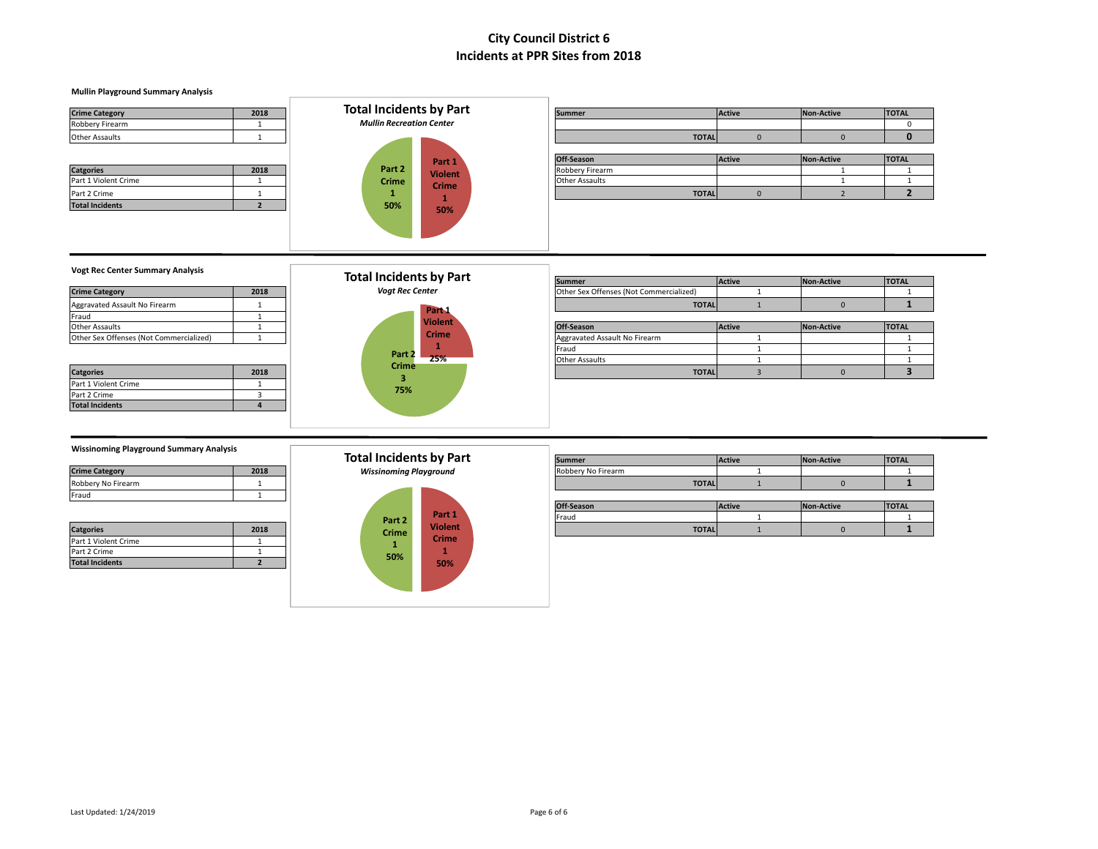### **Mullin Playground Summary Analysis**

| <b>Crime Category</b>  | 2018 | <b>Total Incidents by Part</b>  |                | <b>Summer</b>         |              | Active   | Non-Active | <b>TOTAL</b> |
|------------------------|------|---------------------------------|----------------|-----------------------|--------------|----------|------------|--------------|
| Robbery Firearm        |      | <b>Mullin Recreation Center</b> |                |                       |              |          |            |              |
| <b>Other Assaults</b>  |      |                                 |                |                       | <b>TOTAL</b> |          |            | O            |
|                        |      |                                 |                |                       |              |          |            |              |
|                        |      |                                 | Part 1         | Off-Season            |              | Active   | Non-Active | <b>TOTAL</b> |
| <b>Catgories</b>       | 2018 | Part 2                          | <b>Violent</b> | Robbery Firearm       |              |          |            |              |
| Part 1 Violent Crime   |      | <b>Crime</b>                    | <b>Crime</b>   | <b>Other Assaults</b> |              |          |            |              |
| Part 2 Crime           |      |                                 |                |                       | <b>TOTAL</b> | $\Omega$ |            |              |
| <b>Total Incidents</b> |      | 50%                             | 50%            |                       |              |          |            |              |
|                        |      |                                 |                |                       |              |          |            |              |
|                        |      |                                 |                |                       |              |          |            |              |
|                        |      |                                 |                |                       |              |          |            |              |
|                        |      |                                 |                |                       |              |          |            |              |

| <b>ISummer</b>  | <b>IActive</b> | <b>INON-Active</b> | <b>IIUIAL</b> |
|-----------------|----------------|--------------------|---------------|
|                 |                |                    |               |
|                 | <b>TOTALI</b>  |                    |               |
|                 |                |                    |               |
| Off-Season      | <b>Active</b>  | Non-Active         | <b>TOTAL</b>  |
| Robbery Firearm |                |                    |               |
| ____            |                |                    | $\sim$        |

### **Vogt Rec Center Summary Analysis**

| 2018 |
|------|
|      |
|      |
|      |
|      |
|      |

| <b>Catgories</b>       | 2018 |
|------------------------|------|
| Part 1 Violent Crime   |      |
| Part 2 Crime           |      |
| <b>Total Incidents</b> |      |



|                                         |      | Total Incidents by Part | <b>Summer</b>                           | <b>Active</b> | Non-Active | <b>TOTAL</b> |
|-----------------------------------------|------|-------------------------|-----------------------------------------|---------------|------------|--------------|
| <b>Crime Category</b>                   | 2018 | <b>Vogt Rec Center</b>  | Other Sex Offenses (Not Commercialized) |               |            |              |
| Aggravated Assault No Firearm           |      | Part <sub>1</sub>       | <b>TOTAL</b>                            |               |            |              |
| Fraud                                   |      |                         |                                         |               |            |              |
| Other Assaults                          |      | <b>Violent</b>          | Off-Season                              | <b>Active</b> | Non-Active | <b>TOTAL</b> |
| Other Sex Offenses (Not Commercialized) |      | <b>Crime</b>            | Aggravated Assault No Firearm           |               |            |              |
|                                         |      | Part 2                  | Fraud                                   |               |            |              |
|                                         |      | 25%                     | <b>Other Assaults</b>                   |               |            |              |
| <b>Catgories</b>                        | 2018 | <b>Crime</b>            | <b>TOTAL</b>                            |               |            |              |

#### **Wissinoming Playground Summary Analysis**

| <b>Crime Category</b> | 2018 |
|-----------------------|------|
| Robbery No Firearm    |      |
| Fraud                 |      |

| <b>Catgories</b>       | 2018 |
|------------------------|------|
| Part 1 Violent Crime   |      |
| Part 2 Crime           |      |
| <b>Total Incidents</b> |      |

| <b>Total Incidents by Part</b> |  |
|--------------------------------|--|
| 14/instrumenta a Diamondano d  |  |



| $\ldots$              |      |                         |                    |               |                   |              |  |  |
|-----------------------|------|-------------------------|--------------------|---------------|-------------------|--------------|--|--|
|                       |      | Total Incidents by Part | <b>Summer</b>      | <b>Active</b> | <b>Non-Active</b> | <b>TOTAL</b> |  |  |
| <b>Crime Category</b> | 2018 | Wissinoming Playground  | Robbery No Firearm |               |                   |              |  |  |
| Robbery No Firearm    |      |                         | <b>TOTAL</b>       |               |                   |              |  |  |

| .                |      |        |                |              |               |                   |              |
|------------------|------|--------|----------------|--------------|---------------|-------------------|--------------|
|                  |      |        |                | Off-Season   | <b>Active</b> | <b>Non-Active</b> | <b>TOTAL</b> |
|                  |      | Part 2 | Part 1         | Fraud        |               |                   |              |
| <b>Catgories</b> | 2018 | Crime  | <b>Violent</b> | <b>TOTAL</b> |               |                   |              |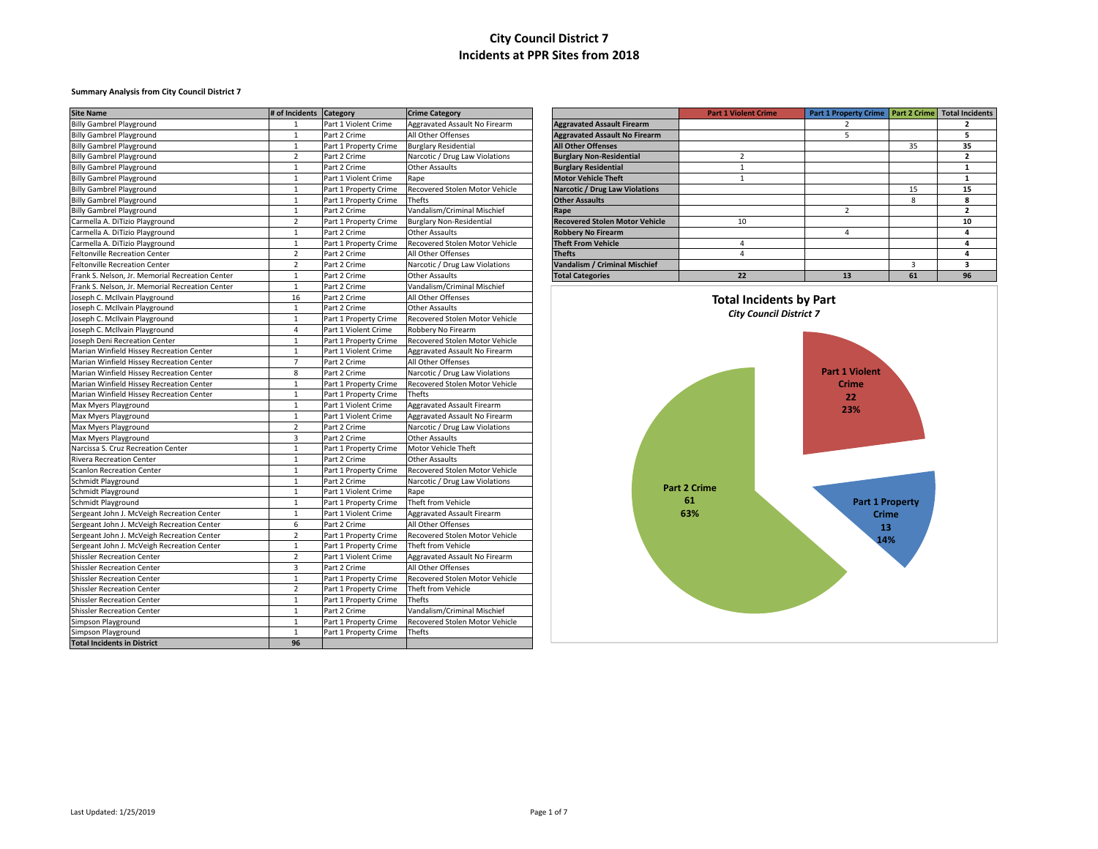### **Summary Analysis from City Council District 7**

| <b>Site Name</b>                                | # of Incidents Category |                       | <b>Crime Category</b>           |                                       | <b>Part 1 Violent Crime</b>    | Part 1 Property Crime   Part 2 Crime   Total Incidents |    |                         |
|-------------------------------------------------|-------------------------|-----------------------|---------------------------------|---------------------------------------|--------------------------------|--------------------------------------------------------|----|-------------------------|
| <b>Billy Gambrel Playground</b>                 | -1                      | Part 1 Violent Crime  | Aggravated Assault No Firearm   | <b>Aggravated Assault Firearm</b>     |                                | 2                                                      |    | $\overline{2}$          |
| <b>Billy Gambrel Playground</b>                 | 1                       | Part 2 Crime          | All Other Offenses              | <b>Aggravated Assault No Firearm</b>  |                                | 5                                                      |    | 5                       |
| <b>Billy Gambrel Playground</b>                 | $\mathbf{1}$            | Part 1 Property Crime | <b>Burglary Residential</b>     | <b>All Other Offenses</b>             |                                |                                                        | 35 | 35                      |
| <b>Billy Gambrel Playground</b>                 | $\overline{2}$          | Part 2 Crime          | Narcotic / Drug Law Violations  | <b>Burglary Non-Residential</b>       | $\overline{2}$                 |                                                        |    | $\overline{2}$          |
| <b>Billy Gambrel Playground</b>                 | $\mathbf{1}$            | Part 2 Crime          | Other Assaults                  | <b>Burglary Residential</b>           | $\mathbf{1}$                   |                                                        |    | <sup>1</sup>            |
| <b>Billy Gambrel Playground</b>                 | 1                       | Part 1 Violent Crime  | Rape                            | <b>Motor Vehicle Theft</b>            | 1                              |                                                        |    | <sup>1</sup>            |
| <b>Billy Gambrel Playground</b>                 | $\mathbf{1}$            | Part 1 Property Crime | Recovered Stolen Motor Vehicle  | Narcotic / Drug Law Violations        |                                |                                                        | 15 | 15                      |
| <b>Billy Gambrel Playground</b>                 | 1                       | Part 1 Property Crime | Thefts                          | <b>Other Assaults</b>                 |                                |                                                        | 8  | 8                       |
| <b>Billy Gambrel Playground</b>                 | $\mathbf{1}$            | Part 2 Crime          | Vandalism/Criminal Mischief     | Rape                                  |                                | $\overline{2}$                                         |    | $\overline{2}$          |
| Carmella A. DiTizio Playground                  | $\overline{2}$          | Part 1 Property Crime | <b>Burglary Non-Residential</b> | <b>Recovered Stolen Motor Vehicle</b> | 10                             |                                                        |    | 10                      |
| Carmella A. DiTizio Playground                  | $\mathbf{1}$            | Part 2 Crime          | Other Assaults                  | <b>Robbery No Firearm</b>             |                                | $\overline{4}$                                         |    | $\overline{a}$          |
| Carmella A. DiTizio Playground                  | $\mathbf{1}$            | Part 1 Property Crime | Recovered Stolen Motor Vehicle  | <b>Theft From Vehicle</b>             | 4                              |                                                        |    | 4                       |
| <b>Feltonville Recreation Center</b>            | $\overline{2}$          | Part 2 Crime          | All Other Offenses              | <b>Thefts</b>                         | $\overline{4}$                 |                                                        |    | $\overline{4}$          |
| Feltonville Recreation Center                   | $\overline{2}$          | Part 2 Crime          | Narcotic / Drug Law Violations  | Vandalism / Criminal Mischief         |                                |                                                        | 3  | $\overline{\mathbf{3}}$ |
| Frank S. Nelson, Jr. Memorial Recreation Center | $\mathbf{1}$            | Part 2 Crime          | Other Assaults                  | <b>Total Categories</b>               | 22                             | 13                                                     | 61 | 96                      |
| Frank S. Nelson, Jr. Memorial Recreation Center | $\mathbf{1}$            | Part 2 Crime          | Vandalism/Criminal Mischief     |                                       |                                |                                                        |    |                         |
| Joseph C. McIlvain Playground                   | 16                      | Part 2 Crime          | All Other Offenses              |                                       | <b>Total Incidents by Part</b> |                                                        |    |                         |
| Joseph C. McIlvain Playground                   | 1                       | Part 2 Crime          | Other Assaults                  |                                       |                                |                                                        |    |                         |
| Joseph C. McIlvain Playground                   | $\mathbf{1}$            | Part 1 Property Crime | Recovered Stolen Motor Vehicle  |                                       | <b>City Council District 7</b> |                                                        |    |                         |
| Joseph C. McIlvain Playground                   | $\overline{4}$          | Part 1 Violent Crime  | Robbery No Firearm              |                                       |                                |                                                        |    |                         |
| Joseph Deni Recreation Center                   | $\mathbf{1}$            | Part 1 Property Crime | Recovered Stolen Motor Vehicle  |                                       |                                |                                                        |    |                         |
| Marian Winfield Hissey Recreation Center        | 1                       | Part 1 Violent Crime  | Aggravated Assault No Firearm   |                                       |                                |                                                        |    |                         |
| Marian Winfield Hissey Recreation Center        | $\overline{7}$          | Part 2 Crime          | All Other Offenses              |                                       |                                |                                                        |    |                         |
| Marian Winfield Hissey Recreation Center        | 8                       | Part 2 Crime          | Narcotic / Drug Law Violations  |                                       |                                | <b>Part 1 Violent</b>                                  |    |                         |
| Marian Winfield Hissey Recreation Center        | $\mathbf{1}$            | Part 1 Property Crime | Recovered Stolen Motor Vehicle  |                                       |                                | <b>Crime</b>                                           |    |                         |
| Marian Winfield Hissey Recreation Center        | $\mathbf{1}$            | Part 1 Property Crime | Thefts                          |                                       |                                | 22                                                     |    |                         |
| Max Myers Playground                            | $\mathbf{1}$            | Part 1 Violent Crime  | Aggravated Assault Firearm      |                                       |                                | 23%                                                    |    |                         |
| Max Myers Playground                            | $\mathbf{1}$            | Part 1 Violent Crime  | Aggravated Assault No Firearm   |                                       |                                |                                                        |    |                         |
| Max Myers Playground                            | $\overline{2}$          | Part 2 Crime          | Narcotic / Drug Law Violations  |                                       |                                |                                                        |    |                         |
| Max Myers Playground                            | $\overline{3}$          | Part 2 Crime          | Other Assaults                  |                                       |                                |                                                        |    |                         |
| Narcissa S. Cruz Recreation Center              | $\mathbf{1}$            | Part 1 Property Crime | Motor Vehicle Theft             |                                       |                                |                                                        |    |                         |
| <b>Rivera Recreation Center</b>                 | $\mathbf{1}$            | Part 2 Crime          | Other Assaults                  |                                       |                                |                                                        |    |                         |
| <b>Scanlon Recreation Center</b>                | $\mathbf{1}$            | Part 1 Property Crime | Recovered Stolen Motor Vehicle  |                                       |                                |                                                        |    |                         |
| <b>Schmidt Playground</b>                       | $\mathbf{1}$            | Part 2 Crime          | Narcotic / Drug Law Violations  |                                       |                                |                                                        |    |                         |
| Schmidt Playground                              | $\mathbf{1}$            | Part 1 Violent Crime  | Rape                            |                                       | <b>Part 2 Crime</b>            |                                                        |    |                         |
| Schmidt Playground                              | $\mathbf{1}$            | Part 1 Property Crime | Theft from Vehicle              |                                       | 61                             | <b>Part 1 Property</b>                                 |    |                         |
| Sergeant John J. McVeigh Recreation Center      | $\mathbf{1}$            | Part 1 Violent Crime  | Aggravated Assault Firearm      |                                       | 63%                            | <b>Crime</b>                                           |    |                         |
| Sergeant John J. McVeigh Recreation Center      | 6                       | Part 2 Crime          | All Other Offenses              |                                       |                                | 13                                                     |    |                         |
| Sergeant John J. McVeigh Recreation Center      | $\overline{2}$          | Part 1 Property Crime | Recovered Stolen Motor Vehicle  |                                       |                                | 14%                                                    |    |                         |
| Sergeant John J. McVeigh Recreation Center      | 1                       | Part 1 Property Crime | Theft from Vehicle              |                                       |                                |                                                        |    |                         |
| <b>Shissler Recreation Center</b>               | 2                       | Part 1 Violent Crime  | Aggravated Assault No Firearm   |                                       |                                |                                                        |    |                         |
| <b>Shissler Recreation Center</b>               | $\overline{\mathbf{3}}$ | Part 2 Crime          | All Other Offenses              |                                       |                                |                                                        |    |                         |
| <b>Shissler Recreation Center</b>               | 1                       | Part 1 Property Crime | Recovered Stolen Motor Vehicle  |                                       |                                |                                                        |    |                         |
| <b>Shissler Recreation Center</b>               | $\overline{2}$          | Part 1 Property Crime | Theft from Vehicle              |                                       |                                |                                                        |    |                         |
| <b>Shissler Recreation Center</b>               | 1                       | Part 1 Property Crime | Thefts                          |                                       |                                |                                                        |    |                         |
| <b>Shissler Recreation Center</b>               | $\mathbf{1}$            | Part 2 Crime          | Vandalism/Criminal Mischief     |                                       |                                |                                                        |    |                         |
| Simpson Playground                              | 1                       | Part 1 Property Crime | Recovered Stolen Motor Vehicle  |                                       |                                |                                                        |    |                         |
| Simpson Playground                              | 1                       | Part 1 Property Crime | Thefts                          |                                       |                                |                                                        |    |                         |
| <b>Total Incidents in District</b>              | 96                      |                       |                                 |                                       |                                |                                                        |    |                         |

|                                       | <b>Part 1 Violent Crime</b> | <b>Part 1 Property Crime</b> | <b>Part 2 Crime</b> | <b>Total Incidents</b> |
|---------------------------------------|-----------------------------|------------------------------|---------------------|------------------------|
| <b>Aggravated Assault Firearm</b>     |                             | 2                            |                     | 2                      |
| <b>Aggravated Assault No Firearm</b>  |                             | 5                            |                     | 5                      |
| <b>All Other Offenses</b>             |                             |                              | 35                  | 35                     |
| <b>Burglary Non-Residential</b>       | $\overline{2}$              |                              |                     | ,                      |
| <b>Burglary Residential</b>           |                             |                              |                     |                        |
| <b>Motor Vehicle Theft</b>            |                             |                              |                     |                        |
| <b>Narcotic / Drug Law Violations</b> |                             |                              | 15                  | 15                     |
| <b>Other Assaults</b>                 |                             |                              | 8                   | 8                      |
| Rape                                  |                             | 2                            |                     | ,                      |
| <b>Recovered Stolen Motor Vehicle</b> | 10                          |                              |                     | 10                     |
| <b>Robbery No Firearm</b>             |                             | 4                            |                     | 4                      |
| <b>Theft From Vehicle</b>             | 4                           |                              |                     | 4                      |
| <b>Thefts</b>                         | 4                           |                              |                     | 4                      |
| Vandalism / Criminal Mischief         |                             |                              | 3                   | 3                      |
| <b>Total Categories</b>               | 22                          | 13                           | 61                  | 96                     |

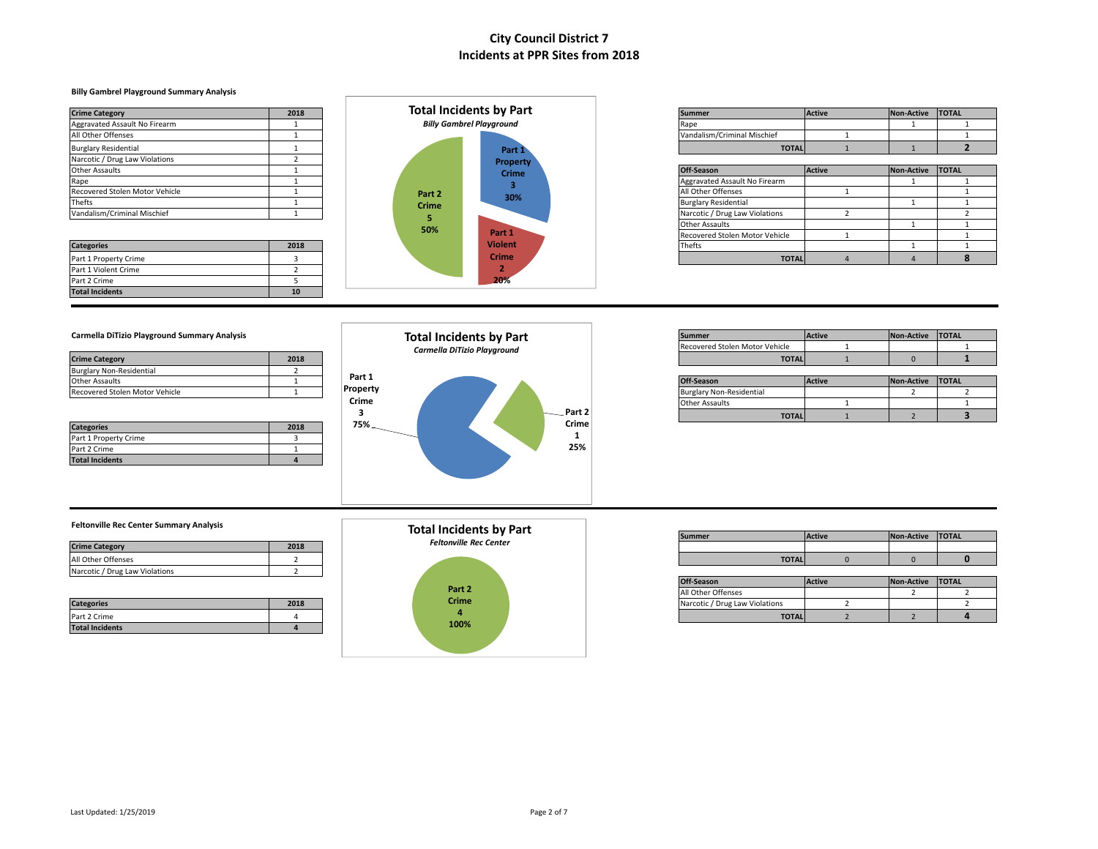### **Billy Gambrel Playground Summary Analysis**

|                                |      |              | <b>Total Incidents by Part</b>  |                                |              |        |                  |  |
|--------------------------------|------|--------------|---------------------------------|--------------------------------|--------------|--------|------------------|--|
| <b>Crime Category</b>          | 2018 |              |                                 | <b>Summer</b>                  |              | Active | Non-Active TOTAL |  |
| Aggravated Assault No Firearm  |      |              | <b>Billy Gambrel Playground</b> | Rape                           |              |        |                  |  |
| All Other Offenses             |      |              |                                 | Vandalism/Criminal Mischief    |              |        |                  |  |
| <b>Burglary Residential</b>    |      |              | Part 1                          |                                | <b>TOTAL</b> |        |                  |  |
| Narcotic / Drug Law Violations |      |              | <b>Property</b>                 |                                |              |        |                  |  |
| <b>Other Assaults</b>          |      |              | <b>Crime</b>                    | Off-Season                     |              | Active | Non-Active TOTAL |  |
| Rape                           |      |              |                                 | Aggravated Assault No Firearm  |              |        |                  |  |
| Recovered Stolen Motor Vehicle |      | Part 2       | 30%                             | All Other Offenses             |              |        |                  |  |
| <b>Thefts</b>                  |      | <b>Crime</b> |                                 | <b>Burglary Residential</b>    |              |        |                  |  |
| Vandalism/Criminal Mischief    |      |              |                                 | Narcotic / Drug Law Violations |              |        |                  |  |
|                                |      | 50%          |                                 | Other Assaults                 |              |        |                  |  |
|                                |      |              | Part <sub>1</sub>               | Bogovovad Chalon Motor Vohicle |              |        |                  |  |

Part 1 Violent Crime 2<br>
Part 2 Crime 5 Part 2 Crime **Total Incidents 10**



| <b>Crime Category</b>         | 2018 | Total Incidents by Part         | <b>Summer</b>               | Active | <b>Non-Active</b> | <b>TOTAL</b> |
|-------------------------------|------|---------------------------------|-----------------------------|--------|-------------------|--------------|
| Aggravated Assault No Firearm |      | <b>Billy Gambrel Playground</b> |                             |        |                   |              |
| All Other Offenses            |      |                                 | Vandalism/Criminal Mischief |        |                   |              |
| Burglary Residential          |      | Part i                          | <b>TOTAI</b>                |        |                   |              |

| Other Assaults                 |      |              | .<br><b>Crime</b> | Off-Season                     | <b>Active</b> | Non-Active TOTAL |  |
|--------------------------------|------|--------------|-------------------|--------------------------------|---------------|------------------|--|
| Rape                           |      |              |                   | Aggravated Assault No Firearm  |               |                  |  |
| Recovered Stolen Motor Vehicle |      | Part 2       | 30%               | All Other Offenses             |               |                  |  |
| Thefts                         |      | <b>Crime</b> |                   | <b>Burglary Residential</b>    |               |                  |  |
| Vandalism/Criminal Mischief    |      |              |                   | Narcotic / Drug Law Violations |               |                  |  |
|                                |      | 50%          |                   | <b>Other Assaults</b>          |               |                  |  |
|                                |      |              | Part 1            | Recovered Stolen Motor Vehicle |               |                  |  |
| <b>Categories</b>              | 2018 |              | <b>Violent</b>    | Thefts                         |               |                  |  |
| Part 1 Property Crime          |      |              | Crime             | <b>TOTAL</b>                   |               |                  |  |

| <b>Carmella DiTizio Plavground Summary Analysis</b> |  |
|-----------------------------------------------------|--|
|-----------------------------------------------------|--|

| <b>Crime Category</b>           | 2018 |  |
|---------------------------------|------|--|
| <b>Burglary Non-Residential</b> |      |  |
| <b>Other Assaults</b>           |      |  |
| Recovered Stolen Motor Vehicle  |      |  |

| <b>Categories</b>      | 2018 |
|------------------------|------|
| Part 1 Property Crime  |      |
| Part 2 Crime           |      |
| <b>Total Incidents</b> |      |



| Carmella DiTizio Playground Summary Analysis |      | <b>Total Incidents by Part</b> | Summer |                                        | <b>Active</b> | <b>Non-Active</b> | <b>TOTAL</b> |
|----------------------------------------------|------|--------------------------------|--------|----------------------------------------|---------------|-------------------|--------------|
|                                              |      | Carmella DiTizio Playground    |        | <b>IRecovered Stolen Motor Vehicle</b> |               |                   |              |
| <b>Crime Category</b>                        | 2018 |                                |        | <b>TOTAL</b>                           |               |                   |              |

| Other Assaults                 | Part 1   |  |                          | Off-Season                      | <b>Active</b> | Non-Active | <b>TOTAL</b> |  |
|--------------------------------|----------|--|--------------------------|---------------------------------|---------------|------------|--------------|--|
| Recovered Stolen Motor Vehicle | Property |  |                          | <b>Burglary Non-Residential</b> |               |            |              |  |
|                                | Crime    |  |                          | <b>Other Assaults</b>           |               |            |              |  |
|                                |          |  | Part 2<br>$\sim$ $\cdot$ | <b>TOTAL</b>                    |               |            |              |  |

#### **Feltonville Rec Center Summary Analysis**

| <b>Crime Category</b>          | 2018 |
|--------------------------------|------|
| All Other Offenses             |      |
| Narcotic / Drug Law Violations |      |

| <b>Categories</b>      | 2018 |
|------------------------|------|
| Part 2 Crime           |      |
| <b>Total Incidents</b> |      |

# **Part 2 Crime 4 100% Total Incidents by Part** *Feltonville Rec Center*

|                                | <b>IULAI IIILIUCIILS DY FAIL</b> | Summer       | <b>Active</b> | Non-Active TOTAL |  |
|--------------------------------|----------------------------------|--------------|---------------|------------------|--|
| 2018<br><b>Crime Category</b>  | <b>Feltonville Rec Center</b>    |              |               |                  |  |
| All Other Offenses             |                                  | <b>TOTAL</b> |               |                  |  |
| Narcotic / Drug Law Violations |                                  |              |               |                  |  |
|                                |                                  |              |               |                  |  |

|                   |      |              |  | Off-Season                     | $A$ ctive<br><b>HOUVE</b> | <b>Non-Active</b> | <b>TOTAL</b> |  |
|-------------------|------|--------------|--|--------------------------------|---------------------------|-------------------|--------------|--|
|                   |      | Part 2       |  | All Other Offenses             |                           |                   |              |  |
| <b>Categories</b> | 2018 | <b>Crime</b> |  | Narcotic / Drug Law Violations |                           |                   |              |  |
| Part 2 Crime      |      |              |  | <b>TOTAL</b>                   |                           |                   |              |  |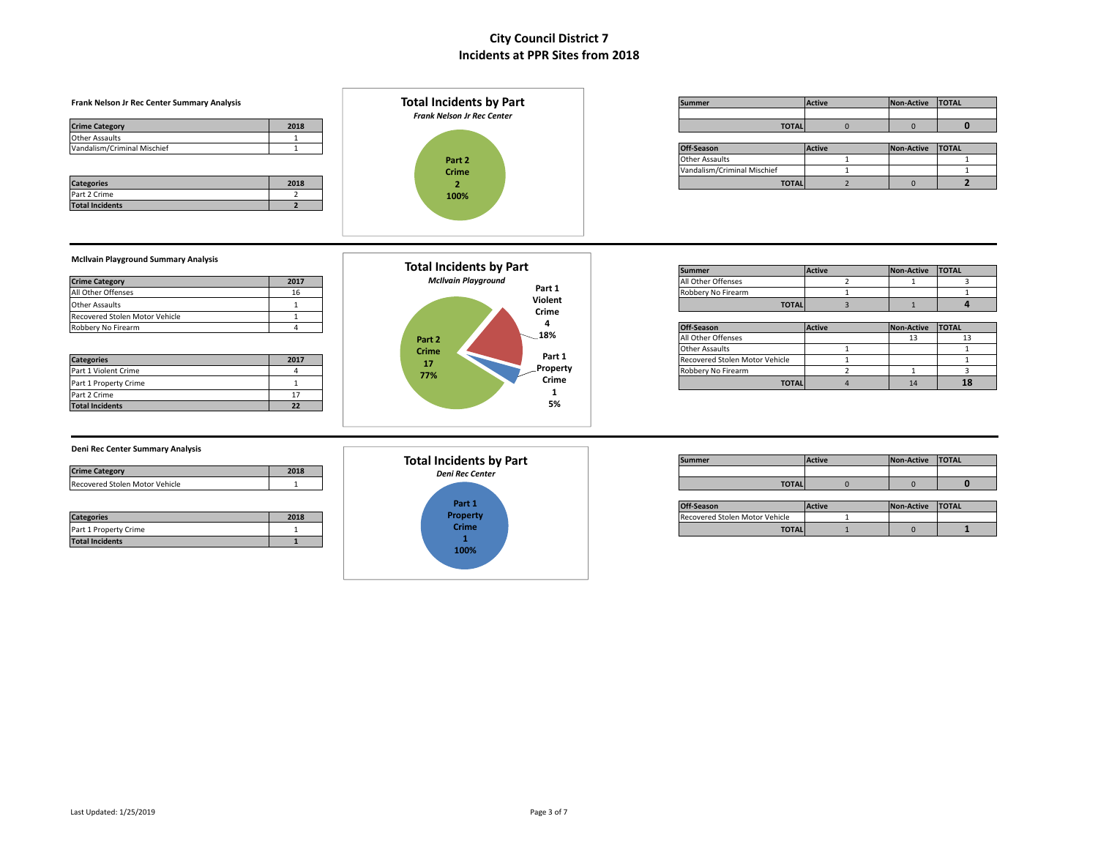#### **Frank** Nelson Jr Rec Center Summary Analysis **Summer Active Active Active Active Active Active Active Active Active Active Active Active Active Active Active Active Active Active Active Active Active Active Active Active Crime Category 2018 TOTAL** 0 0 **0** Other Assaults 1  $V$ andalism/Criminal Mischief 1 **1 Categories 2018 TOTAL** 2 0 **2** Part 2 Crime 2 **Part 2 Crime 2 Total Incidents by Part** *Frank Nelson Jr Rec Center*

| Part 2<br>Crime<br>$\overline{\phantom{a}}$<br>100%          |         |
|--------------------------------------------------------------|---------|
|                                                              |         |
| <b>Total Incidents by Part</b><br><b>McIlvain Playground</b> |         |
|                                                              | Part 1  |
|                                                              | Violent |
|                                                              | Crime   |

| ummer         | <b>Active</b> | Non-Active | <b>TOTAL</b> |
|---------------|---------------|------------|--------------|
|               |               |            |              |
| <b>TOTALI</b> |               |            |              |

| Off-Season                  | <b>Active</b> | <b>Non-Active</b> | <b>ITOTAL</b> |
|-----------------------------|---------------|-------------------|---------------|
| Other Assaults              |               |                   |               |
| Vandalism/Criminal Mischief |               |                   |               |
| <b>TOTAL</b>                |               |                   |               |

#### **McIlvain Playground Summary Analysis**

|                                |      |                            | <b>I</b> Burnmer   | <b>IACUVE</b> | <b>INON-ACLIVE IIUIAL</b> |              |
|--------------------------------|------|----------------------------|--------------------|---------------|---------------------------|--------------|
| <b>Crime Category</b>          | 2017 | <b>McIlvain Playground</b> | All Other Offenses |               |                           |              |
| All Other Offenses             |      | Part 1                     | Robbery No Firearm |               |                           |              |
| <b>Other Assaults</b>          |      | Violent                    | <b>TOTAL</b>       |               |                           |              |
| Recovered Stolen Motor Vehicle |      | Crime                      |                    |               |                           |              |
| Robbery No Firearm             |      | 100                        | Off-Season         | <b>Active</b> | Non-Active                | <b>TOTAL</b> |

**Total Incidents 2**

| <b>Categories</b>      | 2017 |
|------------------------|------|
| Part 1 Violent Crime   |      |
| Part 1 Property Crime  |      |
| Part 2 Crime           |      |
| <b>Total Incidents</b> | ,,   |



|                       |      | Total Incidents by Part    |                    |               |                   |              |
|-----------------------|------|----------------------------|--------------------|---------------|-------------------|--------------|
|                       |      |                            | Summe.             | <b>Active</b> | <b>Non-Active</b> | <b>TOTAL</b> |
| <b>Crime Category</b> | 2017 | <b>McIlvain Playground</b> | All Other Offenses |               |                   |              |
| All Other Offenses    |      | Part 1                     | Robbery No Firearm |               |                   |              |
| Other Assaults        |      | Violent                    | <b>TOTAL</b>       |               |                   |              |

| Robbery No Firearm    |      |              |                 | Off-Season                     | <b>Active</b> | Non-Active | <b>TOTAL</b> |
|-----------------------|------|--------------|-----------------|--------------------------------|---------------|------------|--------------|
|                       |      | Part 2       | -18%            | All Other Offenses             |               |            |              |
|                       |      | <b>Crime</b> |                 | <b>Other Assaults</b>          |               |            |              |
| <b>Categories</b>     | 2017 | 17           | Part 1          | Recovered Stolen Motor Vehicle |               |            |              |
| Part 1 Violent Crime  |      | 77%          | Property        | Robbery No Firearm             |               |            |              |
| Part 1 Property Crime |      |              | Crime<br>$\sim$ | <b>TOTALI</b>                  |               | 14         | 18           |

### **Deni Rec Center Summary Analysis**

| <b>Crime Category</b>          | 2018 |
|--------------------------------|------|
| Recovered Stolen Motor Vehicle |      |

|                        |      |          | <b>UII-SEASUIL</b>             | <b>IACUVE</b> |
|------------------------|------|----------|--------------------------------|---------------|
| <b>Categories</b>      | 2018 | Property | Recovered Stolen Motor Vehicle |               |
| Part 1 Property Crime  |      | Crime    | <b>TOTAL</b>                   |               |
| <b>Total Incidents</b> |      |          |                                |               |



|                                |      | <b>Total Incidents by Part</b> | Summer<br><b>Active</b> |  | <b>Non-Active</b> | <b>TOTAL</b> |  |
|--------------------------------|------|--------------------------------|-------------------------|--|-------------------|--------------|--|
| <b>Crime Categor</b>           | 2018 | <b>Deni Rec Center</b>         |                         |  |                   |              |  |
| Recovered Stolen Motor Vehicle |      |                                | <b>TOTAL</b>            |  |                   |              |  |

|                       |      | <b>Production</b><br>vart 1. | Off-Season                     | Active | Non-Active | <b>TOTAL</b> |
|-----------------------|------|------------------------------|--------------------------------|--------|------------|--------------|
| <b>Categories</b>     | 2018 | Property                     | Recovered Stolen Motor Vehicle |        |            |              |
| Part 1 Property Crime |      | <b>Crime</b>                 | <b>TOTAL</b>                   |        |            |              |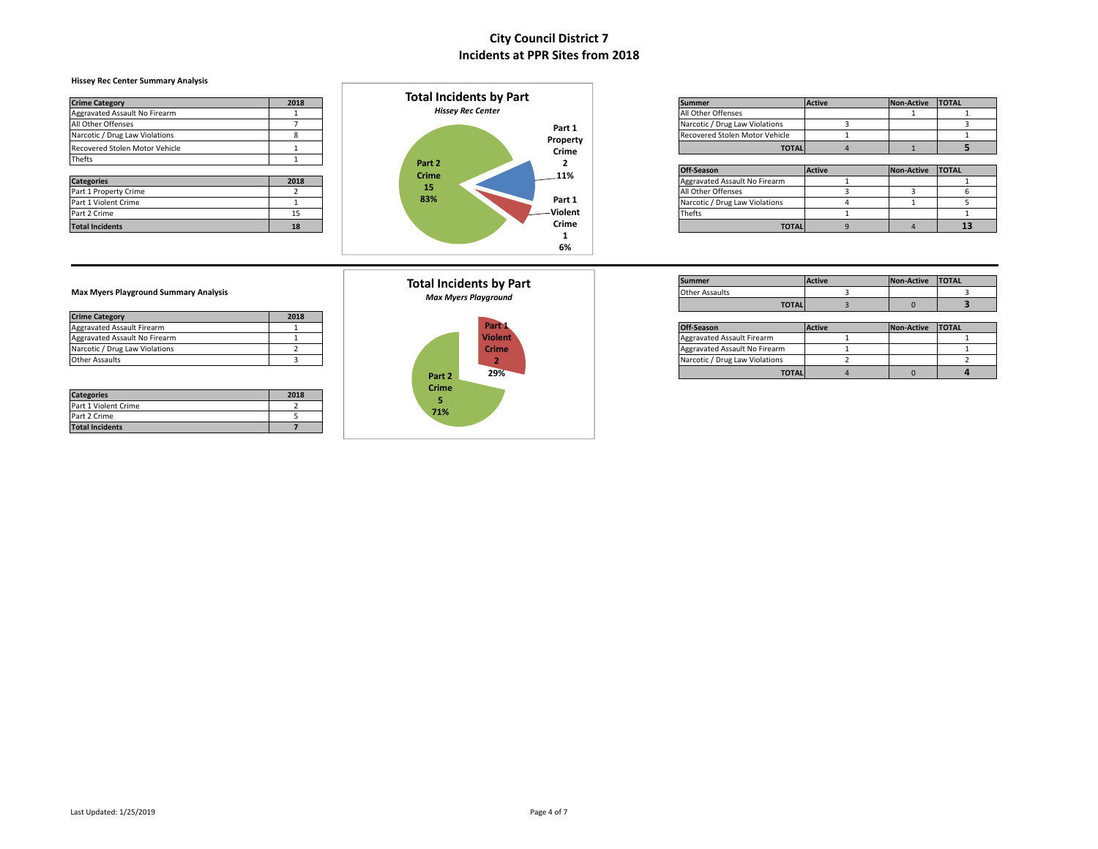### **Hissey Rec Center Summary Analysis**

| <b>Crime Category</b>          | 2018 | <b>Total Incidents by Part</b> | <b>Summer</b>                         | Active | Non-Active TOTAL |    |
|--------------------------------|------|--------------------------------|---------------------------------------|--------|------------------|----|
| Aggravated Assault No Firearm  |      | <b>Hissey Rec Center</b>       | All Other Offenses                    |        |                  |    |
| All Other Offenses             |      | Part 1                         | Narcotic / Drug Law Violations        |        |                  |    |
| Narcotic / Drug Law Violations |      | Property                       | <b>Recovered Stolen Motor Vehicle</b> |        |                  |    |
| Recovered Stolen Motor Vehicle |      | Crime                          | <b>TOTALI</b>                         |        |                  |    |
| Thefts                         |      | Part 2                         |                                       |        |                  |    |
|                                |      | <b>Crime</b><br>.11%           | Off-Season                            | Active | Non-Active TOTAL |    |
| <b>Categories</b>              | 2018 |                                | Aggravated Assault No Firearm         |        |                  |    |
| Part 1 Property Crime          |      | 15                             | All Other Offenses                    |        |                  |    |
| Part 1 Violent Crime           |      | 83%<br>Part 1                  | Narcotic / Drug Law Violations        |        |                  |    |
| Part 2 Crime                   | 15   | -Violent                       | Thefts                                |        |                  |    |
| <b>Total Incidents</b>         | 18   | Crime                          | <b>TOTAL</b>                          |        |                  | 13 |
|                                |      |                                |                                       |        |                  |    |



| <b>Crime Category</b>          | 2018 | TOLAI MCIQUILS DV PAIL   |                                            | Summer                         | Active | Non-Active TOTAL |  |
|--------------------------------|------|--------------------------|--------------------------------------------|--------------------------------|--------|------------------|--|
| Aggravated Assault No Firearm  |      | <b>Hissey Rec Center</b> |                                            | All Other Offenses             |        |                  |  |
| All Other Offenses             |      |                          | Part 1                                     | Narcotic / Drug Law Violations |        |                  |  |
| Narcotic / Drug Law Violations |      |                          | Property                                   | Recovered Stolen Motor Vehicle |        |                  |  |
| Recovered Stolen Motor Vehicle |      |                          | $\mathbf{a}$ , $\mathbf{a}$ , $\mathbf{a}$ | <b>TOTAL</b>                   |        |                  |  |

|                        |      | <b>Part Z</b> |  |         |                                |               |            |               |
|------------------------|------|---------------|--|---------|--------------------------------|---------------|------------|---------------|
|                        |      | <b>Crime</b>  |  | 11%     | Off-Season                     | <b>Active</b> | Non-Active | <b>ITOTAL</b> |
| <b>Categories</b>      | 2018 |               |  |         | Aggravated Assault No Firearm  |               |            |               |
| Part 1 Property Crime  |      | 15            |  |         | All Other Offenses             |               |            |               |
| Part 1 Violent Crime   |      | 83%           |  | Part 1  | Narcotic / Drug Law Violations |               |            |               |
| Part 2 Crime           |      |               |  | Violent | Thefts                         |               |            |               |
| <b>Total Incidents</b> | 18   |               |  | Crime   | <b>TOTAL</b>                   |               |            | 13            |

| <b>Crime Category</b>          | 2018 |
|--------------------------------|------|
| Aggravated Assault Firearm     |      |
| Aggravated Assault No Firearm  |      |
| Narcotic / Drug Law Violations |      |
| <b>Other Assaults</b>          |      |

| <b>Categories</b>      | 2018 |
|------------------------|------|
| Part 1 Violent Crime   |      |
| Part 2 Crime           |      |
| <b>Total Incidents</b> |      |



| Summer         | <b>Active</b> | Non-Active | <b>TOTAL</b> |
|----------------|---------------|------------|--------------|
| Other Assaults |               |            |              |
| <b>TOTAL</b>   |               |            |              |

| Aggravated Assault Firearm     |  |                   | Part 1         | Off-Season                     | Active | Non-Active TOTAL |  |
|--------------------------------|--|-------------------|----------------|--------------------------------|--------|------------------|--|
| Aggravated Assault No Firearm  |  |                   | <b>Violent</b> | Aggravated Assault Firearm     |        |                  |  |
| Narcotic / Drug Law Violations |  |                   | <b>Crime</b>   | Aggravated Assault No Firearm  |        |                  |  |
| Other Assaults                 |  |                   |                | Narcotic / Drug Law Violations |        |                  |  |
|                                |  | Part <sub>2</sub> | 29%            | <b>TOTAL</b>                   |        |                  |  |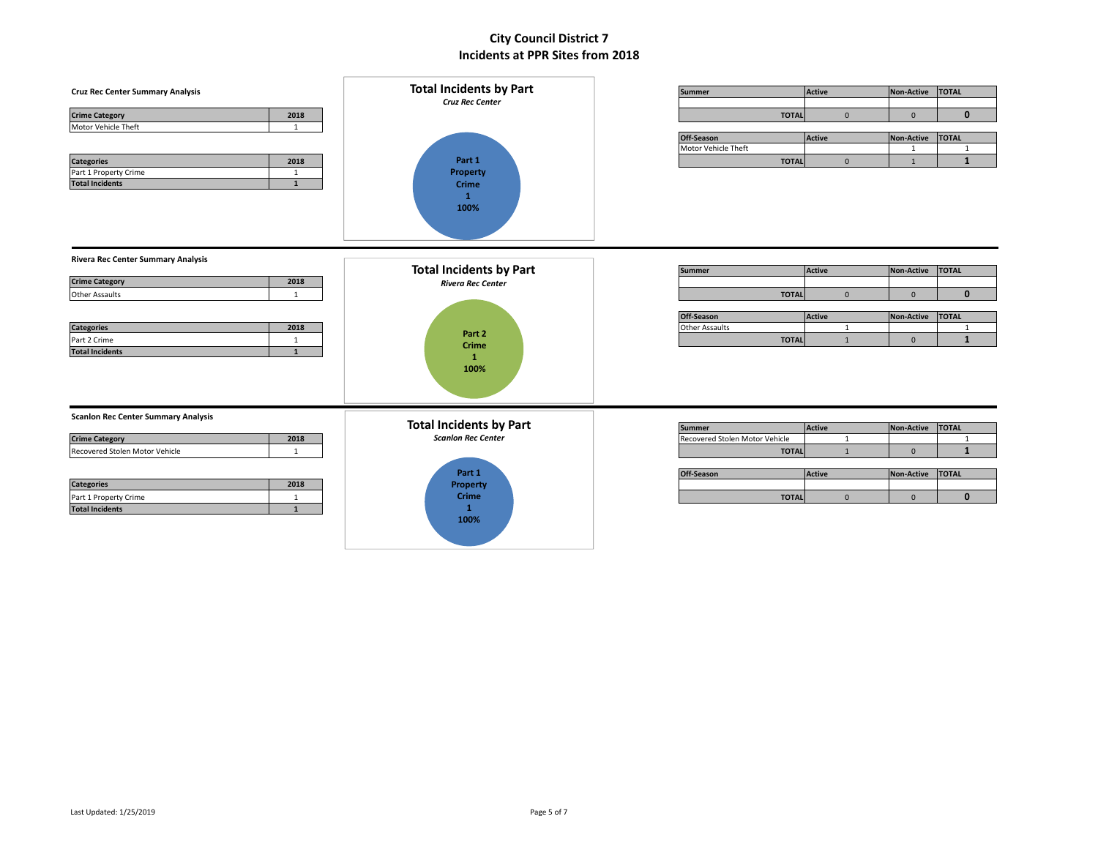| <b>Cruz Rec Center Summary Analysis</b><br>2018<br><b>Crime Category</b><br>Motor Vehicle Theft<br>1                                                                                                                               | <b>Total Incidents by Part</b><br><b>Cruz Rec Center</b>                                                                  | <b>Summer</b><br><b>TOTAL</b>                                                                 | Active<br>$\mathbf{0}$                                             | Non-Active<br>$\mathbf{0}$                                            | <b>TOTAL</b><br>$\mathbf{0}$                                                   |
|------------------------------------------------------------------------------------------------------------------------------------------------------------------------------------------------------------------------------------|---------------------------------------------------------------------------------------------------------------------------|-----------------------------------------------------------------------------------------------|--------------------------------------------------------------------|-----------------------------------------------------------------------|--------------------------------------------------------------------------------|
| <b>Categories</b><br>2018<br>Part 1 Property Crime<br>$\mathbf{1}$<br><b>Total Incidents</b><br>$\mathbf{1}$                                                                                                                       | Part 1<br><b>Property</b><br><b>Crime</b><br>$\mathbf{1}$<br>100%                                                         | Off-Season<br>Motor Vehicle Theft<br><b>TOTAL</b>                                             | <b>Active</b><br>$\mathbf{0}$                                      | <b>Non-Active</b><br>1<br>1                                           | <b>TOTAL</b><br>$\mathbf{1}$<br>$\mathbf{1}$                                   |
| <b>Rivera Rec Center Summary Analysis</b><br><b>Crime Category</b><br>2018<br><b>Other Assaults</b><br>1<br><b>Categories</b><br>2018<br>Part 2 Crime<br>1<br><b>Total Incidents</b><br>$\mathbf{1}$                               | <b>Total Incidents by Part</b><br><b>Rivera Rec Center</b><br>Part 2<br>Crime<br>$\mathbf{1}$<br>100%                     | <b>Summer</b><br><b>TOTAL</b><br>Off-Season<br><b>Other Assaults</b><br><b>TOTAL</b>          | <b>Active</b><br>$\mathbf 0$<br><b>Active</b><br>1<br>$\mathbf{1}$ | <b>Non-Active</b><br>$\mathbf 0$<br><b>Non-Active</b><br>$\mathbf{0}$ | <b>TOTAL</b><br>$\mathbf 0$<br><b>TOTAL</b><br>$\mathbf{1}$<br>$\mathbf{1}$    |
| <b>Scanlon Rec Center Summary Analysis</b><br>2018<br><b>Crime Category</b><br>Recovered Stolen Motor Vehicle<br>1<br><b>Categories</b><br>2018<br>Part 1 Property Crime<br>$\mathbf{1}$<br><b>Total Incidents</b><br>$\mathbf{1}$ | <b>Total Incidents by Part</b><br><b>Scanlon Rec Center</b><br>Part 1<br>Property<br><b>Crime</b><br>$\mathbf{1}$<br>100% | <b>Summer</b><br>Recovered Stolen Motor Vehicle<br><b>TOTAL</b><br>Off-Season<br><b>TOTAL</b> | Active<br>1<br>$\mathbf{1}$<br>Active<br>$\mathbf{0}$              | Non-Active<br>$\mathbf{0}$<br>Non-Active<br>$\mathbf{0}$              | <b>TOTAL</b><br>$\overline{1}$<br>$\mathbf{1}$<br><b>TOTAL</b><br>$\mathbf{0}$ |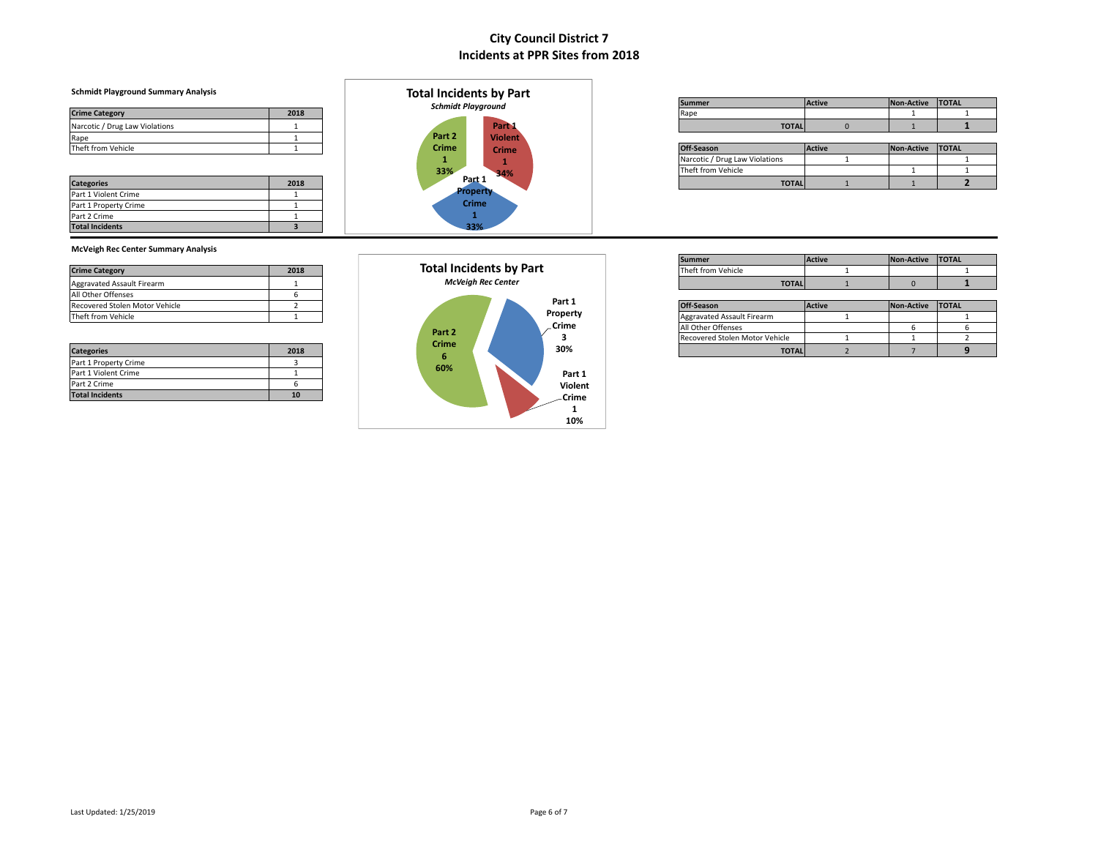### **Schmidt Playground Summary Analysis**

| <b>Crime Category</b>          | 2018 |
|--------------------------------|------|
| Narcotic / Drug Law Violations |      |
| Rape                           |      |
| Theft from Vehicle             |      |

| <b>Categories</b>      | 2018 |
|------------------------|------|
| Part 1 Violent Crime   |      |
| Part 1 Property Crime  |      |
| Part 2 Crime           |      |
| <b>Total Incidents</b> |      |



|                                       |      |                                       | <b>Summer</b><br><b>Schmidt Playground</b> |              |  |  | <b>TOTAL</b> |  |
|---------------------------------------|------|---------------------------------------|--------------------------------------------|--------------|--|--|--------------|--|
| Crime Category                        | 2018 |                                       |                                            | Ran          |  |  |              |  |
| <b>Narcotic / Drug Law Violations</b> |      | Part                                  |                                            | <b>TOTAL</b> |  |  |              |  |
| $\sim$                                |      | Dart 2<br><b>Contract of Contract</b> |                                            |              |  |  |              |  |

|                    |      |              |       | ________     |  |                                |               |                   |              |  |
|--------------------|------|--------------|-------|--------------|--|--------------------------------|---------------|-------------------|--------------|--|
| Theft from Vehicle |      | <b>Crime</b> |       | <b>Crime</b> |  | Off-Season                     | <b>Active</b> | <b>Non-Active</b> | <b>TOTAL</b> |  |
|                    |      |              |       |              |  | Narcotic / Drug Law Violations |               |                   |              |  |
|                    |      | 33%          |       | 34%          |  | Theft from Vehicle             |               |                   |              |  |
| <b>Categories</b>  | 2018 |              | Part? |              |  | <b>TOTAL</b>                   |               |                   |              |  |

### **McVeigh Rec Center Summary Analysis**

|                                |      |                                |  |                    | <b>I</b> summer            | <b>IACUVE</b> | <b>INON-ACUVE ILUIAL</b> |              |
|--------------------------------|------|--------------------------------|--|--------------------|----------------------------|---------------|--------------------------|--------------|
| <b>Crime Category</b>          | 2018 | <b>Total Incidents by Part</b> |  | Theft from Vehicle |                            |               |                          |              |
| Aggravated Assault Firearm     |      | <b>McVeiah Rec Center</b>      |  |                    | <b>TOTAL</b>               |               |                          |              |
| All Other Offenses             |      |                                |  |                    |                            |               |                          |              |
| Recovered Stolen Motor Vehicle |      |                                |  | Part 1             | <b>Off-Season</b>          | <b>Active</b> | Non-Active               | <b>TOTAL</b> |
| Theft from Vehicle             |      |                                |  | Property           | Aggravated Assault Firearm |               |                          |              |

| <b>Categories</b>      | 2018 |
|------------------------|------|
| Part 1 Property Crime  |      |
| Part 1 Violent Crime   |      |
| Part 2 Crime           |      |
| <b>Total Incidents</b> | 10   |



|                            |      |                                | Summer         | Active | <b>Non-Activ</b> | <b>TOTAL</b> |
|----------------------------|------|--------------------------------|----------------|--------|------------------|--------------|
| <b>Crime Category</b>      | 2018 | <b>Total Incidents by Part</b> | t from Vehicle |        |                  |              |
| Aggravated Assault Firearm |      | McVei<br>/eiah Rec Center      | <b>TOTAL</b>   |        |                  |              |

| .                              |      |              |  |          |                                |               |            |              |
|--------------------------------|------|--------------|--|----------|--------------------------------|---------------|------------|--------------|
| Recovered Stolen Motor Vehicle |      |              |  | Part 1   | Off-Season                     | <b>Active</b> | Non-Active | <b>TOTAL</b> |
| Theft from Vehicle             |      |              |  | Property | Aggravated Assault Firearm     |               |            |              |
|                                |      | Part 2       |  | Crime    | All Other Offenses             |               |            |              |
|                                |      |              |  |          | Recovered Stolen Motor Vehicle |               |            |              |
| <b>Categories</b>              | 2018 | <b>Crime</b> |  | 30%      | <b>TOTAL</b>                   |               |            |              |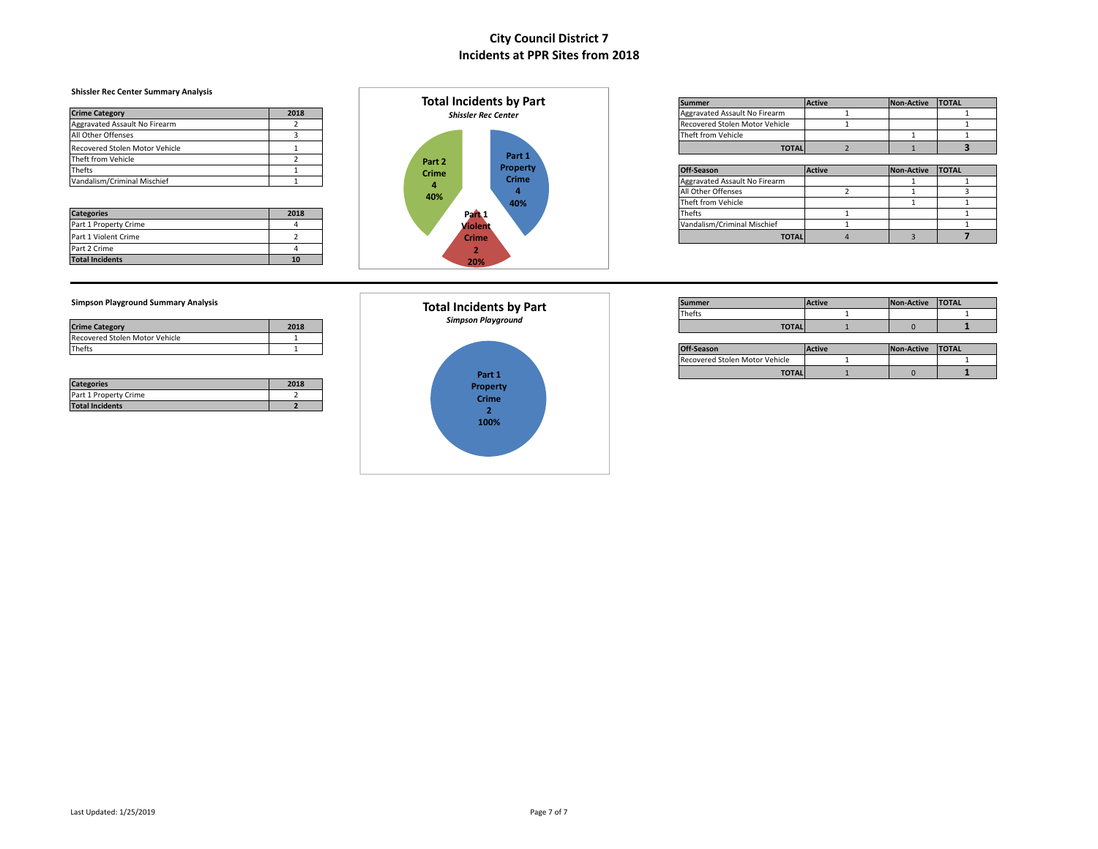### **Shissler Rec Center Summary Analysis**

|                                |      |              | <b>POLAIM PROPRIET DE LA PROPRIET</b> | PUHILICI                       | $P^{\text{curv}}$ | <b>INVIFALLIVE</b> | ----- |
|--------------------------------|------|--------------|---------------------------------------|--------------------------------|-------------------|--------------------|-------|
| <b>Crime Category</b>          | 2018 |              | <b>Shissler Rec Center</b>            | Aggravated Assault No Firearm  |                   |                    |       |
| Aggravated Assault No Firearm  |      |              |                                       | Recovered Stolen Motor Vehicle |                   |                    |       |
| All Other Offenses             |      |              |                                       | Theft from Vehicle             |                   |                    |       |
| Recovered Stolen Motor Vehicle |      |              |                                       | <b>TOTAL</b>                   |                   |                    |       |
| Theft from Vehicle             |      | Part 2       | Part 1                                |                                |                   |                    |       |
| Thefts                         |      | <b>Crime</b> | <b>Property</b>                       | Off-Season                     | <b>Active</b>     | Non-Active TOTAL   |       |
| Vandalism/Criminal Mischief    |      |              | Crime                                 | Aggravated Assault No Firearm  |                   |                    |       |
|                                |      |              |                                       | .                              |                   |                    |       |

| <b>Categories</b>      | 2018 |
|------------------------|------|
| Part 1 Property Crime  |      |
| Part 1 Violent Crime   |      |
| Part 2 Crime           |      |
| <b>Total Incidents</b> | 10   |



|                                |      |  | <b>Total Incidents by Part</b> | <b>Summer</b>                  | <b>Active</b> | Non-Active TOTAL |  |
|--------------------------------|------|--|--------------------------------|--------------------------------|---------------|------------------|--|
| <b>Crime Category</b>          | 2018 |  | <b>Shissler Rec Center</b>     | Aggravated Assault No Firearm  |               |                  |  |
| Aggravated Assault No Firearm  |      |  |                                | Recovered Stolen Motor Vehicle |               |                  |  |
| All Other Offenses             |      |  |                                | Theft from Vehicle             |               |                  |  |
| Recovered Stolen Motor Vehicle |      |  |                                | <b>TOTAL</b>                   |               |                  |  |

|                             |      |  | .            |              |              |                               |        |                    |  |
|-----------------------------|------|--|--------------|--------------|--------------|-------------------------------|--------|--------------------|--|
| Thefts                      |      |  | <b>Crime</b> |              | Property     | Off-Season                    | Active | Non-Active   TOTAL |  |
| Vandalism/Criminal Mischief |      |  |              |              | <b>Crime</b> | Aggravated Assault No Firearm |        |                    |  |
|                             |      |  | 40%          |              |              | All Other Offenses            |        |                    |  |
|                             |      |  |              |              | 40%          | Theft from Vehicle            |        |                    |  |
| <b>Categories</b>           | 2018 |  |              | Pan 1        |              | <b>Thefts</b>                 |        |                    |  |
| Part 1 Property Crime       |      |  |              | Violent      |              | Vandalism/Criminal Mischief   |        |                    |  |
| Part 1 Violent Crime        |      |  |              | <b>Crime</b> |              | <b>TOTAL</b>                  |        |                    |  |

| <b>Crime Category</b>          | 2018 |
|--------------------------------|------|
| Recovered Stolen Motor Vehicle |      |
| Thefts                         |      |

| <b>Categories</b>      | 2018 |
|------------------------|------|
| Part 1 Property Crime  |      |
| <b>Total Incidents</b> |      |



| Simpson Playground Summary Analysis |      |  | <b>Total Incidents by Part</b> | <b>Summe</b> | <b>Active</b> | Non-Active | <b>TOTAL</b> |
|-------------------------------------|------|--|--------------------------------|--------------|---------------|------------|--------------|
|                                     |      |  | <b>Thefts</b>                  |              |               |            |              |
| <b>Crime Category</b>               | 2018 |  | Simpson Playground             | <b>TOTAL</b> |               |            |              |

| Thefts |  |                       |  | Off-Season                     | <b>Active</b> | Non-Active | <b>TOTAL</b> |
|--------|--|-----------------------|--|--------------------------------|---------------|------------|--------------|
|        |  |                       |  | Recovered Stolen Motor Vehicle |               |            |              |
|        |  | . .<br><b>SELLING</b> |  | <b>TOTAL</b>                   |               |            |              |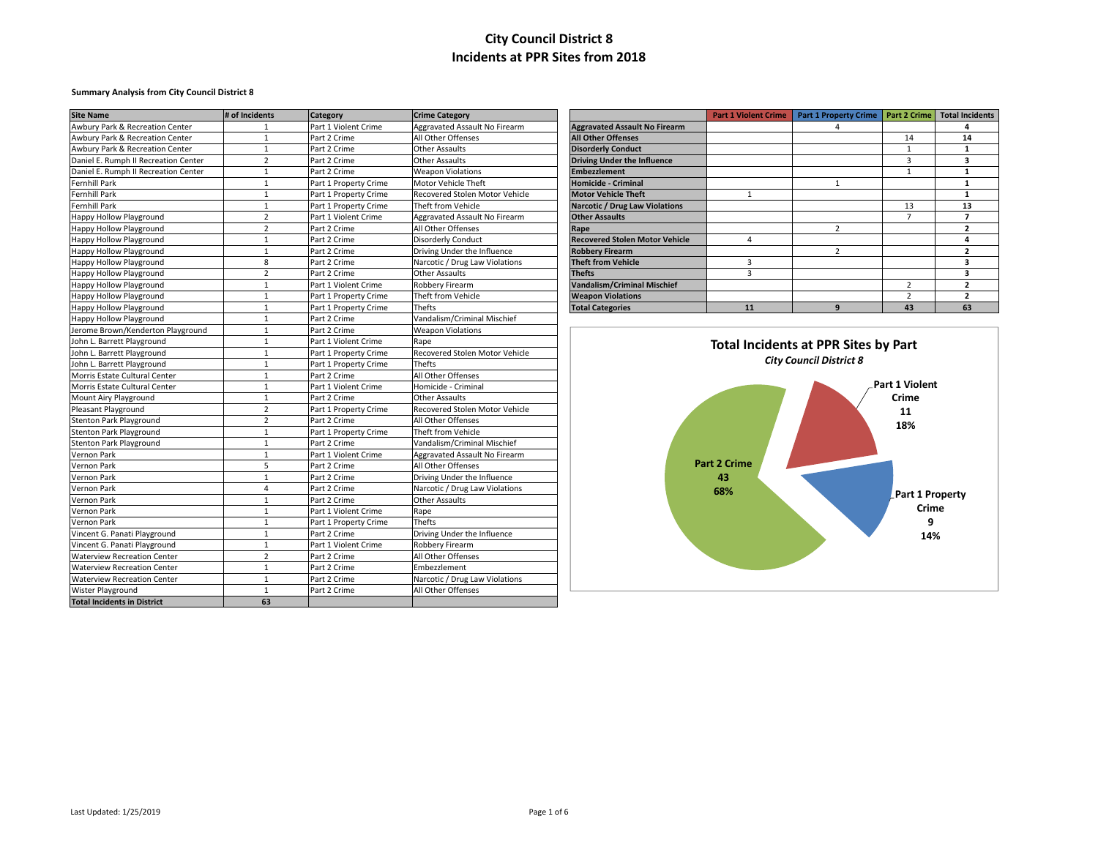### **Summary Analysis from City Council District 8**

| <b>Site Name</b>                     | # of Incidents | <b>Category</b>       | <b>Crime Category</b>          |                                       | <b>Part 1 Violent Crime</b> | Part 1 Property Crime   Part 2 Crime        |                       | <b>Total Incidents</b>  |
|--------------------------------------|----------------|-----------------------|--------------------------------|---------------------------------------|-----------------------------|---------------------------------------------|-----------------------|-------------------------|
| Awbury Park & Recreation Center      | $\mathbf{1}$   | Part 1 Violent Crime  | Aggravated Assault No Firearm  | <b>Aggravated Assault No Firearm</b>  |                             | $\Delta$                                    |                       | 4                       |
| Awbury Park & Recreation Center      | $\mathbf{1}$   | Part 2 Crime          | All Other Offenses             | <b>All Other Offenses</b>             |                             |                                             | 14                    | 14                      |
| Awbury Park & Recreation Center      | $\mathbf{1}$   | Part 2 Crime          | <b>Other Assaults</b>          | <b>Disorderly Conduct</b>             |                             |                                             | $\mathbf{1}$          | 1                       |
| Daniel E. Rumph II Recreation Center | $\overline{2}$ | Part 2 Crime          | Other Assaults                 | <b>Driving Under the Influence</b>    |                             |                                             | 3                     | 3                       |
| Daniel E. Rumph II Recreation Center | $\mathbf{1}$   | Part 2 Crime          | <b>Weapon Violations</b>       | <b>Embezzlement</b>                   |                             |                                             | $\mathbf{1}$          | $\mathbf{1}$            |
| <b>Fernhill Park</b>                 | $\mathbf{1}$   | Part 1 Property Crime | Motor Vehicle Theft            | <b>Homicide - Criminal</b>            |                             | $\mathbf{1}$                                |                       | 1                       |
| <b>Fernhill Park</b>                 | $\mathbf{1}$   | Part 1 Property Crime | Recovered Stolen Motor Vehicle | <b>Motor Vehicle Theft</b>            | $\mathbf{1}$                |                                             |                       | $\mathbf{1}$            |
| Fernhill Park                        | $\mathbf{1}$   | Part 1 Property Crime | Theft from Vehicle             | <b>Narcotic / Drug Law Violations</b> |                             |                                             | 13                    | 13                      |
| <b>Happy Hollow Playground</b>       | $\overline{2}$ | Part 1 Violent Crime  | Aggravated Assault No Firearm  | <b>Other Assaults</b>                 |                             |                                             | $\overline{7}$        | $\overline{7}$          |
| Happy Hollow Playground              | $\overline{2}$ | Part 2 Crime          | All Other Offenses             | Rape                                  |                             | $\overline{2}$                              |                       | $\overline{2}$          |
| Happy Hollow Playground              | $\mathbf{1}$   | Part 2 Crime          | <b>Disorderly Conduct</b>      | <b>Recovered Stolen Motor Vehicle</b> | $\overline{4}$              |                                             |                       | $\overline{4}$          |
| Happy Hollow Playground              | $\mathbf{1}$   | Part 2 Crime          | Driving Under the Influence    | <b>Robbery Firearm</b>                |                             | $\overline{2}$                              |                       | $\overline{2}$          |
| Happy Hollow Playground              | 8              | Part 2 Crime          | Narcotic / Drug Law Violations | <b>Theft from Vehicle</b>             | $\overline{3}$              |                                             |                       | $\overline{\mathbf{3}}$ |
| Happy Hollow Playground              | $\overline{2}$ | Part 2 Crime          | <b>Other Assaults</b>          | <b>Thefts</b>                         | $\overline{3}$              |                                             |                       | $\overline{\mathbf{3}}$ |
| <b>Happy Hollow Playground</b>       | $\mathbf{1}$   | Part 1 Violent Crime  | Robbery Firearm                | <b>Vandalism/Criminal Mischief</b>    |                             |                                             | $\overline{2}$        | $\overline{2}$          |
| <b>Happy Hollow Playground</b>       | $\mathbf{1}$   | Part 1 Property Crime | Theft from Vehicle             | <b>Weapon Violations</b>              |                             |                                             | $\overline{2}$        | $\overline{2}$          |
| <b>Happy Hollow Playground</b>       | $\mathbf{1}$   | Part 1 Property Crime | Thefts                         | <b>Total Categories</b>               | 11                          | 9                                           | 43                    | 63                      |
| Happy Hollow Playground              | $\mathbf{1}$   | Part 2 Crime          | Vandalism/Criminal Mischief    |                                       |                             |                                             |                       |                         |
| Jerome Brown/Kenderton Playground    | $\mathbf{1}$   | Part 2 Crime          | <b>Weapon Violations</b>       |                                       |                             |                                             |                       |                         |
| John L. Barrett Playground           | $\mathbf{1}$   | Part 1 Violent Crime  | Rape                           |                                       |                             | <b>Total Incidents at PPR Sites by Part</b> |                       |                         |
| John L. Barrett Playground           | $\mathbf{1}$   | Part 1 Property Crime | Recovered Stolen Motor Vehicle |                                       |                             |                                             |                       |                         |
| John L. Barrett Playground           | $\mathbf{1}$   | Part 1 Property Crime | Thefts                         |                                       |                             | <b>City Council District 8</b>              |                       |                         |
| Morris Estate Cultural Center        | $\mathbf{1}$   | Part 2 Crime          | All Other Offenses             |                                       |                             |                                             |                       |                         |
| Morris Estate Cultural Center        | $\mathbf{1}$   | Part 1 Violent Crime  | Homicide - Criminal            |                                       |                             |                                             | <b>Part 1 Violent</b> |                         |
| Mount Airy Playground                | $\mathbf{1}$   | Part 2 Crime          | <b>Other Assaults</b>          |                                       |                             |                                             | Crime                 |                         |
| Pleasant Playground                  | $\overline{2}$ | Part 1 Property Crime | Recovered Stolen Motor Vehicle |                                       |                             |                                             | 11                    |                         |
| <b>Stenton Park Playground</b>       | $\overline{2}$ | Part 2 Crime          | All Other Offenses             |                                       |                             |                                             | 18%                   |                         |
| <b>Stenton Park Playground</b>       | $\mathbf{1}$   | Part 1 Property Crime | Theft from Vehicle             |                                       |                             |                                             |                       |                         |
| Stenton Park Playground              | $\mathbf{1}$   | Part 2 Crime          | Vandalism/Criminal Mischief    |                                       |                             |                                             |                       |                         |
| Vernon Park                          | $\mathbf{1}$   | Part 1 Violent Crime  | Aggravated Assault No Firearm  |                                       |                             |                                             |                       |                         |
| Vernon Park                          | 5              | Part 2 Crime          | All Other Offenses             |                                       | <b>Part 2 Crime</b>         |                                             |                       |                         |
| Vernon Park                          | $\mathbf{1}$   | Part 2 Crime          | Driving Under the Influence    |                                       | 43                          |                                             |                       |                         |
| Vernon Park                          | $\overline{4}$ | Part 2 Crime          | Narcotic / Drug Law Violations |                                       | 68%                         |                                             |                       |                         |
| Vernon Park                          | $\mathbf{1}$   | Part 2 Crime          | Other Assaults                 |                                       |                             |                                             | Part 1 Property       |                         |
| Vernon Park                          | $\mathbf{1}$   | Part 1 Violent Crime  | Rape                           |                                       |                             |                                             | Crime                 |                         |
| Vernon Park                          | $\mathbf{1}$   | Part 1 Property Crime | Thefts                         |                                       |                             |                                             |                       |                         |
| Vincent G. Panati Playground         | $\mathbf{1}$   | Part 2 Crime          | Driving Under the Influence    |                                       |                             |                                             | 14%                   |                         |
| Vincent G. Panati Playground         | $\mathbf{1}$   | Part 1 Violent Crime  | Robbery Firearm                |                                       |                             |                                             |                       |                         |
| <b>Waterview Recreation Center</b>   | $\overline{2}$ | Part 2 Crime          | All Other Offenses             |                                       |                             |                                             |                       |                         |
| <b>Waterview Recreation Center</b>   | $\mathbf{1}$   | Part 2 Crime          | Embezzlement                   |                                       |                             |                                             |                       |                         |
| <b>Waterview Recreation Center</b>   | $\mathbf{1}$   | Part 2 Crime          | Narcotic / Drug Law Violations |                                       |                             |                                             |                       |                         |
| Wister Playground                    | 1              | Part 2 Crime          | All Other Offenses             |                                       |                             |                                             |                       |                         |
| <b>Total Incidents in District</b>   | 63             |                       |                                |                                       |                             |                                             |                       |                         |

|                                       | <b>Part 1 Violent Crime</b> | <b>Part 1 Property Crime</b> | <b>Part 2 Crime</b> | <b>Total Incidents</b> |
|---------------------------------------|-----------------------------|------------------------------|---------------------|------------------------|
| <b>Aggravated Assault No Firearm</b>  |                             | 4                            |                     | 4                      |
| <b>All Other Offenses</b>             |                             |                              | 14                  | 14                     |
| <b>Disorderly Conduct</b>             |                             |                              |                     |                        |
| <b>Driving Under the Influence</b>    |                             |                              | 3                   | 3                      |
| <b>Embezzlement</b>                   |                             |                              |                     |                        |
| <b>Homicide - Criminal</b>            |                             | 1                            |                     |                        |
| <b>Motor Vehicle Theft</b>            | 1                           |                              |                     |                        |
| <b>Narcotic / Drug Law Violations</b> |                             |                              | 13                  | 13                     |
| <b>Other Assaults</b>                 |                             |                              | 7                   | 7                      |
| Rape                                  |                             | $\overline{2}$               |                     | 2                      |
| <b>Recovered Stolen Motor Vehicle</b> | 4                           |                              |                     | 4                      |
| <b>Robbery Firearm</b>                |                             | 2                            |                     | 2                      |
| <b>Theft from Vehicle</b>             | 3                           |                              |                     | 3                      |
| <b>Thefts</b>                         | 3                           |                              |                     | 3                      |
| <b>Vandalism/Criminal Mischief</b>    |                             |                              | $\overline{2}$      | 2                      |
| <b>Weapon Violations</b>              |                             |                              | 2                   | 2                      |
| <b>Total Categories</b>               | 11                          | 9                            | 43                  | 63                     |

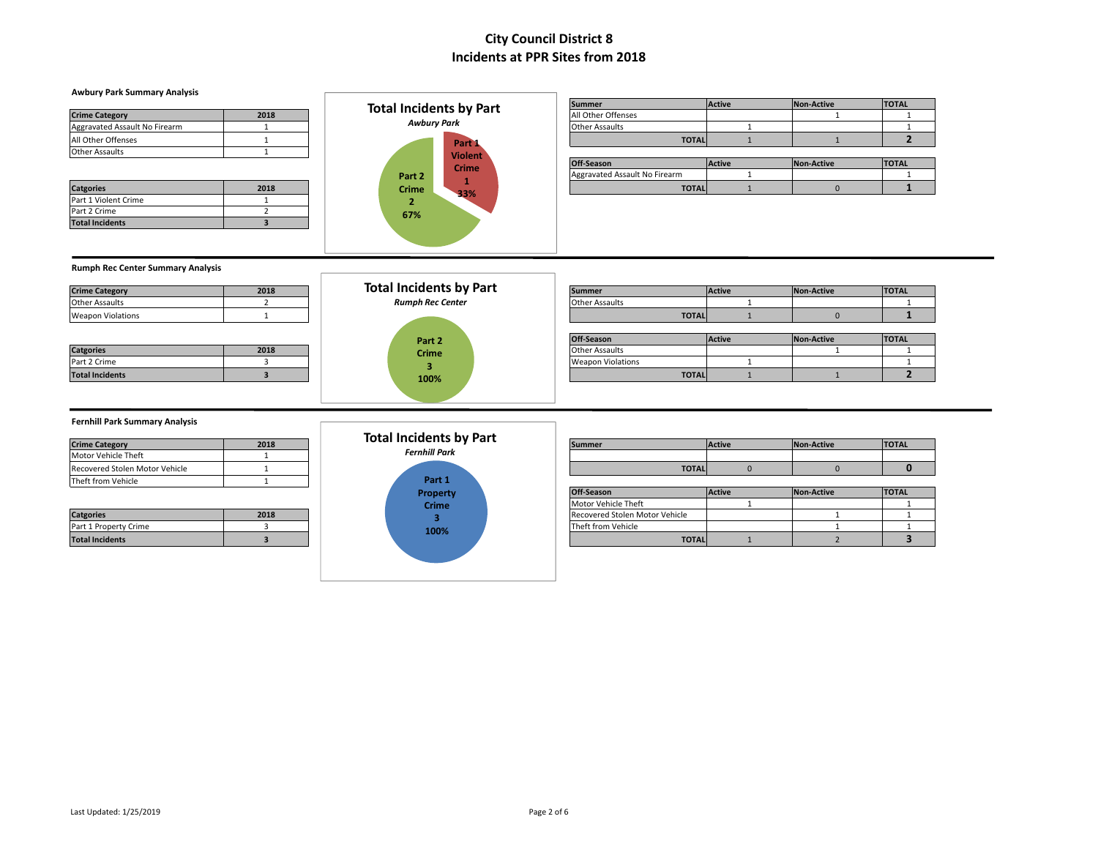### **Awbury Park Summary Analysis**

| <b>Crime Category</b>         | 2018 |
|-------------------------------|------|
| Aggravated Assault No Firearm |      |
| All Other Offenses            |      |
| <b>Other Assaults</b>         |      |

Part 1 Violent Crime 1 Part 2 Crime 2 **Total Incidents 3**



|                               |      | <b>Total Incidents by Part</b> | <b>Summer</b>         | <b>Active</b> | Non-Active | <b>TOTAL</b> |
|-------------------------------|------|--------------------------------|-----------------------|---------------|------------|--------------|
| <b>Crime Category</b>         | 2018 |                                | All Other Offenses    |               |            |              |
| Aggravated Assault No Firearm |      | <b>Awbury Park</b>             | <b>Other Assaults</b> |               |            |              |
| All Other Offenses            |      | Part 1                         | <b>TOTAL</b>          |               |            |              |
| المقادم وحدودها والمكافحة     |      |                                |                       |               |            |              |

|                  |      |                   | <b>VIOLETIL</b> | Off-S<br>-Season                   | Active | <b>Non-Active</b> | <b>ITOTAL</b> |
|------------------|------|-------------------|-----------------|------------------------------------|--------|-------------------|---------------|
|                  |      | Part <sub>2</sub> | Crime           | gravated Assault No Firearm<br>Agg |        |                   |               |
| <b>Catgories</b> | 2018 | Crime             | 220<br>___      | <b>TOTAL</b>                       |        |                   |               |

### **Rumph Rec Center Summary Analysis**

| <b>Crime Category</b>    | 2018 |
|--------------------------|------|
| <b>Other Assaults</b>    |      |
| <b>Weapon Violations</b> |      |

| <b>Catgories</b>       | 2018 |
|------------------------|------|
| Part 2 Crime           |      |
| <b>Total Incidents</b> |      |



| <b>Crime Category</b>  | 2018 | <b>Total Incidents by Part</b> | <b>Summer</b>            |              | <b>Active</b> | Non-Active | <b>TOTAL</b> |
|------------------------|------|--------------------------------|--------------------------|--------------|---------------|------------|--------------|
| Other Assaults         |      | <b>Rumph Rec Center</b>        | <b>Other Assaults</b>    |              |               |            |              |
| Weapon Violations      |      |                                |                          | <b>TOTAL</b> |               |            |              |
|                        |      |                                |                          |              |               |            |              |
|                        |      | Part 2                         | Off-Season               |              | <b>Active</b> | Non-Active | <b>TOTAL</b> |
| <b>Catgories</b>       | 2018 | <b>Crime</b>                   | <b>Other Assaults</b>    |              |               |            |              |
| Part 2 Crime           |      |                                | <b>Weapon Violations</b> |              |               |            |              |
| <b>Total Incidents</b> |      | 100%                           |                          | <b>TOTAL</b> |               |            |              |
|                        |      |                                |                          |              |               |            |              |

#### **Fernhill Park Summary Analysis**

| <b>Crime Category</b>          | 2018 |
|--------------------------------|------|
| Motor Vehicle Theft            |      |
| Recovered Stolen Motor Vehicle |      |
| Theft from Vehicle             |      |

| <b>Catgories</b>       | 2018 |
|------------------------|------|
| Part 1 Property Crime  |      |
| <b>Total Incidents</b> |      |



|                                |      | - fotal '<br>I Incidents by Part |              |               |            |              |
|--------------------------------|------|----------------------------------|--------------|---------------|------------|--------------|
| <b>Crime Category</b>          | 2018 |                                  | Summer       | <b>Active</b> | Non-Active | <b>TOTAL</b> |
| Motor Vehicle Theft            |      | <b>Fernhill Park</b>             |              |               |            |              |
| Recovered Stolen Motor Vehicle |      |                                  | <b>TOTAL</b> |               |            |              |

| <b>THEIL HUILL VEHICLE</b> |      | .               |                                |               |            |              |  |
|----------------------------|------|-----------------|--------------------------------|---------------|------------|--------------|--|
|                            |      | <b>Property</b> | Off-Season                     | <b>Active</b> | Non-Active | <b>TOTAL</b> |  |
|                            |      | <b>Crime</b>    | Motor Vehicle Theft            |               |            |              |  |
| <b>Catgories</b>           | 2018 |                 | Recovered Stolen Motor Vehicle |               |            |              |  |
| Part 1 Property Crime      |      | 100%            | Theft from Vehicle             |               |            |              |  |
| <b>Total Incidents</b>     |      |                 | <b>TOTAL</b>                   |               |            |              |  |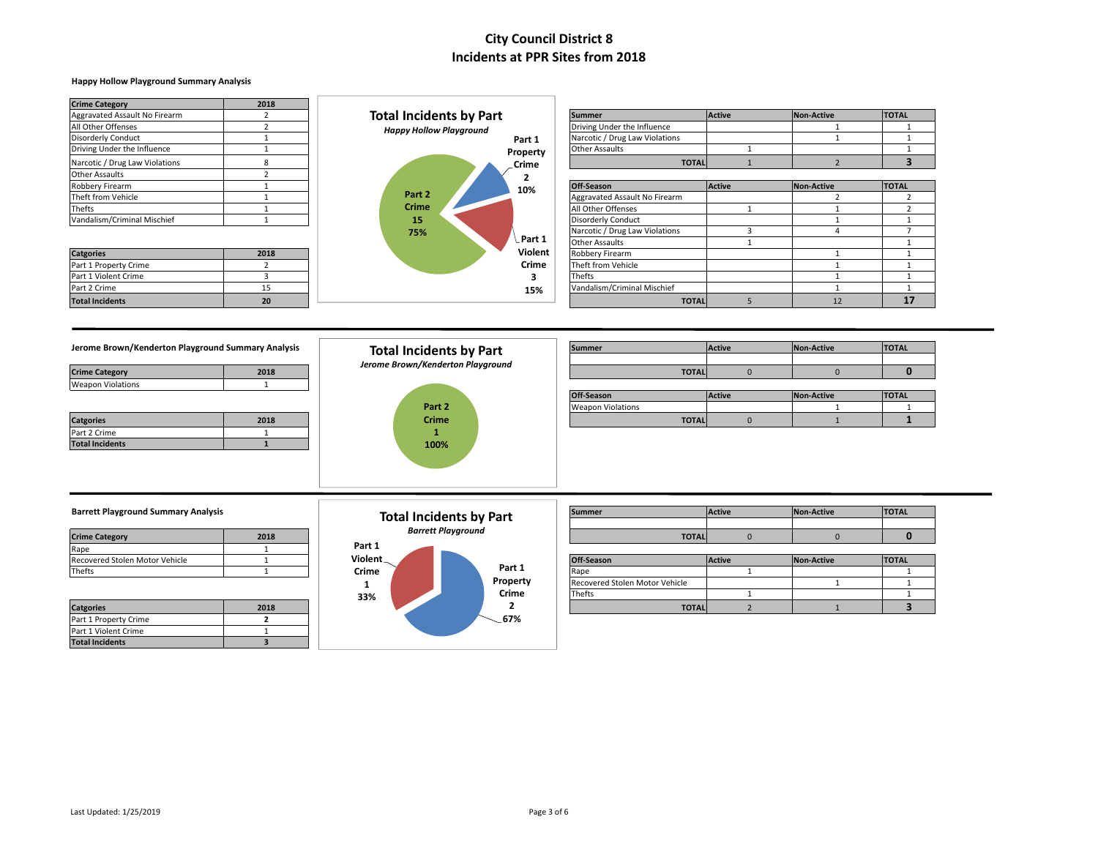### **Happy Hollow Playground Summary Analysis**

| <b>Crime Category</b>          | 2018 |                                |              |                                |               |                   |              |
|--------------------------------|------|--------------------------------|--------------|--------------------------------|---------------|-------------------|--------------|
| Aggravated Assault No Firearm  |      | <b>Total Incidents by Part</b> |              | <b>Summer</b>                  | <b>Active</b> | Non-Active        | <b>TOTAL</b> |
| All Other Offenses             |      | <b>Happy Hollow Playground</b> |              | Driving Under the Influence    |               |                   |              |
| <b>Disorderly Conduct</b>      |      |                                | Part 1       | Narcotic / Drug Law Violations |               |                   |              |
| Driving Under the Influence    |      |                                | Property     | Other Assaults                 |               |                   |              |
| Narcotic / Drug Law Violations |      |                                | <b>Crime</b> | <b>TOTAL</b>                   |               |                   |              |
| <b>Other Assaults</b>          |      |                                |              |                                |               |                   |              |
| Robbery Firearm                |      |                                | 10%          | Off-Season                     | <b>Active</b> | <b>Non-Active</b> | <b>TOTAL</b> |
| Theft from Vehicle             |      | Part 2                         |              | Aggravated Assault No Firearm  |               |                   |              |
| Thefts                         |      | <b>Crime</b>                   |              | All Other Offenses             |               |                   |              |
| Vandalism/Criminal Mischief    |      | 15                             |              | <b>Disorderly Conduct</b>      |               |                   |              |
|                                |      | 75%                            |              | Narcotic / Drug Law Violations |               |                   |              |
|                                |      |                                | Part 1       | Other Assaults                 |               |                   |              |
| <b>Catgories</b>               | 2018 |                                | Violent      | Robbery Firearm                |               |                   |              |
| Part 1 Property Crime          |      |                                | Crime        | Theft from Vehicle             |               |                   |              |
| Part 1 Violent Crime           |      |                                |              | Thefts                         |               |                   |              |
| Part 2 Crime                   | 15   |                                | 15%          | Vandalism/Criminal Mischief    |               |                   |              |
| <b>Total Incidents</b>         | 20   |                                |              | <b>TOTAL</b>                   |               | 12                | 17           |

#### **Jerome Brown/Kenderton Playground Summary Analysis**

| 2018 |
|------|
|      |
|      |
|      |

| <b>Catgories</b>       | 2018 |
|------------------------|------|
| Part 2 Crime           |      |
| <b>Total Incidents</b> |      |



| Jerome Brown/Kenderton Playground Summary Analysis |      | <b>Total Incidents by Part</b>    | <b>Summer</b>            |              | <b>Active</b> | Non-Active | <b>TOTAL</b> |
|----------------------------------------------------|------|-----------------------------------|--------------------------|--------------|---------------|------------|--------------|
| <b>Crime Category</b>                              | 2018 | Jerome Brown/Kenderton Playground |                          | <b>TOTAL</b> |               |            |              |
| Weapon Violations                                  |      |                                   |                          |              |               |            |              |
|                                                    |      |                                   | Off-Season               |              | <b>Active</b> | Non-Active | <b>TOTAL</b> |
|                                                    |      | Part 2                            | <b>Weapon Violations</b> |              |               |            |              |
| <b>Catgories</b>                                   | 2018 | <b>Crime</b>                      |                          | <b>TOTAL</b> |               |            |              |

### **Barrett Playground Summary Analysis**

| <b>Crime Category</b>          | 2018 |
|--------------------------------|------|
| Rape                           |      |
| Recovered Stolen Motor Vehicle |      |
| Thefts                         |      |

| <b>Catgories</b>       | 2018 |
|------------------------|------|
| Part 1 Property Crime  |      |
| Part 1 Violent Crime   |      |
| <b>Total Incidents</b> |      |

#### **Part 1 Property Crime 2 67% Part 1 Violent Crime 1 33% Total Incidents by Part** *Barrett Playground*

| <b>Barrett Playground Summary Analysis</b> |      |          | <b>Total Incidents by Part</b> | <b>Summer</b>     | <b>Active</b> | Non-Active | <b>TOTAL</b> |
|--------------------------------------------|------|----------|--------------------------------|-------------------|---------------|------------|--------------|
|                                            |      |          |                                |                   |               |            |              |
| <b>Crime Category</b>                      | 2018 |          | <b>Barrett Playground</b>      | <b>TOTAL</b>      |               |            |              |
| ≷ape                                       |      | Part 1   |                                |                   |               |            |              |
| Recovered Stolen Motor Vehicle             |      | Violent_ | __                             | <b>Off-Season</b> | <b>Active</b> | Non-Active | <b>TOTAL</b> |

| Recovered Stolen Motor Venicle |      | $V = V - V$ |  |          | <b>IUTI-Season</b>             | <b>TACTIVE</b> | <b>INON-ACTIVE</b> | <b>TURL</b> |
|--------------------------------|------|-------------|--|----------|--------------------------------|----------------|--------------------|-------------|
| Thefts                         |      | Crime       |  | Part 1   | <b>IRane</b>                   |                |                    |             |
|                                |      |             |  | Property | Recovered Stolen Motor Vehicle |                |                    |             |
|                                |      | 33%         |  | Crime    | Thefts                         |                |                    |             |
| <b>Catgories</b>               | 2018 |             |  |          | <b>TOTAL</b>                   |                |                    |             |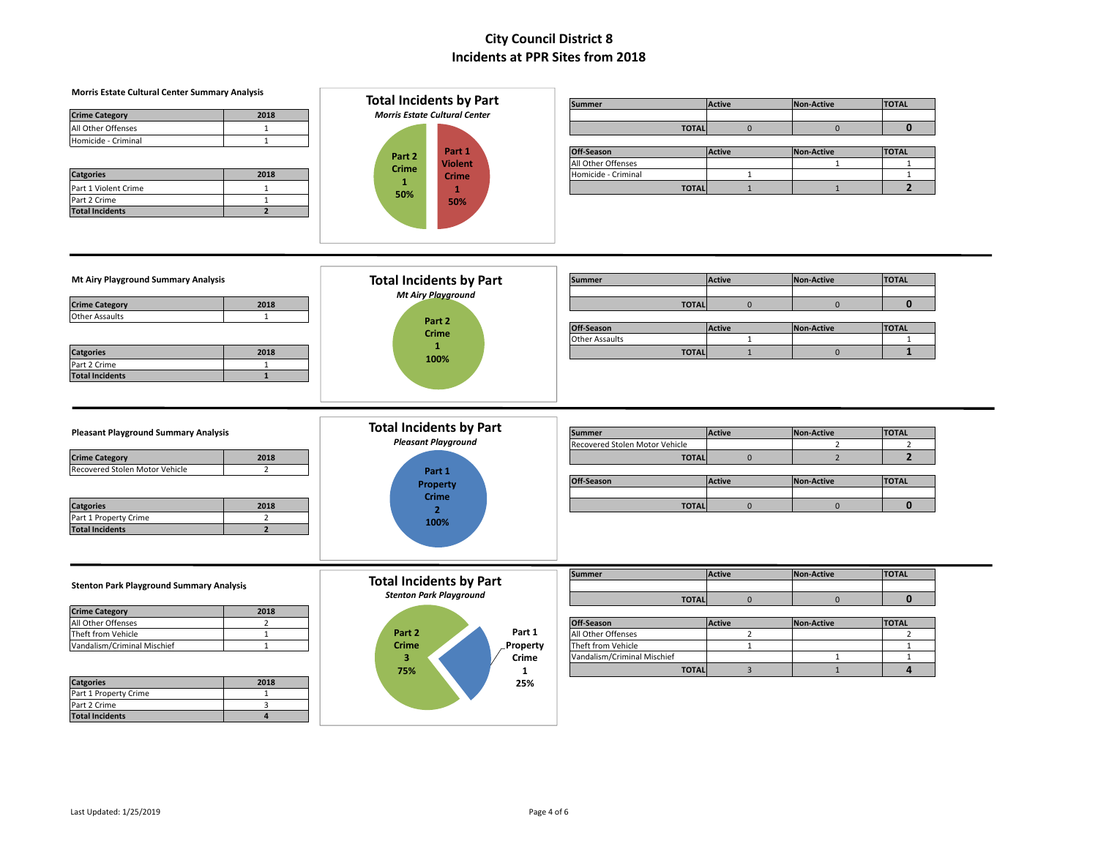| Morris Estate Cultural Center Summary Analysis                                      |                                                              |                                                 |                |                                     |                                |
|-------------------------------------------------------------------------------------|--------------------------------------------------------------|-------------------------------------------------|----------------|-------------------------------------|--------------------------------|
|                                                                                     | <b>Total Incidents by Part</b>                               | <b>Summer</b>                                   | <b>Active</b>  | <b>Non-Active</b>                   | <b>TOTAL</b>                   |
| 2018<br><b>Crime Category</b>                                                       | <b>Morris Estate Cultural Center</b>                         |                                                 |                |                                     |                                |
| All Other Offenses<br>$\mathbf{1}$                                                  |                                                              | <b>TOTAL</b>                                    | $\mathbf 0$    | $\mathbf 0$                         | $\mathbf{0}$                   |
| $\mathbf{1}$<br>Homicide - Criminal                                                 |                                                              |                                                 |                |                                     |                                |
|                                                                                     | Part 1<br>Part 2                                             | Off-Season                                      | <b>Active</b>  | <b>Non-Active</b>                   | <b>TOTAL</b>                   |
|                                                                                     | <b>Violent</b><br><b>Crime</b>                               | All Other Offenses                              |                | $\mathbf{1}$                        | $\mathbf{1}$                   |
| <b>Catgories</b><br>2018                                                            | <b>Crime</b>                                                 | Homicide - Criminal                             | $\mathbf{1}$   |                                     | $\mathbf{1}$                   |
| Part 1 Violent Crime<br>$\mathbf{1}$                                                | $\mathbf{1}$<br>$\mathbf{1}$                                 | <b>TOTAL</b>                                    | $1\,$          | $\mathbf{1}$                        | $\overline{2}$                 |
| Part 2 Crime<br>$\mathbf{1}$                                                        | 50%<br>50%                                                   |                                                 |                |                                     |                                |
| <b>Total Incidents</b><br>$\overline{2}$                                            |                                                              |                                                 |                |                                     |                                |
|                                                                                     |                                                              |                                                 |                |                                     |                                |
| Mt Airy Playground Summary Analysis                                                 | <b>Total Incidents by Part</b>                               | <b>Summer</b>                                   | <b>Active</b>  | <b>Non-Active</b>                   | <b>TOTAL</b>                   |
|                                                                                     | <b>Mt Airy Playground</b>                                    |                                                 |                |                                     |                                |
| <b>Crime Category</b><br>2018                                                       |                                                              | <b>TOTAL</b>                                    | $\mathbf{0}$   | $\mathbf{0}$                        | $\mathbf{0}$                   |
| <b>Other Assaults</b><br>$\mathbf 1$                                                | Part 2                                                       |                                                 |                |                                     |                                |
|                                                                                     | <b>Crime</b>                                                 | Off-Season                                      | <b>Active</b>  | <b>Non-Active</b>                   | <b>TOTAL</b>                   |
|                                                                                     | $\mathbf{1}$                                                 | <b>Other Assaults</b>                           | $\mathbf{1}$   |                                     | $\mathbf{1}$                   |
| 2018<br><b>Catgories</b>                                                            | 100%                                                         | <b>TOTAL</b>                                    | $\mathbf{1}$   | $\mathbf{0}$                        | $\mathbf{1}$                   |
| Part 2 Crime<br>$\mathbf{1}$                                                        |                                                              |                                                 |                |                                     |                                |
| <b>Total Incidents</b><br>$\mathbf 1$                                               |                                                              |                                                 |                |                                     |                                |
| <b>Pleasant Playground Summary Analysis</b>                                         | <b>Total Incidents by Part</b><br><b>Pleasant Playground</b> | <b>Summer</b><br>Recovered Stolen Motor Vehicle | <b>Active</b>  | <b>Non-Active</b><br>$\overline{2}$ | <b>TOTAL</b><br>$\overline{2}$ |
| <b>Crime Category</b><br>2018                                                       |                                                              | <b>TOTAL</b>                                    | $\mathbf{0}$   | $\overline{2}$                      | $\overline{2}$                 |
| Recovered Stolen Motor Vehicle<br>$\overline{2}$                                    | Part 1                                                       |                                                 |                |                                     |                                |
|                                                                                     | <b>Property</b>                                              | Off-Season                                      | <b>Active</b>  | <b>Non-Active</b>                   | <b>TOTAL</b>                   |
|                                                                                     | <b>Crime</b>                                                 |                                                 |                |                                     |                                |
| 2018<br><b>Catgories</b>                                                            | $\overline{2}$                                               | <b>TOTAL</b>                                    | $\mathbf{0}$   | $\mathbf{0}$                        | $\mathbf{0}$                   |
| Part 1 Property Crime<br>$\overline{2}$<br><b>Total Incidents</b><br>$\overline{2}$ | 100%                                                         |                                                 |                |                                     |                                |
| <b>Stenton Park Playground Summary Analysis</b>                                     | <b>Total Incidents by Part</b>                               | <b>Summer</b>                                   | <b>Active</b>  | <b>Non-Active</b>                   | <b>TOTAL</b>                   |
|                                                                                     | <b>Stenton Park Playground</b>                               | <b>TOTAL</b>                                    | $\mathbf{0}$   | $\overline{0}$                      | $\mathbf{0}$                   |
| <b>Crime Category</b><br>2018                                                       |                                                              |                                                 |                |                                     |                                |
| All Other Offenses<br>$\overline{2}$                                                |                                                              | Off-Season                                      | <b>Active</b>  | <b>Non-Active</b>                   | <b>TOTAL</b>                   |
| Theft from Vehicle<br>$\mathbf{1}$                                                  | Part 1<br>Part 2                                             | All Other Offenses                              | $\overline{2}$ |                                     | $\overline{2}$                 |
| Vandalism/Criminal Mischief<br>$\mathbf{1}$                                         | <b>Crime</b><br>Property                                     | Theft from Vehicle                              | $\mathbf{1}$   |                                     | $\mathbf{1}$                   |
|                                                                                     | Crime<br>3                                                   | Vandalism/Criminal Mischief                     |                | $\mathbf{1}$                        | $\overline{1}$                 |
|                                                                                     | 75%<br>$\mathbf{1}$                                          | <b>TOTAL</b>                                    | $\overline{3}$ | $\mathbf{1}$                        | $\Delta$                       |
| <b>Catgories</b><br>2018                                                            |                                                              |                                                 |                |                                     |                                |
| Part 1 Property Crime<br>1                                                          | 25%                                                          |                                                 |                |                                     |                                |
| Part 2 Crime<br>3                                                                   |                                                              |                                                 |                |                                     |                                |
| <b>Total Incidents</b><br>$\overline{4}$                                            |                                                              |                                                 |                |                                     |                                |
|                                                                                     |                                                              |                                                 |                |                                     |                                |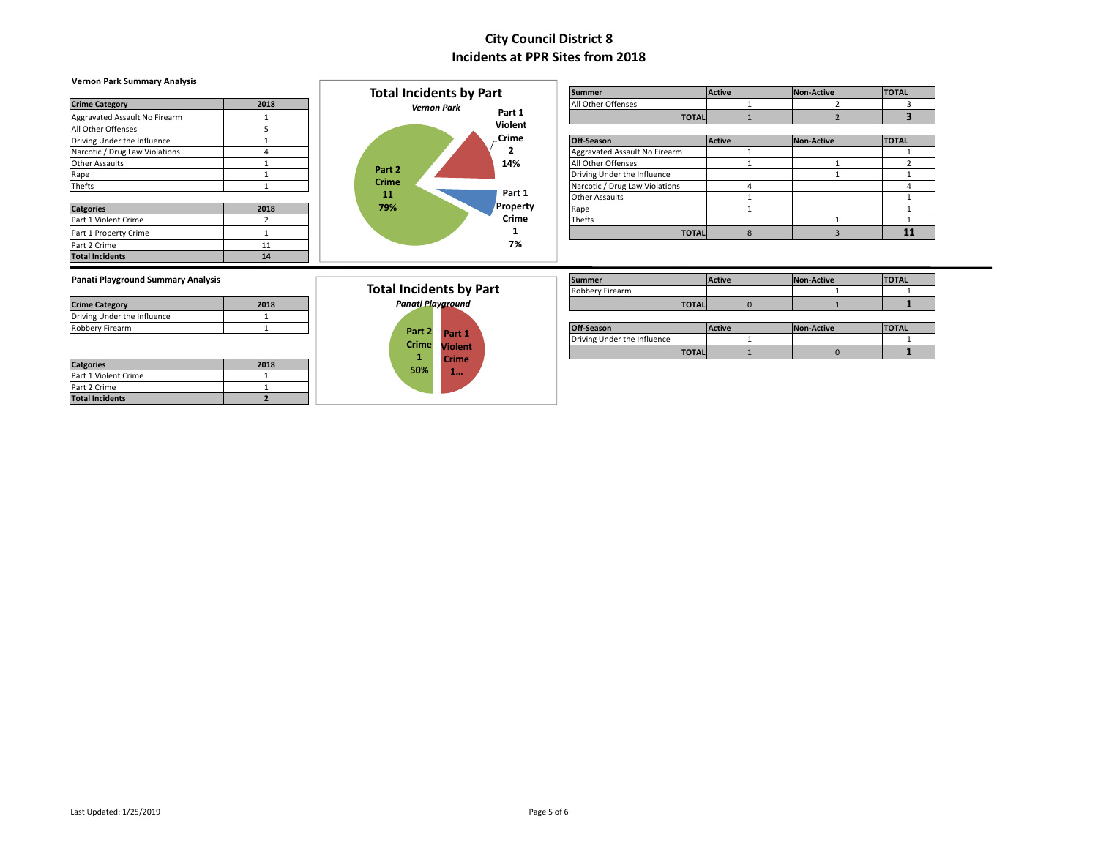### **Vernon Park Summary Analysis**

| <b>Crime Category</b>          | 2018 |
|--------------------------------|------|
| Aggravated Assault No Firearm  |      |
| All Other Offenses             | 5    |
| Driving Under the Influence    |      |
| Narcotic / Drug Law Violations | 4    |
| <b>Other Assaults</b>          |      |
| Rape                           |      |
| Thefts                         |      |
| <b>Catgories</b>               | 2018 |
| Part 1 Violent Crime           | 2    |
| Part 1 Property Crime          |      |
| Part 2 Crime                   | 11   |
| <b>Total Incidents</b>         | 14   |



|                                |      |              | <b>Total Incidents by Part</b> | <b>Summer</b>                  | <b>Active</b> | Non-Active | <b>TOTAL</b> |
|--------------------------------|------|--------------|--------------------------------|--------------------------------|---------------|------------|--------------|
| <b>Crime Category</b>          | 2018 |              | <b>Vernon Park</b>             | All Other Offenses             |               |            |              |
| Aggravated Assault No Firearm  |      |              | Part 1                         | <b>TOTAL</b>                   |               |            |              |
| All Other Offenses             |      |              | Violent                        |                                |               |            |              |
| Driving Under the Influence    |      |              | Crime                          | Off-Season                     | <b>Active</b> | Non-Active | <b>TOTAL</b> |
| Narcotic / Drug Law Violations |      |              |                                | Aggravated Assault No Firearm  |               |            |              |
| Other Assaults                 |      |              | 14%                            | All Other Offenses             |               |            |              |
| Rape                           |      | Part 2       |                                | Driving Under the Influence    |               |            |              |
| Thefts                         |      | <b>Crime</b> |                                | Narcotic / Drug Law Violations |               |            |              |
|                                |      | 11           | Part 1                         | <b>Other Assaults</b>          |               |            |              |
| <b>Catgories</b>               | 2018 | 79%          | Property                       | Rape                           |               |            |              |
| Part 1 Violent Crime           |      |              | Crime                          | Thefts                         |               |            |              |
| Part 1 Property Crime          |      |              |                                | <b>TOTAL</b>                   |               |            | 11           |
| _ _ _ _ _                      |      |              | 70/                            |                                |               |            |              |

### **Panati Playground Summary Analysis**

| <b>Crime Category</b>       | 2018 |
|-----------------------------|------|
| Driving Under the Influence |      |
| Robbery Firearm             |      |
|                             |      |

| <b>Catgories</b>       | 2018 |
|------------------------|------|
| Part 1 Violent Crime   |      |
| Part 2 Crime           |      |
| <b>Total Incidents</b> |      |

#### **Part 1 Violent Crime 1… Part 2 Crime 1 50% Total Incidents by Part** *Panati Playground*

| Panati Playground Summary Analysis |      |                                |               | Summer                      | <b>Active</b> | Non-Active | <b>TOTAL</b> |
|------------------------------------|------|--------------------------------|---------------|-----------------------------|---------------|------------|--------------|
|                                    |      | <b>Total Incidents by Part</b> |               | Robbery Firearm             |               |            |              |
| <b>Crime Category</b>              | 2018 | Panati Playaround              |               | <b>TOTAL</b>                |               |            |              |
| Driving Under the Influence        |      |                                |               |                             |               |            |              |
| Robberv Firearm                    |      | Part 2 Part 1                  |               | Off-Season                  | <b>Active</b> | Non-Active | <b>TOTAL</b> |
|                                    |      |                                | Crime Violent | Driving Under the Influence |               |            |              |
|                                    |      |                                | Culman        | <b>TOTAL</b>                |               |            |              |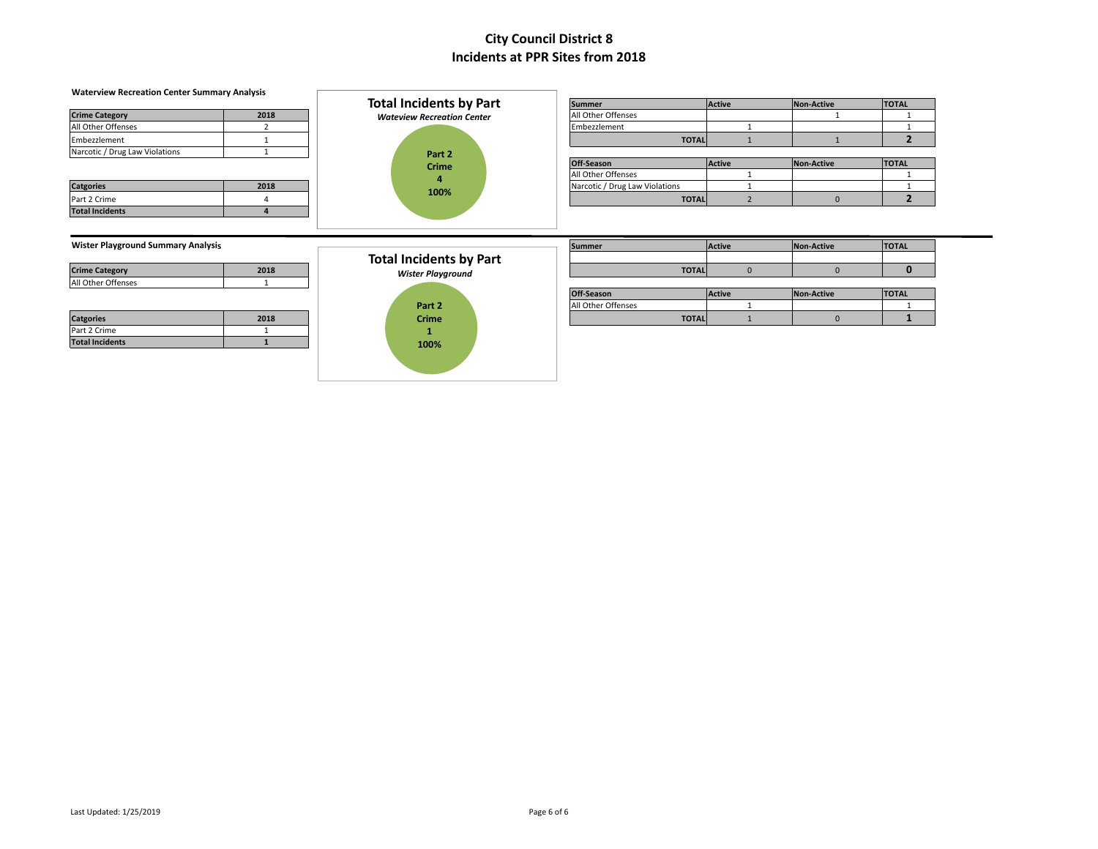| <b>Waterview Recreation Center Summary Analysis</b>             |                | <b>Total Incidents by Part</b>    | <b>Summer</b>                  |              | <b>Active</b>  | Non-Active        | <b>TOTAL</b>   |
|-----------------------------------------------------------------|----------------|-----------------------------------|--------------------------------|--------------|----------------|-------------------|----------------|
| <b>Crime Category</b>                                           | 2018           |                                   | All Other Offenses             |              |                |                   |                |
| All Other Offenses                                              | $\overline{2}$ | <b>Wateview Recreation Center</b> | Embezzlement                   |              |                |                   | $\mathbf{1}$   |
|                                                                 |                |                                   |                                | <b>TOTAL</b> |                |                   | $\overline{2}$ |
| Embezzlement<br>Narcotic / Drug Law Violations                  | $\overline{1}$ |                                   |                                |              |                |                   |                |
|                                                                 |                | Part 2                            | Off-Season                     |              | <b>Active</b>  | Non-Active        | <b>TOTAL</b>   |
|                                                                 |                | <b>Crime</b>                      | All Other Offenses             |              |                |                   | $\mathbf{1}$   |
| <b>Catgories</b>                                                | 2018           | 4                                 | Narcotic / Drug Law Violations |              |                |                   | 1              |
| Part 2 Crime                                                    | 4              | 100%                              |                                | <b>TOTAL</b> | $\overline{2}$ | $\overline{0}$    | $\overline{2}$ |
| <b>Total Incidents</b>                                          | $\overline{4}$ |                                   |                                |              |                |                   |                |
| <b>Wister Playground Summary Analysis</b>                       |                |                                   |                                |              | <b>Active</b>  |                   |                |
|                                                                 |                |                                   | <b>Summer</b>                  |              |                | Non-Active        | <b>TOTAL</b>   |
|                                                                 | 2018           | <b>Total Incidents by Part</b>    |                                | <b>TOTAL</b> | $\mathbf{0}$   | $\mathbf{0}$      | $\mathbf{0}$   |
|                                                                 | $\mathbf{1}$   | <b>Wister Playground</b>          |                                |              |                |                   |                |
|                                                                 |                |                                   | Off-Season                     |              | <b>Active</b>  | <b>Non-Active</b> | <b>TOTAL</b>   |
|                                                                 |                | Part 2                            | All Other Offenses             |              |                |                   |                |
| <b>Crime Category</b><br>All Other Offenses<br><b>Catgories</b> | 2018           | <b>Crime</b>                      |                                | <b>TOTAL</b> |                | $\Omega$          |                |
| Part 2 Crime                                                    |                | 1                                 |                                |              |                |                   |                |
| <b>Total Incidents</b>                                          |                | 100%                              |                                |              |                |                   |                |
|                                                                 |                |                                   |                                |              |                |                   |                |
|                                                                 |                |                                   |                                |              |                |                   |                |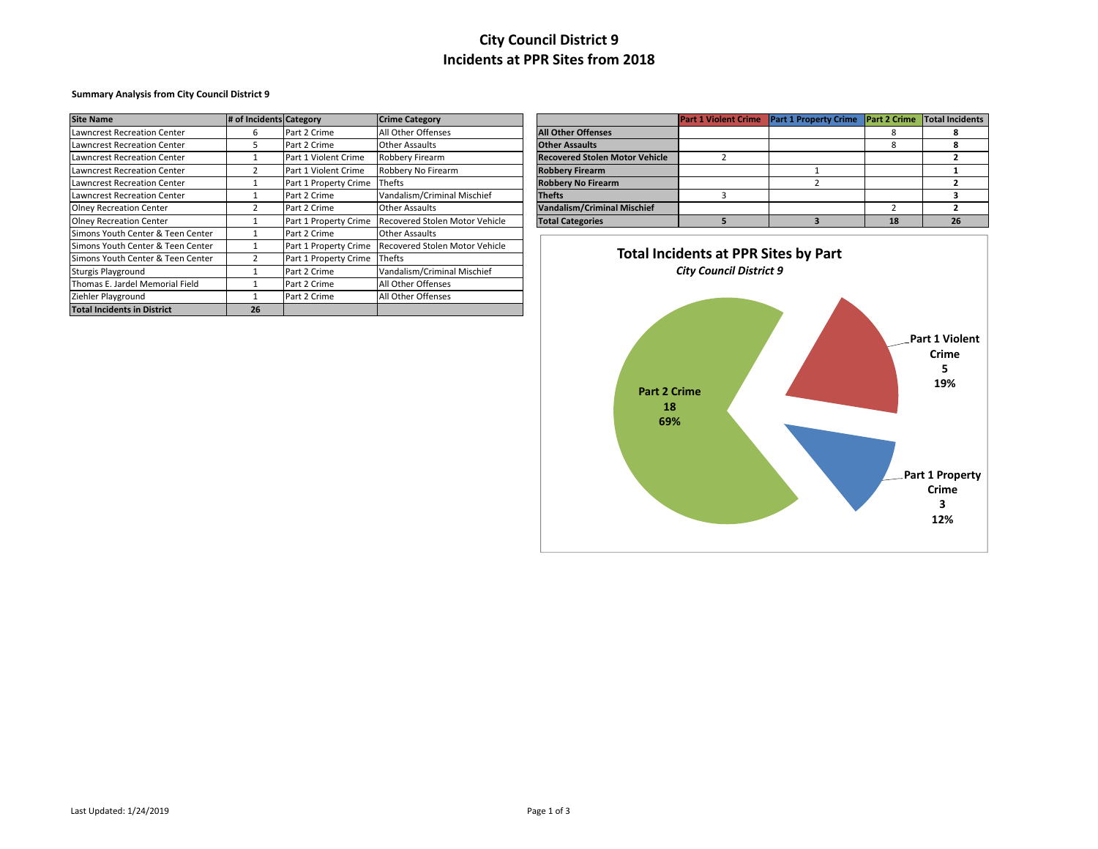### **Summary Analysis from City Council District 9**

| <b>Site Name</b>                   |                         |                       |                                |                                       | <b>Part 1 Violent Crime</b>                 |                                    |    | Total Incidents |  |
|------------------------------------|-------------------------|-----------------------|--------------------------------|---------------------------------------|---------------------------------------------|------------------------------------|----|-----------------|--|
|                                    | # of Incidents Category |                       | <b>Crime Category</b>          |                                       |                                             | Part 1 Property Crime Part 2 Crime |    |                 |  |
| Lawncrest Recreation Center        | h                       | Part 2 Crime          | All Other Offenses             | <b>All Other Offenses</b>             |                                             |                                    | х  | я               |  |
| Lawncrest Recreation Center        |                         | Part 2 Crime          | <b>Other Assaults</b>          | <b>Other Assaults</b>                 |                                             |                                    | Ō  | я               |  |
| Lawncrest Recreation Center        |                         | Part 1 Violent Crime  | Robbery Firearm                | <b>Recovered Stolen Motor Vehicle</b> |                                             |                                    |    |                 |  |
| Lawncrest Recreation Center        |                         | Part 1 Violent Crime  | Robbery No Firearm             | <b>Robbery Firearm</b>                |                                             |                                    |    |                 |  |
| Lawncrest Recreation Center        |                         | Part 1 Property Crime | Thefts                         | <b>Robbery No Firearm</b>             |                                             |                                    |    |                 |  |
| Lawncrest Recreation Center        |                         | Part 2 Crime          | Vandalism/Criminal Mischief    | <b>Thefts</b>                         |                                             |                                    |    |                 |  |
| <b>Olney Recreation Center</b>     |                         | Part 2 Crime          | <b>Other Assaults</b>          | <b>Vandalism/Criminal Mischief</b>    |                                             |                                    |    |                 |  |
| <b>Olney Recreation Center</b>     |                         | Part 1 Property Crime | Recovered Stolen Motor Vehicle | <b>Total Categories</b>               |                                             |                                    | 18 | 26              |  |
| Simons Youth Center & Teen Center  |                         | Part 2 Crime          | Other Assaults                 |                                       |                                             |                                    |    |                 |  |
| Simons Youth Center & Teen Center  |                         | Part 1 Property Crime | Recovered Stolen Motor Vehicle |                                       |                                             |                                    |    |                 |  |
| Simons Youth Center & Teen Center  |                         | Part 1 Property Crime | Thefts                         |                                       | <b>Total Incidents at PPR Sites by Part</b> |                                    |    |                 |  |
| Sturgis Playground                 |                         | Part 2 Crime          | Vandalism/Criminal Mischief    | <b>City Council District 9</b>        |                                             |                                    |    |                 |  |
| Thomas E. Jardel Memorial Field    |                         | Part 2 Crime          | All Other Offenses             |                                       |                                             |                                    |    |                 |  |
| Ziehler Playground                 |                         | Part 2 Crime          | All Other Offenses             |                                       |                                             |                                    |    |                 |  |
| <b>Total Incidents in District</b> | 26                      |                       |                                |                                       |                                             |                                    |    |                 |  |

|                                       | <b>Part 1 Violent Crime</b> | <b>Part 1 Property Crime</b> | <b>Part 2 Crime</b> | Total Incidents |
|---------------------------------------|-----------------------------|------------------------------|---------------------|-----------------|
| <b>All Other Offenses</b>             |                             |                              |                     |                 |
| <b>Other Assaults</b>                 |                             |                              |                     |                 |
| <b>Recovered Stolen Motor Vehicle</b> |                             |                              |                     |                 |
| <b>Robbery Firearm</b>                |                             |                              |                     |                 |
| <b>Robbery No Firearm</b>             |                             |                              |                     |                 |
| <b>Thefts</b>                         |                             |                              |                     |                 |
| <b>Vandalism/Criminal Mischief</b>    |                             |                              |                     |                 |
| <b>Total Categories</b>               |                             |                              |                     |                 |



Last Updated: 1/24/2019 Page 1 of 3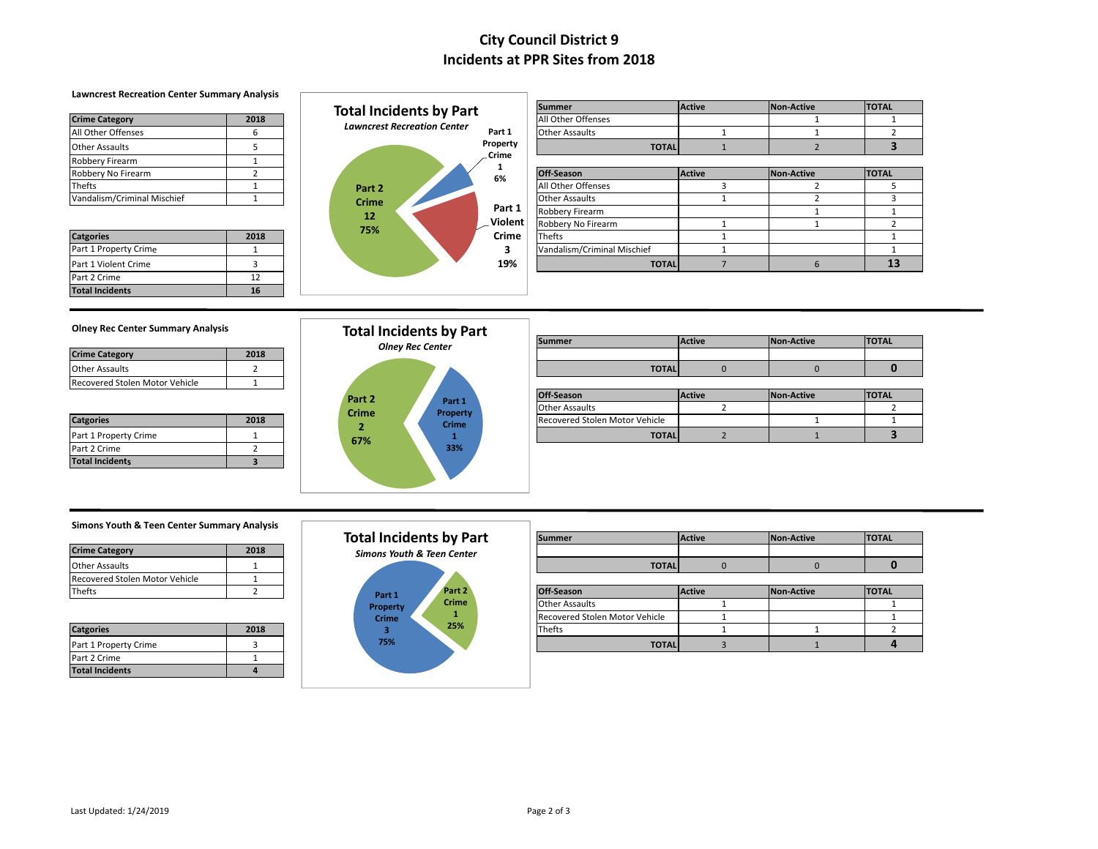### **Lawncrest Recreation Center Summary Analysis**

| <b>Crime Category</b>       | 2018 |
|-----------------------------|------|
| All Other Offenses          |      |
| <b>Other Assaults</b>       |      |
| <b>Robbery Firearm</b>      |      |
| Robbery No Firearm          |      |
| Thefts                      |      |
| Vandalism/Criminal Mischief |      |

| <b>Catgories</b>       | 2018 |
|------------------------|------|
| Part 1 Property Crime  |      |
| Part 1 Violent Crime   |      |
| Part 2 Crime           | 12   |
| <b>Total Incidents</b> | 16   |



|                             |        | <b>Total Incidents by Part</b>     |          | <b>Summer</b>               | Active | Non-Active | <b>TOTAL</b> |
|-----------------------------|--------|------------------------------------|----------|-----------------------------|--------|------------|--------------|
| <b>Crime Category</b>       | 2018   |                                    |          | All Other Offenses          |        |            |              |
| All Other Offenses          |        | <b>Lawncrest Recreation Center</b> | Part 1   | <b>Other Assaults</b>       |        |            |              |
| Other Assaults              |        |                                    | Property | <b>TOTAL</b>                |        |            |              |
| Robbery Firearm             |        |                                    | Crime    |                             |        |            |              |
| Robbery No Firearm          |        |                                    | 6%       | Off-Season                  | Active | Non-Active | <b>TOTAL</b> |
| Thefts                      |        | Part 2                             |          | All Other Offenses          |        |            |              |
| Vandalism/Criminal Mischief |        | <b>Crime</b>                       |          | <b>Other Assaults</b>       |        |            |              |
|                             |        | 12                                 | Part 1   | Robbery Firearm             |        |            |              |
|                             |        | 75%                                | Violent  | Robbery No Firearm          |        |            |              |
| <b>Catgories</b>            | 2018   |                                    | Crime    | Thefts                      |        |            |              |
| Part 1 Property Crime       |        |                                    |          | Vandalism/Criminal Mischief |        |            |              |
| Part 1 Violent Crime        |        |                                    | 19%      | <b>TOTAL</b>                |        |            | 13           |
| .                           | $\sim$ |                                    |          |                             |        |            |              |

### **Olney Rec Center Summary Analysis**

| <b>Crime Category</b>          | 2018 |
|--------------------------------|------|
| <b>Other Assaults</b>          |      |
| Recovered Stolen Motor Vehicle |      |

| <b>Catgories</b>       | 2018 |
|------------------------|------|
| Part 1 Property Crime  |      |
| Part 2 Crime           |      |
| <b>Total Incidents</b> |      |



| Olliev Rec Center Summary Analysis |      |              | Total Incidents by Part |  |                                |               |            |              |
|------------------------------------|------|--------------|-------------------------|--|--------------------------------|---------------|------------|--------------|
|                                    |      |              | <b>Olney Rec Center</b> |  | <b>Summer</b>                  | <b>Active</b> | Non-Active | <b>TOTAL</b> |
| <b>Crime Category</b>              | 2018 |              |                         |  |                                |               |            |              |
| Other Assaults                     |      |              |                         |  | <b>TOTAL</b>                   |               |            |              |
| Recovered Stolen Motor Vehicle     |      |              |                         |  |                                |               |            |              |
|                                    |      | Part 2       | Part 1                  |  | Off-Season                     | Active        | Non-Active | <b>TOTAL</b> |
|                                    |      | <b>Crime</b> | Property                |  | <b>Other Assaults</b>          |               |            |              |
| <b>Catgories</b>                   | 2018 |              | Crime                   |  | Recovered Stolen Motor Vehicle |               |            |              |
| Part 1 Property Crime              |      | 67%          |                         |  | <b>TOTAL</b>                   |               |            |              |
|                                    |      |              |                         |  |                                |               |            |              |

### **Simons Youth & Teen Center Summary Analysis**

| <b>Crime Category</b>          | 2018 |
|--------------------------------|------|
| <b>Other Assaults</b>          |      |
| Recovered Stolen Motor Vehicle |      |
| Thefts                         |      |

| <b>Catgories</b>       | 2018 |
|------------------------|------|
| Part 1 Property Crime  |      |
| Part 2 Crime           |      |
| <b>Total Incidents</b> |      |

### **Part 1 Property Crime 3 75% Part 2 Crime 1 25% Total Incidents by Part** *Simons Youth & Teen Center*

|                                |      |              | <b>Total Incidents by Part</b>        | <b>Summer</b>                  | <b>Active</b> | Non-Active | <b>TOTAL</b> |
|--------------------------------|------|--------------|---------------------------------------|--------------------------------|---------------|------------|--------------|
| <b>Crime Category</b>          | 2018 |              | <b>Simons Youth &amp; Teen Center</b> |                                |               |            |              |
| Other Assaults                 |      |              |                                       | <b>TOTAL</b>                   |               |            |              |
| Recovered Stolen Motor Vehicle |      |              |                                       |                                |               |            |              |
| Thefts                         |      | Part 1       | Part 2                                | Off-Season                     | Active        | Non-Active | <b>TOTAL</b> |
|                                |      | Property     | <b>Crime</b>                          | <b>Other Assaults</b>          |               |            |              |
|                                |      | <b>Crime</b> |                                       | Recovered Stolen Motor Vehicle |               |            |              |
| <b>Catgories</b>               | 2018 |              | 25%                                   | Thefts                         |               |            |              |
| Part 1 Property Crime          |      | 75%          |                                       | <b>TOTAL</b>                   |               |            |              |
|                                |      |              |                                       |                                |               |            |              |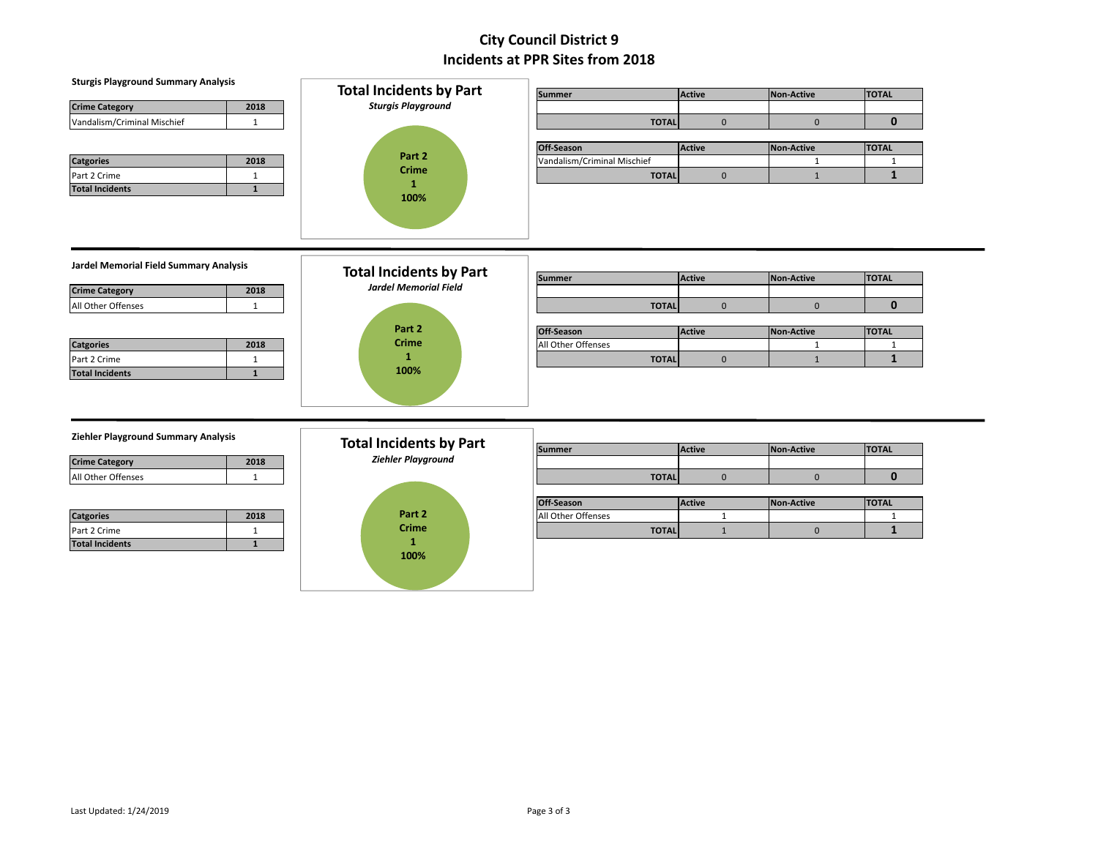| <b>Sturgis Playground Summary Analysis</b><br>2018<br><b>Crime Category</b><br>Vandalism/Criminal Mischief<br>$\mathbf{1}$ | <b>Total Incidents by Part</b><br><b>Sturgis Playground</b>    | <b>Summer</b><br><b>TOTAL</b><br>Off-Season      | <b>Active</b><br>$\mathbf 0$<br><b>Active</b> | <b>Non-Active</b><br>$\mathbf 0$<br><b>Non-Active</b> | <b>TOTAL</b><br>$\mathbf{0}$<br><b>TOTAL</b> |
|----------------------------------------------------------------------------------------------------------------------------|----------------------------------------------------------------|--------------------------------------------------|-----------------------------------------------|-------------------------------------------------------|----------------------------------------------|
| 2018<br><b>Catgories</b><br>Part 2 Crime<br>$\mathbf{1}$<br>$\mathbf{1}$<br><b>Total Incidents</b>                         | Part 2<br><b>Crime</b><br>$\mathbf{1}$<br>100%                 | Vandalism/Criminal Mischief<br><b>TOTAL</b>      | $\mathbf 0$                                   | $\mathbf{1}$<br>$\mathbf{1}$                          | $\mathbf{1}$<br>$\mathbf{1}$                 |
| Jardel Memorial Field Summary Analysis<br>2018<br><b>Crime Category</b><br>All Other Offenses<br>$\mathbf{1}$              | <b>Total Incidents by Part</b><br><b>Jardel Memorial Field</b> | <b>Summer</b><br><b>TOTAL</b>                    | <b>Active</b><br>$\mathbf 0$                  | Non-Active<br>$\mathbf{0}$                            | <b>TOTAL</b><br>$\mathbf{0}$                 |
| 2018<br><b>Catgories</b><br>Part 2 Crime<br>$\mathbf{1}$<br>$\mathbf{1}$<br><b>Total Incidents</b>                         | Part 2<br><b>Crime</b><br>$\mathbf{1}$<br>100%                 | Off-Season<br>All Other Offenses<br><b>TOTAL</b> | <b>Active</b><br>$\mathbf 0$                  | <b>Non-Active</b><br>$\mathbf{1}$<br>$\mathbf{1}$     | <b>TOTAL</b><br>$\mathbf{1}$<br>$\mathbf{1}$ |
| Ziehler Playground Summary Analysis<br>2018<br><b>Crime Category</b><br>All Other Offenses<br>$\mathbf{1}$                 | <b>Total Incidents by Part</b><br><b>Ziehler Playground</b>    | <b>Summer</b><br><b>TOTAL</b>                    | Active<br>$\mathbf 0$                         | <b>Non-Active</b><br>$\mathbf{0}$                     | <b>TOTAL</b><br>$\mathbf{0}$                 |
| 2018<br><b>Catgories</b><br>Part 2 Crime<br>$\mathbf{1}$<br>$\mathbf{1}$<br><b>Total Incidents</b>                         | Part 2<br><b>Crime</b><br>1<br>100%                            | Off-Season<br>All Other Offenses<br><b>TOTAL</b> | Active<br>$\mathbf{1}$<br>$\mathbf{1}$        | Non-Active<br>$\mathbf{0}$                            | <b>TOTAL</b><br>$\mathbf{1}$<br>$\mathbf{1}$ |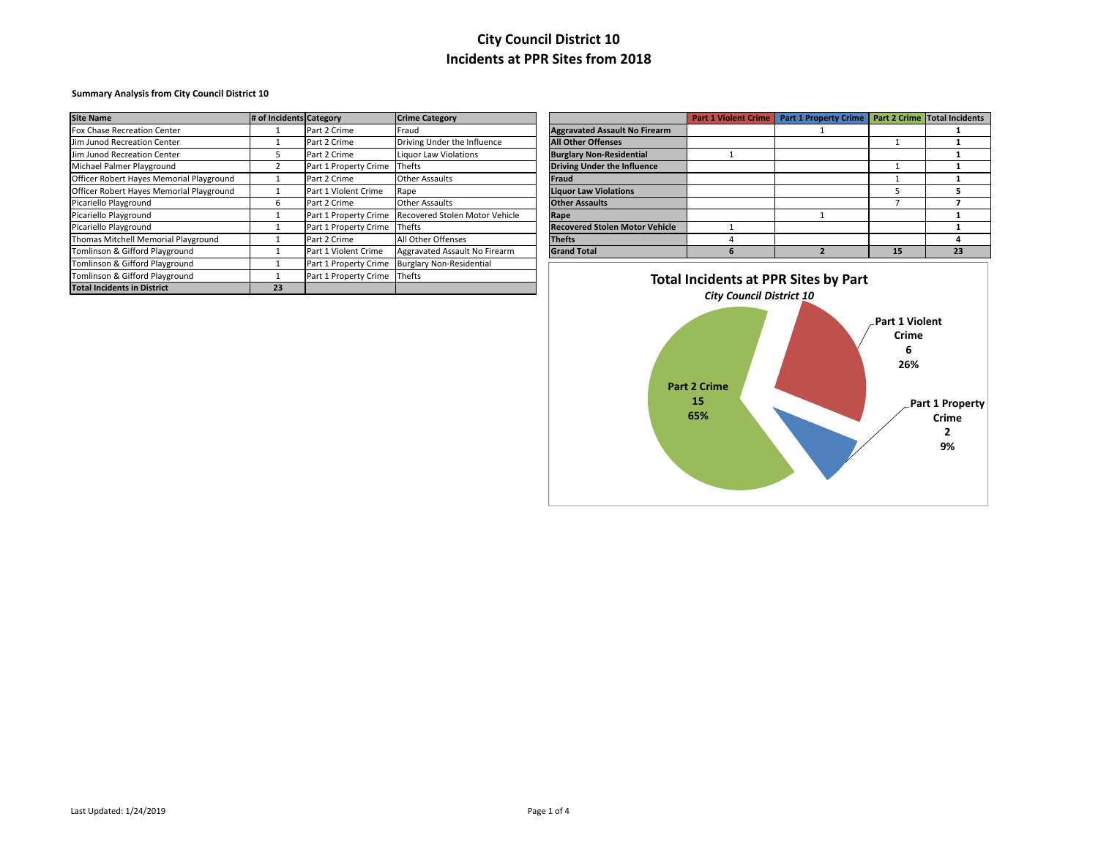#### **Summary Analysis from City Council District 10**

| <b>Site Name</b>                         | # of Incidents Category |                       | <b>Crime Category</b>           |                                             | <b>Part 1 Violent Crime</b> | Part 1 Property Crime   Part 2 Crime   Total Incidents |    |    |
|------------------------------------------|-------------------------|-----------------------|---------------------------------|---------------------------------------------|-----------------------------|--------------------------------------------------------|----|----|
| Fox Chase Recreation Center              |                         | Part 2 Crime          | Fraud                           | <b>Aggravated Assault No Firearm</b>        |                             |                                                        |    |    |
| Jim Junod Recreation Center              |                         | Part 2 Crime          | Driving Under the Influence     | <b>All Other Offenses</b>                   |                             |                                                        |    |    |
| Jim Junod Recreation Center              |                         | Part 2 Crime          | Liquor Law Violations           | <b>Burglary Non-Residential</b>             |                             |                                                        |    |    |
| Michael Palmer Playground                |                         | Part 1 Property Crime | <b>Thefts</b>                   | <b>Driving Under the Influence</b>          |                             |                                                        |    |    |
| Officer Robert Hayes Memorial Playground |                         | Part 2 Crime          | Other Assaults                  | Fraud                                       |                             |                                                        |    |    |
| Officer Robert Hayes Memorial Playground |                         | Part 1 Violent Crime  | Rape                            | <b>Liquor Law Violations</b>                |                             |                                                        |    |    |
| Picariello Playground                    | h                       | Part 2 Crime          | Other Assaults                  | <b>Other Assaults</b>                       |                             |                                                        |    |    |
| Picariello Playground                    |                         | Part 1 Property Crime | Recovered Stolen Motor Vehicle  | Rape                                        |                             |                                                        |    |    |
| Picariello Playground                    |                         | Part 1 Property Crime | <b>Thefts</b>                   | <b>Recovered Stolen Motor Vehicle</b>       |                             |                                                        |    |    |
| Thomas Mitchell Memorial Playground      |                         | Part 2 Crime          | All Other Offenses              | <b>Thefts</b>                               |                             |                                                        |    |    |
| Tomlinson & Gifford Playground           |                         | Part 1 Violent Crime  | Aggravated Assault No Firearm   | <b>Grand Total</b>                          |                             |                                                        | 15 | 23 |
| Tomlinson & Gifford Playground           |                         | Part 1 Property Crime | <b>Burglary Non-Residential</b> |                                             |                             |                                                        |    |    |
| Tomlinson & Gifford Playground           |                         | Part 1 Property Crime | Thefts                          | <b>Total Incidents at PPR Sites by Part</b> |                             |                                                        |    |    |
| <b>Total Incidents in District</b>       | 23                      |                       |                                 |                                             |                             |                                                        |    |    |

|                                       | <b>Part 1 Violent Crime</b> | <b>Part 1 Property Crime</b> |    | Part 2 Crime Total Incidents |
|---------------------------------------|-----------------------------|------------------------------|----|------------------------------|
| <b>Aggravated Assault No Firearm</b>  |                             |                              |    |                              |
| <b>All Other Offenses</b>             |                             |                              |    |                              |
| <b>Burglary Non-Residential</b>       |                             |                              |    |                              |
| <b>Driving Under the Influence</b>    |                             |                              |    |                              |
| <b>Fraud</b>                          |                             |                              |    |                              |
| <b>Liquor Law Violations</b>          |                             |                              | 5  |                              |
| <b>Other Assaults</b>                 |                             |                              |    |                              |
| Rape                                  |                             |                              |    |                              |
| <b>Recovered Stolen Motor Vehicle</b> |                             |                              |    |                              |
| <b>Thefts</b>                         |                             |                              |    |                              |
| <b>Grand Total</b>                    | n                           |                              | 15 | 23                           |

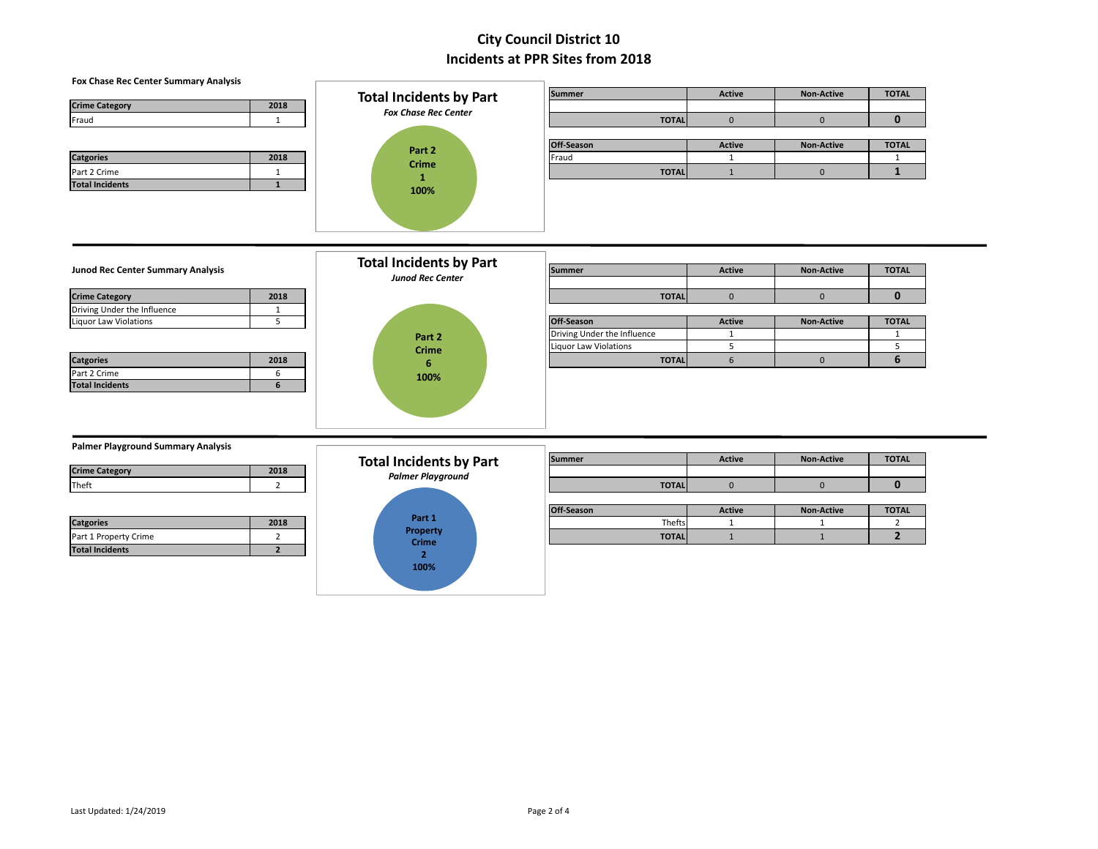### **Fox Chase Rec Center Summary Analysis**

| <b>Crime Category</b> | 2018 |
|-----------------------|------|
| Fraud                 |      |

| <b>Catgories</b>       | 2018 |
|------------------------|------|
| Part 2 Crime           |      |
| <b>Total Incidents</b> |      |
|                        |      |

| <b>Total Incidents by Part</b><br><b>Fox Chase Rec Center</b> |  |  |  |  |  |  |
|---------------------------------------------------------------|--|--|--|--|--|--|
| Part 2<br>Crime<br>1<br>100%                                  |  |  |  |  |  |  |

|                       |      | <b>Total Incidents by Part</b> |  | <b>Summer</b> | <b>Active</b> | <b>Non-Active</b> | <b>TOTAL</b> |
|-----------------------|------|--------------------------------|--|---------------|---------------|-------------------|--------------|
| <b>Crime Category</b> | 2018 | <b>Fox Chase Rec Center</b>    |  |               |               |                   |              |
| Fraud                 |      |                                |  | <b>TOTAL</b>  |               |                   |              |
|                       |      |                                |  |               |               |                   |              |
|                       |      | Part 2                         |  | Off-Season    | <b>Active</b> | <b>Non-Active</b> | <b>TOTAL</b> |
| <b>Catgories</b>      | 2018 | <b>Crime</b>                   |  | Fraud         |               |                   |              |
| Part 2 Crime          |      |                                |  | <b>TOTAL</b>  |               |                   |              |
| -                     |      |                                |  |               |               |                   |              |

### **Junod Rec Center Summary Analysis**

| <b>Crime Category</b>       | 2018 |
|-----------------------------|------|
| Driving Under the Influence |      |
| Liquor Law Violations       |      |

| <b>Catgories</b>       | 2018 |
|------------------------|------|
| Part 2 Crime           |      |
| <b>Total Incidents</b> |      |



|                                   |      | <b>Total Incidents by Part</b> |                             |               |                   |              |
|-----------------------------------|------|--------------------------------|-----------------------------|---------------|-------------------|--------------|
| Junod Rec Center Summary Analysis |      |                                | Summer                      | <b>Active</b> | <b>Non-Active</b> | <b>TOTAL</b> |
|                                   |      | <b>Junod Rec Center</b>        |                             |               |                   |              |
| <b>Crime Category</b>             | 2018 |                                | <b>TOTAL</b>                |               |                   |              |
| Driving Under the Influence       |      |                                |                             |               |                   |              |
| Liguor Law Violations             |      |                                | Off-Season                  | <b>Active</b> | <b>Non-Active</b> | <b>TOTAL</b> |
|                                   |      | Part 2                         | Driving Under the Influence |               |                   |              |
|                                   |      | <b>Crime</b>                   | Liquor Law Violations       |               |                   |              |
| <b>Catgories</b>                  | 2018 |                                | <b>TOTAL</b>                |               |                   |              |

### **Palmer Playground Summary Analysis**

| 2018 |
|------|
|      |
|      |
|      |

| <b>Catgories</b>       | 2018 |
|------------------------|------|
| Part 1 Property Crime  |      |
| <b>Total Incidents</b> |      |



| .                     |      |                                |              |               |                   |              |
|-----------------------|------|--------------------------------|--------------|---------------|-------------------|--------------|
|                       |      | <b>Total Incidents by Part</b> | Summer       | <b>Active</b> | <b>Non-Active</b> | <b>TOTAL</b> |
| <b>Crime Category</b> | 2018 | <b>Palmer Playground</b>       |              |               |                   |              |
| Theft                 |      |                                | <b>TOTAL</b> |               |                   |              |
|                       |      |                                |              |               |                   |              |

|                       |      |                   | <b>Off-Season</b> | Active | <b>Non-Active</b> | <b>TOTAL</b> |
|-----------------------|------|-------------------|-------------------|--------|-------------------|--------------|
| <b>Catgories</b>      | 2018 | Part 1            | Thefts            |        |                   |              |
| Part 1 Property Crime |      | Property<br>Crimo | <b>TOTAL</b>      |        |                   |              |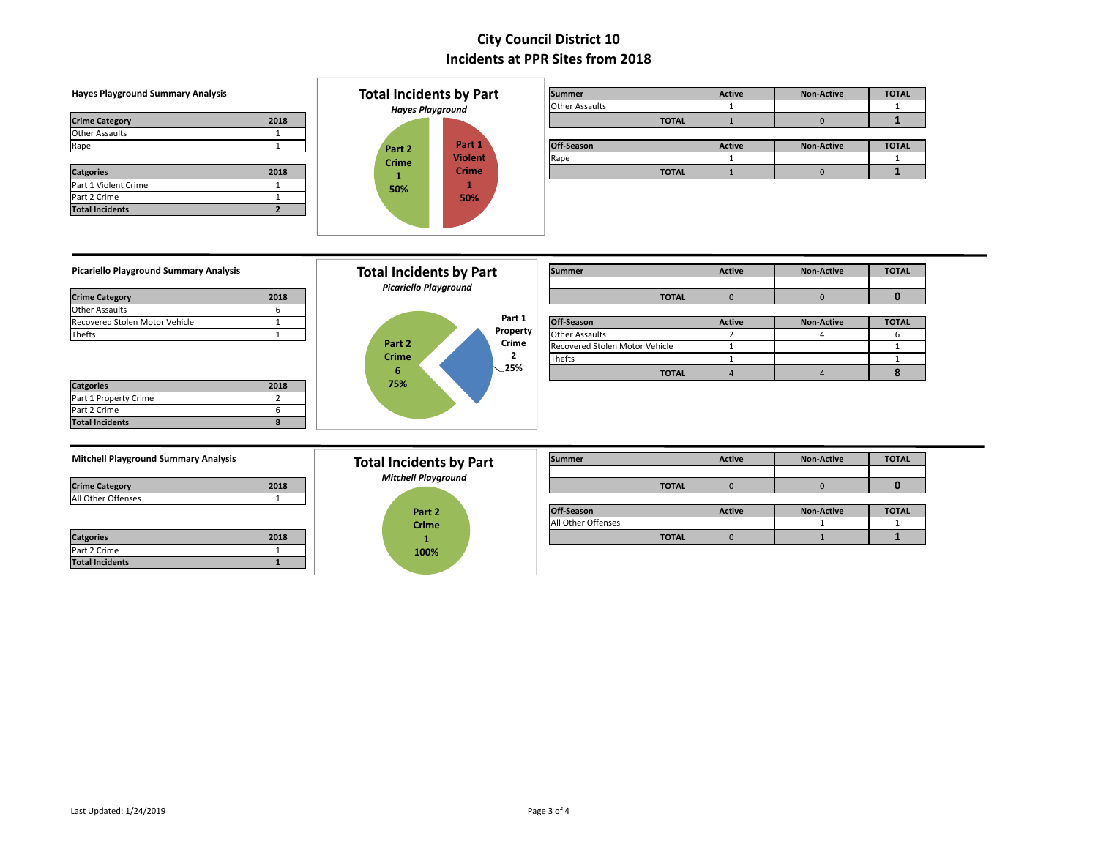### **Hayes Playground Summary Analysis**

|                        |      | Hayes Playground |                | <b>Other Assaults</b> |              |        |                   |            |
|------------------------|------|------------------|----------------|-----------------------|--------------|--------|-------------------|------------|
| <b>Crime Category</b>  | 2018 |                  |                |                       | <b>TOTAL</b> |        |                   |            |
| <b>Other Assaults</b>  |      |                  |                |                       |              |        |                   |            |
| Rape                   |      | Part 2           | Part 1         | Off-Season            |              | Active | <b>Non-Active</b> | <b>TOT</b> |
|                        |      | <b>Crime</b>     | <b>Violent</b> | Rape                  |              |        |                   |            |
| <b>Catgories</b>       | 2018 |                  | <b>Crime</b>   |                       | <b>TOTAL</b> |        |                   |            |
| Part 1 Violent Crime   |      | 50%              |                |                       |              |        |                   |            |
| Part 2 Crime           |      |                  | 50%            |                       |              |        |                   |            |
| <b>Total Incidents</b> |      |                  |                |                       |              |        |                   |            |



| <b>Hayes Playground Summary Analysis</b> |      | <b>Total Incidents by Part</b> |                | <b>Summer</b>  |              | <b>Active</b> | <b>Non-Active</b> | <b>TOTAL</b> |
|------------------------------------------|------|--------------------------------|----------------|----------------|--------------|---------------|-------------------|--------------|
|                                          |      | <b>Hayes Playground</b>        |                | Other Assaults |              |               |                   |              |
| <b>Crime Category</b>                    | 2018 |                                |                |                | <b>TOTAL</b> |               |                   |              |
| Other Assaults                           |      |                                |                |                |              |               |                   |              |
| Rape                                     |      | Part 2                         | Part 1         | Off-Season     |              | <b>Active</b> | <b>Non-Active</b> | <b>TOTAL</b> |
|                                          |      | <b>Crime</b>                   | <b>Violent</b> | Rape           |              |               |                   |              |
|                                          |      |                                | $-1$           |                |              |               |                   |              |

### **Picariello Playground Summary Analysis**

| <b>Crime Category</b>          | 2018 |
|--------------------------------|------|
| <b>Other Assaults</b>          |      |
| Recovered Stolen Motor Vehicle |      |
| <b>Thefts</b>                  |      |

| <b>Catgories</b>       | 2018 |
|------------------------|------|
| Part 1 Property Crime  |      |
| Part 2 Crime           |      |
| <b>Total Incidents</b> |      |



| Picariello Playground Summary Analysis |      | <b>Total Incidents by Part</b> | <b>Picariello Playground</b> |          | <b>Summer</b>                  | <b>Non-Active</b> | <b>TOTAL</b>      |              |
|----------------------------------------|------|--------------------------------|------------------------------|----------|--------------------------------|-------------------|-------------------|--------------|
| <b>Crime Category</b>                  | 2018 |                                |                              |          | <b>TOTAL</b>                   |                   |                   |              |
| Other Assaults                         |      |                                |                              |          |                                |                   |                   |              |
| Recovered Stolen Motor Vehicle         |      |                                |                              | Part 1   | Off-Season                     | <b>Active</b>     | <b>Non-Active</b> | <b>TOTAL</b> |
| Thefts                                 |      |                                |                              | Property | <b>Other Assaults</b>          |                   |                   |              |
|                                        |      | Part 2                         |                              | Crime    | Recovered Stolen Motor Vehicle |                   |                   |              |
|                                        |      | <b>Crime</b>                   |                              | ▴        | <b>Thefts</b>                  |                   |                   |              |
|                                        |      |                                |                              | .25%     | <b>TOTAL</b>                   |                   |                   |              |

| 2018 |  |
|------|--|
|      |  |
|      |  |

| <b>Catgories</b>       | 2018 |
|------------------------|------|
| Part 2 Crime           |      |
| <b>Total Incidents</b> |      |



| <b>Mitchell Playground Summary Analysis</b> |      | <b>Total Incidents by Part</b> | Summer        | <b>Active</b> | <b>Non-Active</b> | <b>TOTAL</b> |
|---------------------------------------------|------|--------------------------------|---------------|---------------|-------------------|--------------|
|                                             |      | <b>Mitchell Playground</b>     |               |               |                   |              |
| <b>Crime Category</b>                       | 2018 |                                | <b>TOTAL.</b> |               |                   |              |

|                  |      | Part 2       | Off-Season         | <b>Active</b> | <b>Non-Active</b> | <b>TOTAL</b> |
|------------------|------|--------------|--------------------|---------------|-------------------|--------------|
|                  |      | <b>Crime</b> | All Other Offenses |               |                   |              |
| <b>Catgories</b> | 2018 |              | <b>TOTAL</b>       |               |                   |              |